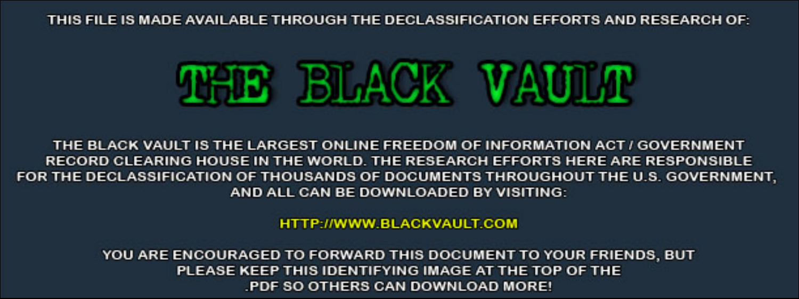THIS FILE IS MADE AVAILABLE THROUGH THE DECLASSIFICATION EFFORTS AND RESEARCH OF:



THE BLACK VAULT IS THE LARGEST ONLINE FREEDOM OF INFORMATION ACT / GOVERNMENT RECORD CLEARING HOUSE IN THE WORLD. THE RESEARCH EFFORTS HERE ARE RESPONSIBLE FOR THE DECLASSIFICATION OF THOUSANDS OF DOCUMENTS THROUGHOUT THE U.S. GOVERNMENT, AND ALL CAN BE DOWNLOADED BY VISITING:

**HTTP://WWW.BLACKVAULT.COM** 

YOU ARE ENCOURAGED TO FORWARD THIS DOCUMENT TO YOUR FRIENDS, BUT PLEASE KEEP THIS IDENTIFYING IMAGE AT THE TOP OF THE PDF SO OTHERS CAN DOWNLOAD MORE!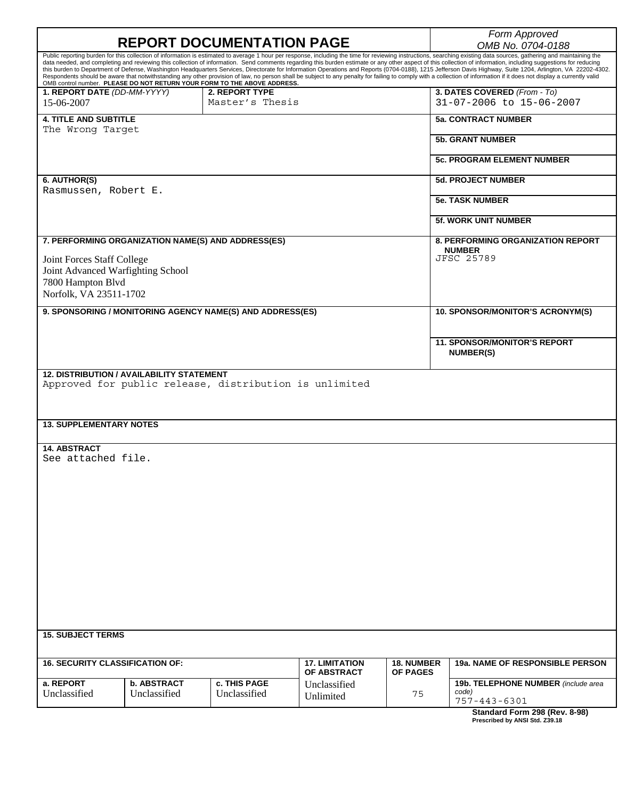|                                                                                                            | <b>REPORT DOCUMENTATION PAGE</b>   |                                                                          | Form Approved                                                                                                                                                                                                                              |    |                                                                                                                                                                                                                                                                                                                                                                                                                                                                                                                                                                                                                                                           |  |
|------------------------------------------------------------------------------------------------------------|------------------------------------|--------------------------------------------------------------------------|--------------------------------------------------------------------------------------------------------------------------------------------------------------------------------------------------------------------------------------------|----|-----------------------------------------------------------------------------------------------------------------------------------------------------------------------------------------------------------------------------------------------------------------------------------------------------------------------------------------------------------------------------------------------------------------------------------------------------------------------------------------------------------------------------------------------------------------------------------------------------------------------------------------------------------|--|
|                                                                                                            |                                    |                                                                          | OMB No. 0704-0188<br>Public reporting burden for this collection of information is estimated to average 1 hour per response, including the time for reviewing instructions, searching existing data sources, gathering and maintaining the |    |                                                                                                                                                                                                                                                                                                                                                                                                                                                                                                                                                                                                                                                           |  |
|                                                                                                            |                                    | OMB control number. PLEASE DO NOT RETURN YOUR FORM TO THE ABOVE ADDRESS. |                                                                                                                                                                                                                                            |    | data needed, and completing and reviewing this collection of information. Send comments regarding this burden estimate or any other aspect of this collection of information, including suggestions for reducing<br>this burden to Department of Defense, Washington Headquarters Services, Directorate for Information Operations and Reports (0704-0188), 1215 Jefferson Davis Highway, Suite 1204, Arlington, VA 22202-4302.<br>Respondents should be aware that notwithstanding any other provision of law, no person shall be subject to any penalty for failing to comply with a collection of information if it does not display a currently valid |  |
| 1. REPORT DATE (DD-MM-YYYY)<br>15-06-2007                                                                  |                                    | 2. REPORT TYPE<br>Master's Thesis                                        |                                                                                                                                                                                                                                            |    | 3. DATES COVERED (From - To)<br>31-07-2006 to 15-06-2007                                                                                                                                                                                                                                                                                                                                                                                                                                                                                                                                                                                                  |  |
| <b>4. TITLE AND SUBTITLE</b><br>The Wrong Target                                                           |                                    |                                                                          |                                                                                                                                                                                                                                            |    | <b>5a. CONTRACT NUMBER</b>                                                                                                                                                                                                                                                                                                                                                                                                                                                                                                                                                                                                                                |  |
|                                                                                                            |                                    |                                                                          |                                                                                                                                                                                                                                            |    | <b>5b. GRANT NUMBER</b>                                                                                                                                                                                                                                                                                                                                                                                                                                                                                                                                                                                                                                   |  |
|                                                                                                            |                                    |                                                                          |                                                                                                                                                                                                                                            |    | <b>5c. PROGRAM ELEMENT NUMBER</b>                                                                                                                                                                                                                                                                                                                                                                                                                                                                                                                                                                                                                         |  |
| 6. AUTHOR(S)<br>Rasmussen, Robert E.                                                                       |                                    |                                                                          |                                                                                                                                                                                                                                            |    | <b>5d. PROJECT NUMBER</b>                                                                                                                                                                                                                                                                                                                                                                                                                                                                                                                                                                                                                                 |  |
|                                                                                                            |                                    |                                                                          |                                                                                                                                                                                                                                            |    | <b>5e. TASK NUMBER</b>                                                                                                                                                                                                                                                                                                                                                                                                                                                                                                                                                                                                                                    |  |
|                                                                                                            |                                    |                                                                          |                                                                                                                                                                                                                                            |    | <b>5f. WORK UNIT NUMBER</b>                                                                                                                                                                                                                                                                                                                                                                                                                                                                                                                                                                                                                               |  |
|                                                                                                            |                                    | 7. PERFORMING ORGANIZATION NAME(S) AND ADDRESS(ES)                       |                                                                                                                                                                                                                                            |    | 8. PERFORMING ORGANIZATION REPORT<br><b>NUMBER</b>                                                                                                                                                                                                                                                                                                                                                                                                                                                                                                                                                                                                        |  |
| Joint Forces Staff College<br>Joint Advanced Warfighting School                                            |                                    |                                                                          |                                                                                                                                                                                                                                            |    | <b>JFSC 25789</b>                                                                                                                                                                                                                                                                                                                                                                                                                                                                                                                                                                                                                                         |  |
| 7800 Hampton Blvd<br>Norfolk, VA 23511-1702                                                                |                                    |                                                                          |                                                                                                                                                                                                                                            |    |                                                                                                                                                                                                                                                                                                                                                                                                                                                                                                                                                                                                                                                           |  |
|                                                                                                            |                                    | 9. SPONSORING / MONITORING AGENCY NAME(S) AND ADDRESS(ES)                |                                                                                                                                                                                                                                            |    | 10. SPONSOR/MONITOR'S ACRONYM(S)                                                                                                                                                                                                                                                                                                                                                                                                                                                                                                                                                                                                                          |  |
|                                                                                                            |                                    |                                                                          |                                                                                                                                                                                                                                            |    | <b>11. SPONSOR/MONITOR'S REPORT</b>                                                                                                                                                                                                                                                                                                                                                                                                                                                                                                                                                                                                                       |  |
|                                                                                                            |                                    |                                                                          |                                                                                                                                                                                                                                            |    | <b>NUMBER(S)</b>                                                                                                                                                                                                                                                                                                                                                                                                                                                                                                                                                                                                                                          |  |
| <b>12. DISTRIBUTION / AVAILABILITY STATEMENT</b><br>Approved for public release, distribution is unlimited |                                    |                                                                          |                                                                                                                                                                                                                                            |    |                                                                                                                                                                                                                                                                                                                                                                                                                                                                                                                                                                                                                                                           |  |
| <b>13. SUPPLEMENTARY NOTES</b>                                                                             |                                    |                                                                          |                                                                                                                                                                                                                                            |    |                                                                                                                                                                                                                                                                                                                                                                                                                                                                                                                                                                                                                                                           |  |
| <b>14. ABSTRACT</b><br>See attached file.<br><b>15. SUBJECT TERMS</b>                                      |                                    |                                                                          |                                                                                                                                                                                                                                            |    |                                                                                                                                                                                                                                                                                                                                                                                                                                                                                                                                                                                                                                                           |  |
|                                                                                                            |                                    |                                                                          |                                                                                                                                                                                                                                            |    |                                                                                                                                                                                                                                                                                                                                                                                                                                                                                                                                                                                                                                                           |  |
| <b>16. SECURITY CLASSIFICATION OF:</b>                                                                     |                                    |                                                                          | <b>17. LIMITATION</b><br><b>18. NUMBER</b><br>OF ABSTRACT<br><b>OF PAGES</b>                                                                                                                                                               |    | <b>19a. NAME OF RESPONSIBLE PERSON</b>                                                                                                                                                                                                                                                                                                                                                                                                                                                                                                                                                                                                                    |  |
| a. REPORT<br>Unclassified                                                                                  | <b>b. ABSTRACT</b><br>Unclassified | c. THIS PAGE<br>Unclassified                                             | Unclassified<br>Unlimited                                                                                                                                                                                                                  | 75 | 19b. TELEPHONE NUMBER (include area<br>code)<br>$757 - 443 - 6301$                                                                                                                                                                                                                                                                                                                                                                                                                                                                                                                                                                                        |  |
|                                                                                                            |                                    |                                                                          |                                                                                                                                                                                                                                            |    | Standard Form 298 (Rev. 8-98)<br>Prescribed by ANSI Std. Z39.18                                                                                                                                                                                                                                                                                                                                                                                                                                                                                                                                                                                           |  |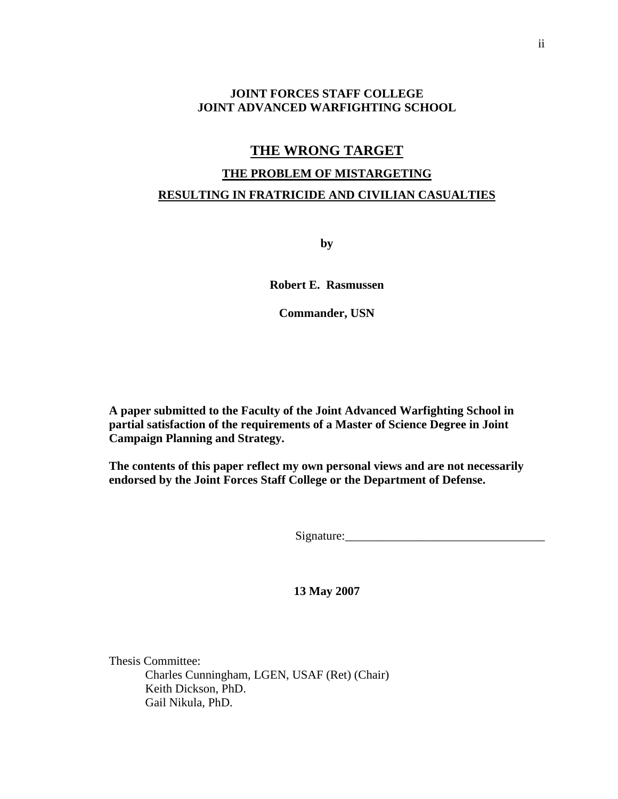#### **JOINT FORCES STAFF COLLEGE JOINT ADVANCED WARFIGHTING SCHOOL**

### **THE WRONG TARGET**

# **THE PROBLEM OF MISTARGETING RESULTING IN FRATRICIDE AND CIVILIAN CASUALTIES**

**by** 

**Robert E. Rasmussen** 

**Commander, USN** 

**A paper submitted to the Faculty of the Joint Advanced Warfighting School in partial satisfaction of the requirements of a Master of Science Degree in Joint Campaign Planning and Strategy.** 

**The contents of this paper reflect my own personal views and are not necessarily endorsed by the Joint Forces Staff College or the Department of Defense.** 

Signature:\_\_\_\_\_\_\_\_\_\_\_\_\_\_\_\_\_\_\_\_\_\_\_\_\_\_\_\_\_\_\_\_\_

**13 May 2007** 

Thesis Committee: Charles Cunningham, LGEN, USAF (Ret) (Chair) Keith Dickson, PhD. Gail Nikula, PhD.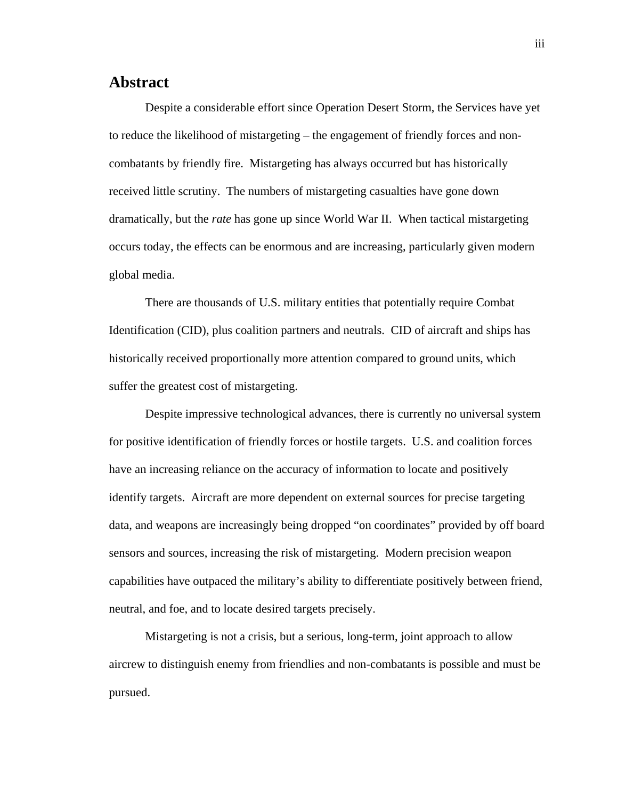# <span id="page-3-0"></span>**Abstract**

Despite a considerable effort since Operation Desert Storm, the Services have yet to reduce the likelihood of mistargeting – the engagement of friendly forces and noncombatants by friendly fire. Mistargeting has always occurred but has historically received little scrutiny. The numbers of mistargeting casualties have gone down dramatically, but the *rate* has gone up since World War II. When tactical mistargeting occurs today, the effects can be enormous and are increasing, particularly given modern global media.

There are thousands of U.S. military entities that potentially require Combat Identification (CID), plus coalition partners and neutrals. CID of aircraft and ships has historically received proportionally more attention compared to ground units, which suffer the greatest cost of mistargeting.

Despite impressive technological advances, there is currently no universal system for positive identification of friendly forces or hostile targets. U.S. and coalition forces have an increasing reliance on the accuracy of information to locate and positively identify targets. Aircraft are more dependent on external sources for precise targeting data, and weapons are increasingly being dropped "on coordinates" provided by off board sensors and sources, increasing the risk of mistargeting. Modern precision weapon capabilities have outpaced the military's ability to differentiate positively between friend, neutral, and foe, and to locate desired targets precisely.

Mistargeting is not a crisis, but a serious, long-term, joint approach to allow aircrew to distinguish enemy from friendlies and non-combatants is possible and must be pursued.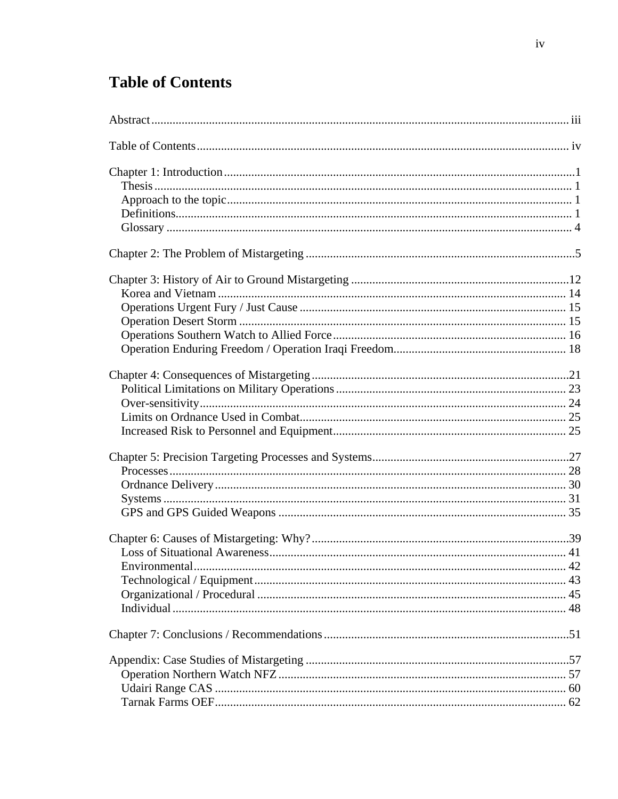# <span id="page-4-0"></span>**Table of Contents**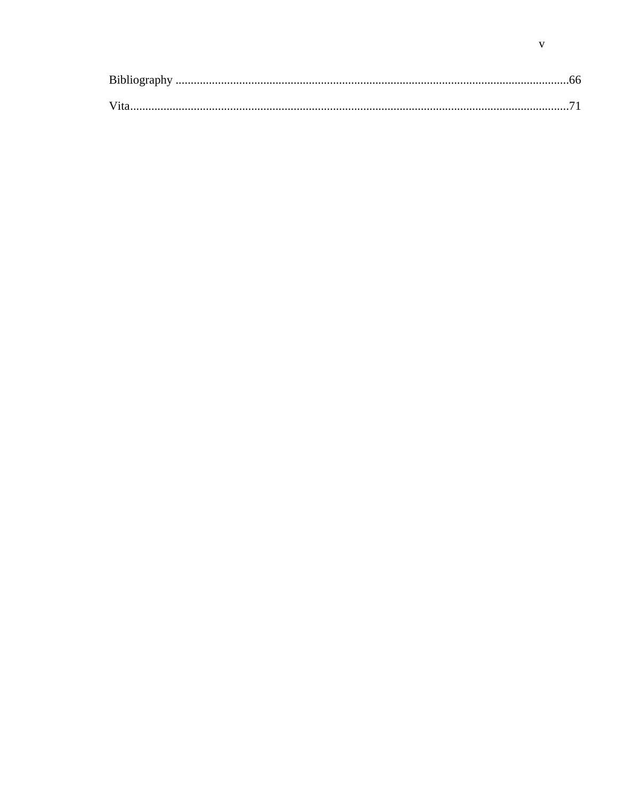| Bibliography |  |
|--------------|--|
|              |  |
|              |  |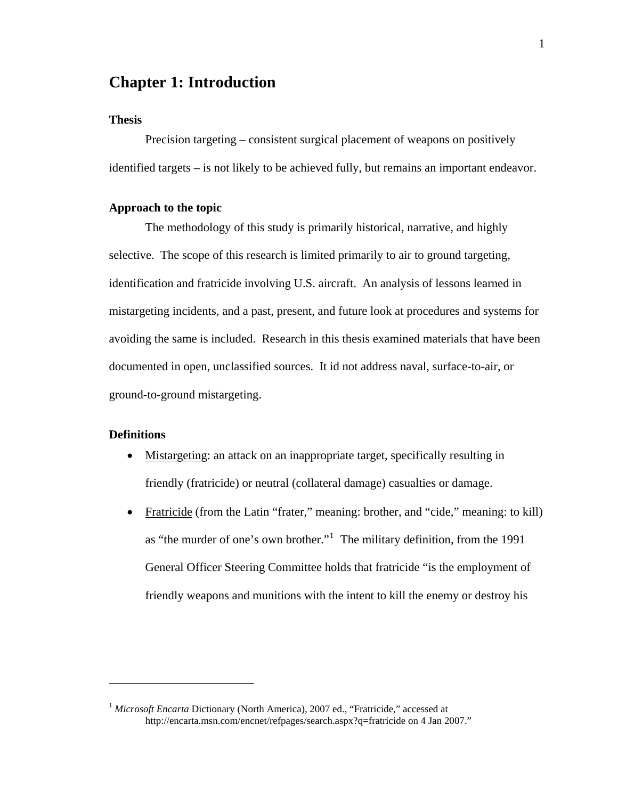# <span id="page-6-0"></span>**Chapter 1: Introduction**

#### **Thesis**

Precision targeting – consistent surgical placement of weapons on positively identified targets – is not likely to be achieved fully, but remains an important endeavor.

#### **Approach to the topic**

 The methodology of this study is primarily historical, narrative, and highly selective. The scope of this research is limited primarily to air to ground targeting, identification and fratricide involving U.S. aircraft. An analysis of lessons learned in mistargeting incidents, and a past, present, and future look at procedures and systems for avoiding the same is included. Research in this thesis examined materials that have been documented in open, unclassified sources. It id not address naval, surface-to-air, or ground-to-ground mistargeting.

#### **Definitions**

1

- Mistargeting: an attack on an inappropriate target, specifically resulting in friendly (fratricide) or neutral (collateral damage) casualties or damage.
- Fratricide (from the Latin "frater," meaning: brother, and "cide," meaning: to kill) as "the murder of one's own brother."<sup>[1](#page-6-1)</sup> The military definition, from the 1991 General Officer Steering Committee holds that fratricide "is the employment of friendly weapons and munitions with the intent to kill the enemy or destroy his

<span id="page-6-1"></span><sup>1</sup> Microsoft Encarta Dictionary (North America), 2007 ed., "Fratricide," accessed at http://encarta.msn.com/encnet/refpages/search.aspx?q=fratricide on 4 Jan 2007."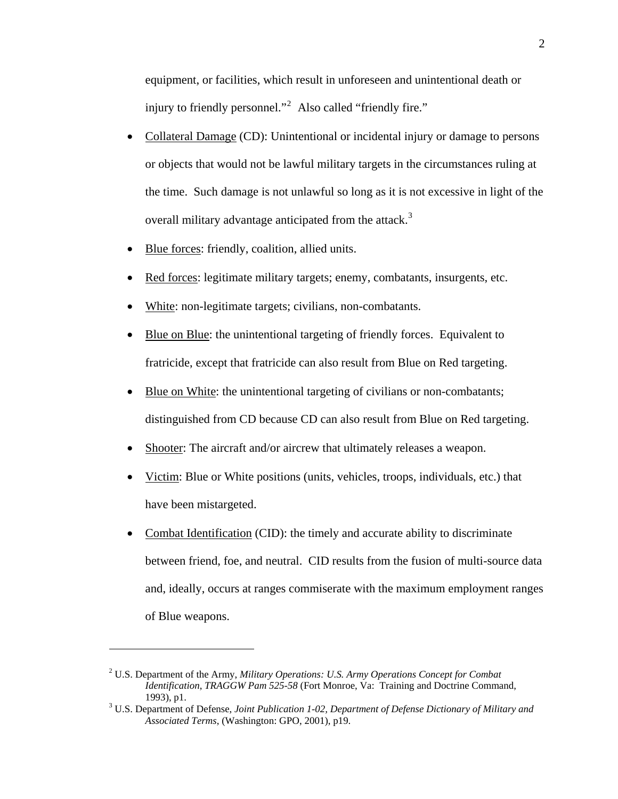equipment, or facilities, which result in unforeseen and unintentional death or injury to friendly personnel."<sup>2</sup> Also called "friendly fire."

- Collateral Damage (CD): Unintentional or incidental injury or damage to persons or objects that would not be lawful military targets in the circumstances ruling at the time. Such damage is not unlawful so long as it is not excessive in light of the overall military advantage anticipated from the attack.<sup>[3](#page-7-0)</sup>
- Blue forces: friendly, coalition, allied units.
- Red forces: legitimate military targets; enemy, combatants, insurgents, etc.
- White: non-legitimate targets; civilians, non-combatants.
- Blue on Blue: the unintentional targeting of friendly forces. Equivalent to fratricide, except that fratricide can also result from Blue on Red targeting.
- Blue on White: the unintentional targeting of civilians or non-combatants; distinguished from CD because CD can also result from Blue on Red targeting.
- Shooter: The aircraft and/or aircrew that ultimately releases a weapon.
- Victim: Blue or White positions (units, vehicles, troops, individuals, etc.) that have been mistargeted.
- Combat Identification (CID): the timely and accurate ability to discriminate between friend, foe, and neutral. CID results from the fusion of multi-source data and, ideally, occurs at ranges commiserate with the maximum employment ranges of Blue weapons.

<sup>2</sup> U.S. Department of the Army, *Military Operations: U.S. Army Operations Concept for Combat Identification*, *TRAGGW Pam 525-58* (Fort Monroe, Va: Training and Doctrine Command, 1993), p1. 3 U.S. Department of Defense, *Joint Publication 1-02, Department of Defense Dictionary of Military and* 

<span id="page-7-0"></span>*Associated Terms*, (Washington: GPO, 2001), p19.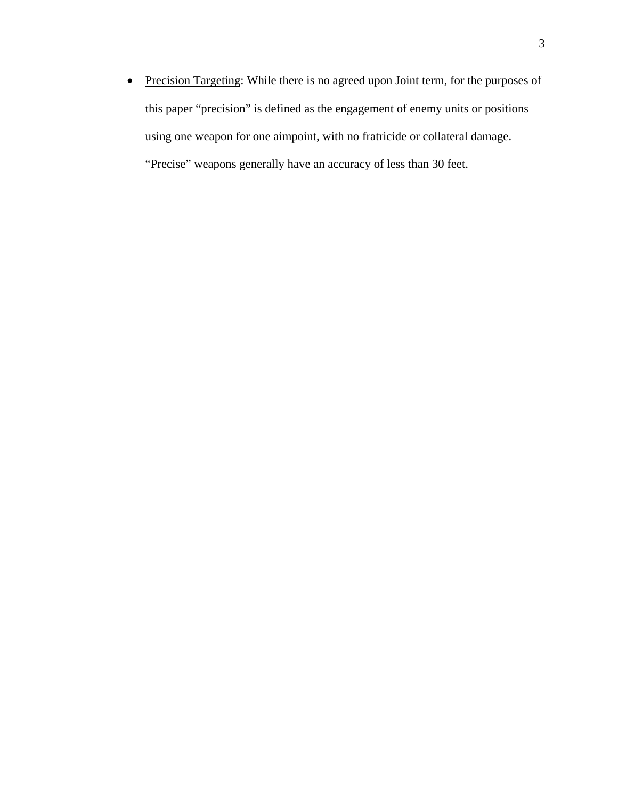• Precision Targeting: While there is no agreed upon Joint term, for the purposes of this paper "precision" is defined as the engagement of enemy units or positions using one weapon for one aimpoint, with no fratricide or collateral damage. "Precise" weapons generally have an accuracy of less than 30 feet.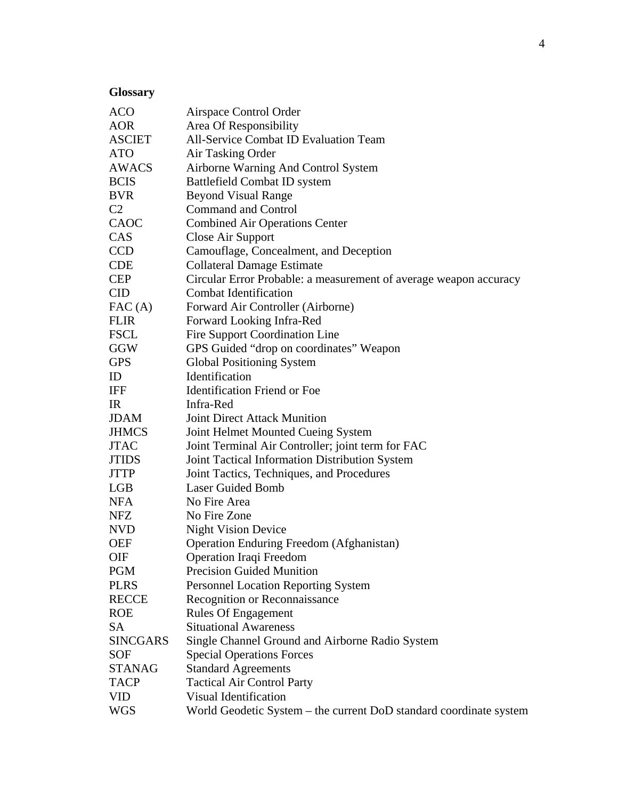# <span id="page-9-0"></span>**Glossary**

| <b>ACO</b>      | Airspace Control Order                                             |  |  |  |
|-----------------|--------------------------------------------------------------------|--|--|--|
| <b>AOR</b>      | Area Of Responsibility                                             |  |  |  |
| <b>ASCIET</b>   | <b>All-Service Combat ID Evaluation Team</b>                       |  |  |  |
| <b>ATO</b>      | Air Tasking Order                                                  |  |  |  |
| AWACS           | Airborne Warning And Control System                                |  |  |  |
| <b>BCIS</b>     | <b>Battlefield Combat ID system</b>                                |  |  |  |
| <b>BVR</b>      | <b>Beyond Visual Range</b>                                         |  |  |  |
| C <sub>2</sub>  | <b>Command and Control</b>                                         |  |  |  |
| CAOC            | <b>Combined Air Operations Center</b>                              |  |  |  |
| CAS             | Close Air Support                                                  |  |  |  |
| <b>CCD</b>      | Camouflage, Concealment, and Deception                             |  |  |  |
| <b>CDE</b>      | <b>Collateral Damage Estimate</b>                                  |  |  |  |
| <b>CEP</b>      | Circular Error Probable: a measurement of average weapon accuracy  |  |  |  |
| <b>CID</b>      | <b>Combat Identification</b>                                       |  |  |  |
| FAC(A)          | Forward Air Controller (Airborne)                                  |  |  |  |
| <b>FLIR</b>     | Forward Looking Infra-Red                                          |  |  |  |
| <b>FSCL</b>     | Fire Support Coordination Line                                     |  |  |  |
| GGW             | GPS Guided "drop on coordinates" Weapon                            |  |  |  |
| <b>GPS</b>      | <b>Global Positioning System</b>                                   |  |  |  |
| ID              | Identification                                                     |  |  |  |
| IFF             | <b>Identification Friend or Foe</b>                                |  |  |  |
| IR              | Infra-Red                                                          |  |  |  |
| <b>JDAM</b>     | <b>Joint Direct Attack Munition</b>                                |  |  |  |
| <b>JHMCS</b>    | Joint Helmet Mounted Cueing System                                 |  |  |  |
| <b>JTAC</b>     | Joint Terminal Air Controller; joint term for FAC                  |  |  |  |
| <b>JTIDS</b>    | Joint Tactical Information Distribution System                     |  |  |  |
| <b>JTTP</b>     | Joint Tactics, Techniques, and Procedures                          |  |  |  |
| LGB             | <b>Laser Guided Bomb</b>                                           |  |  |  |
| <b>NFA</b>      | No Fire Area                                                       |  |  |  |
| <b>NFZ</b>      | No Fire Zone                                                       |  |  |  |
| <b>NVD</b>      | <b>Night Vision Device</b>                                         |  |  |  |
| <b>OEF</b>      | <b>Operation Enduring Freedom (Afghanistan)</b>                    |  |  |  |
| <b>OIF</b>      | Operation Iraqi Freedom                                            |  |  |  |
| <b>PGM</b>      | <b>Precision Guided Munition</b>                                   |  |  |  |
| <b>PLRS</b>     | <b>Personnel Location Reporting System</b>                         |  |  |  |
| <b>RECCE</b>    | Recognition or Reconnaissance                                      |  |  |  |
| <b>ROE</b>      | <b>Rules Of Engagement</b>                                         |  |  |  |
| SA              | <b>Situational Awareness</b>                                       |  |  |  |
| <b>SINCGARS</b> | Single Channel Ground and Airborne Radio System                    |  |  |  |
| <b>SOF</b>      | <b>Special Operations Forces</b>                                   |  |  |  |
| <b>STANAG</b>   | <b>Standard Agreements</b>                                         |  |  |  |
| <b>TACP</b>     | <b>Tactical Air Control Party</b>                                  |  |  |  |
| <b>VID</b>      | Visual Identification                                              |  |  |  |
| <b>WGS</b>      | World Geodetic System - the current DoD standard coordinate system |  |  |  |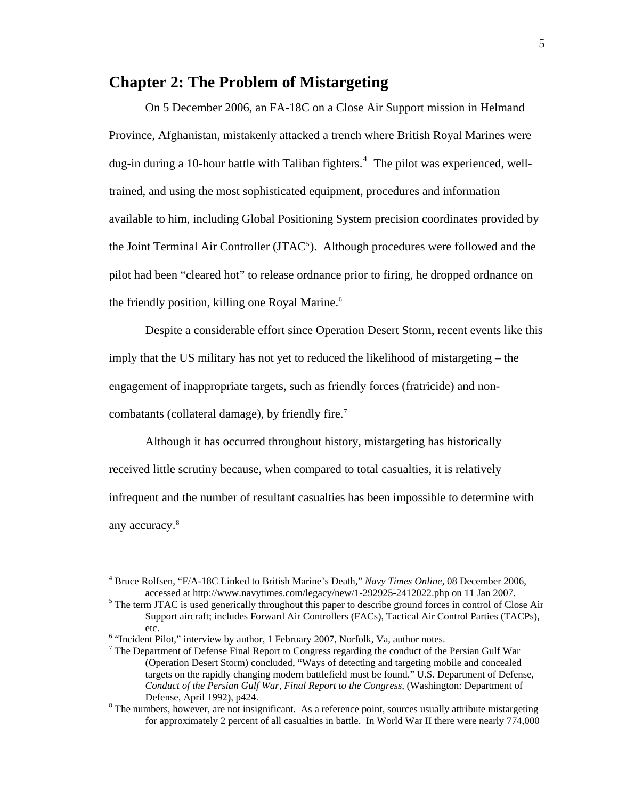## <span id="page-10-0"></span>**Chapter 2: The Problem of Mistargeting**

 On 5 December 2006, an FA-18C on a Close Air Support mission in Helmand Province, Afghanistan, mistakenly attacked a trench where British Royal Marines were dug-in during a 10-hour battle with Taliban fighters.<sup>[4](#page-10-1)</sup> The pilot was experienced, welltrained, and using the most sophisticated equipment, procedures and information available to him, including Global Positioning System precision coordinates provided by the Joint Terminal Air Controller  $(TAC<sup>5</sup>)$  $(TAC<sup>5</sup>)$  $(TAC<sup>5</sup>)$ . Although procedures were followed and the pilot had been "cleared hot" to release ordnance prior to firing, he dropped ordnance on the friendly position, killing one Royal Marine.<sup>[6](#page-10-3)</sup>

Despite a considerable effort since Operation Desert Storm, recent events like this imply that the US military has not yet to reduced the likelihood of mistargeting – the engagement of inappropriate targets, such as friendly forces (fratricide) and non-combatants (collateral damage), by friendly fire.<sup>[7](#page-10-4)</sup>

Although it has occurred throughout history, mistargeting has historically received little scrutiny because, when compared to total casualties, it is relatively infrequent and the number of resultant casualties has been impossible to determine with any accuracy.<sup>[8](#page-10-5)</sup>

1

<span id="page-10-1"></span><sup>4</sup> Bruce Rolfsen, "F/A-18C Linked to British Marine's Death," *Navy Times Online*, 08 December 2006, accessed at http://www.navytimes.com/legacy/new/1-292925-2412022.php on 11 Jan 2007.

<span id="page-10-2"></span> $<sup>5</sup>$  The term JTAC is used generically throughout this paper to describe ground forces in control of Close Air</sup> Support aircraft; includes Forward Air Controllers (FACs), Tactical Air Control Parties (TACPs), etc.<br><sup>6</sup> "Incident Pilot," interview by author, 1 February 2007, Norfolk, Va, author notes.

<span id="page-10-4"></span><span id="page-10-3"></span>

 $<sup>7</sup>$  The Department of Defense Final Report to Congress regarding the conduct of the Persian Gulf War</sup> (Operation Desert Storm) concluded, "Ways of detecting and targeting mobile and concealed targets on the rapidly changing modern battlefield must be found." U.S. Department of Defense, *Conduct of the Persian Gulf War, Final Report to the Congress,* (Washington: Department of Defense, April 1992), p424. 8

<span id="page-10-5"></span> $8$  The numbers, however, are not insignificant. As a reference point, sources usually attribute mistargeting for approximately 2 percent of all casualties in battle. In World War II there were nearly 774,000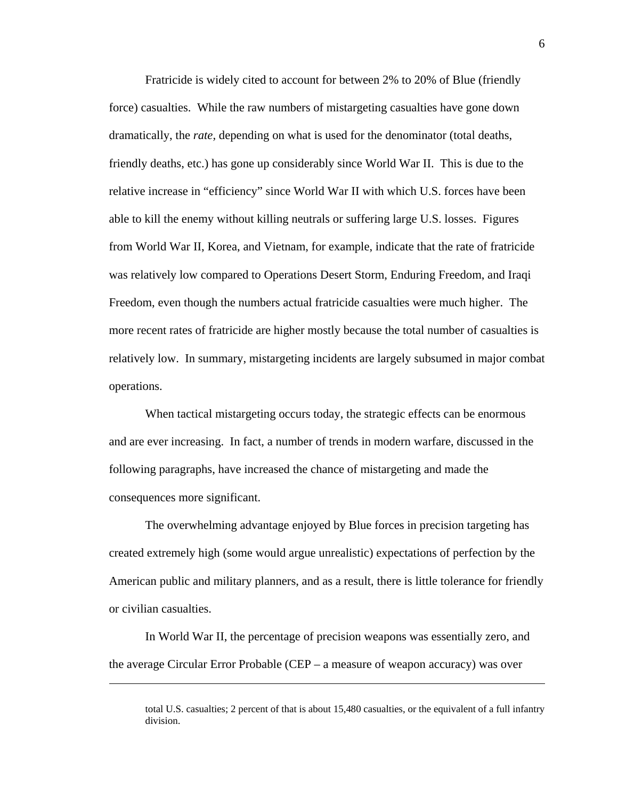Fratricide is widely cited to account for between 2% to 20% of Blue (friendly force) casualties. While the raw numbers of mistargeting casualties have gone down dramatically, the *rate,* depending on what is used for the denominator (total deaths, friendly deaths, etc.) has gone up considerably since World War II. This is due to the relative increase in "efficiency" since World War II with which U.S. forces have been able to kill the enemy without killing neutrals or suffering large U.S. losses. Figures from World War II, Korea, and Vietnam, for example, indicate that the rate of fratricide was relatively low compared to Operations Desert Storm, Enduring Freedom, and Iraqi Freedom, even though the numbers actual fratricide casualties were much higher. The more recent rates of fratricide are higher mostly because the total number of casualties is relatively low. In summary, mistargeting incidents are largely subsumed in major combat operations.

When tactical mistargeting occurs today, the strategic effects can be enormous and are ever increasing. In fact, a number of trends in modern warfare, discussed in the following paragraphs, have increased the chance of mistargeting and made the consequences more significant.

The overwhelming advantage enjoyed by Blue forces in precision targeting has created extremely high (some would argue unrealistic) expectations of perfection by the American public and military planners, and as a result, there is little tolerance for friendly or civilian casualties.

In World War II, the percentage of precision weapons was essentially zero, and the average Circular Error Probable (CEP – a measure of weapon accuracy) was over

total U.S. casualties; 2 percent of that is about 15,480 casualties, or the equivalent of a full infantry division.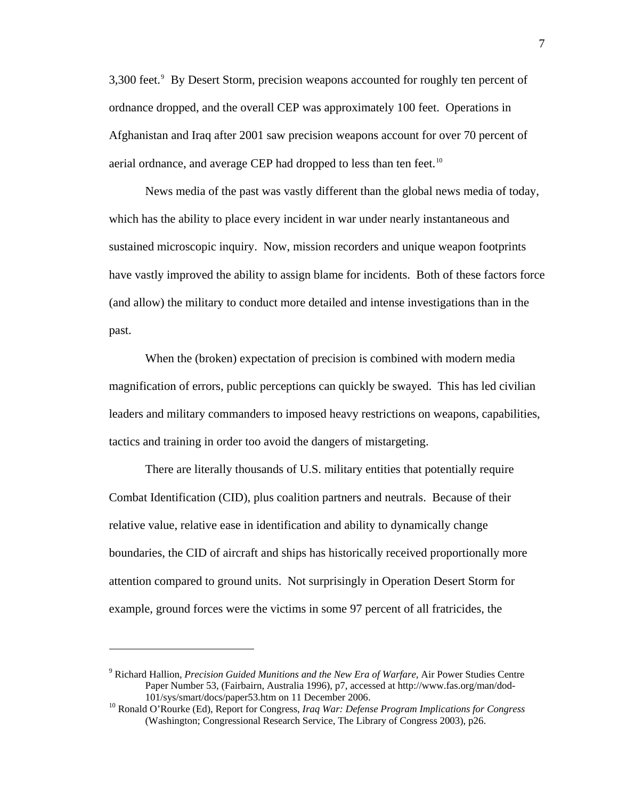3,300 feet.<sup>9</sup> By Desert Storm, precision weapons accounted for roughly ten percent of ordnance dropped, and the overall CEP was approximately 100 feet. Operations in Afghanistan and Iraq after 2001 saw precision weapons account for over 70 percent of aerial ordnance, and average CEP had dropped to less than ten feet.<sup>[10](#page-12-1)</sup>

News media of the past was vastly different than the global news media of today, which has the ability to place every incident in war under nearly instantaneous and sustained microscopic inquiry. Now, mission recorders and unique weapon footprints have vastly improved the ability to assign blame for incidents. Both of these factors force (and allow) the military to conduct more detailed and intense investigations than in the past.

When the (broken) expectation of precision is combined with modern media magnification of errors, public perceptions can quickly be swayed. This has led civilian leaders and military commanders to imposed heavy restrictions on weapons, capabilities, tactics and training in order too avoid the dangers of mistargeting.

There are literally thousands of U.S. military entities that potentially require Combat Identification (CID), plus coalition partners and neutrals. Because of their relative value, relative ease in identification and ability to dynamically change boundaries, the CID of aircraft and ships has historically received proportionally more attention compared to ground units. Not surprisingly in Operation Desert Storm for example, ground forces were the victims in some 97 percent of all fratricides, the

<span id="page-12-0"></span><sup>9</sup> Richard Hallion, *Precision Guided Munitions and the New Era of Warfare,* Air Power Studies Centre Paper Number 53, (Fairbairn, Australia 1996), p7, accessed at http://www.fas.org/man/dod-101/sys/smart/docs/paper53.htm on 11 December 2006. 10 Ronald O'Rourke (Ed), Report for Congress, *Iraq War: Defense Program Implications for Congress*

<span id="page-12-1"></span><sup>(</sup>Washington; Congressional Research Service, The Library of Congress 2003), p26.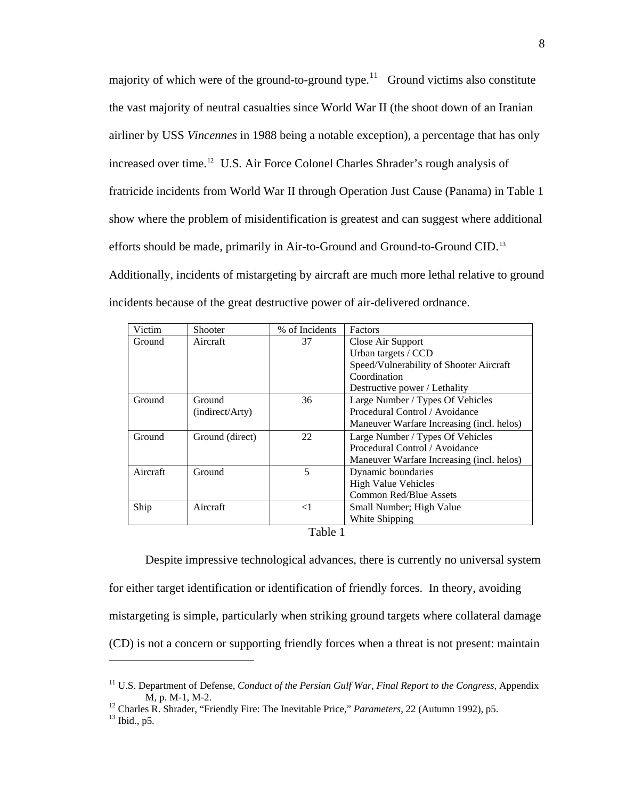majority of which were of the ground-to-ground type.<sup>[11](#page-13-0)</sup> Ground victims also constitute the vast majority of neutral casualties since World War II (the shoot down of an Iranian airliner by USS *Vincennes* in 1988 being a notable exception), a percentage that has only increased over time.<sup>[12](#page-13-1)</sup> U.S. Air Force Colonel Charles Shrader's rough analysis of fratricide incidents from World War II through Operation Just Cause (Panama) in Table 1 show where the problem of misidentification is greatest and can suggest where additional efforts should be made, primarily in Air-to-Ground and Ground-to-Ground CID.[13](#page-13-2) Additionally, incidents of mistargeting by aircraft are much more lethal relative to ground incidents because of the great destructive power of air-delivered ordnance.

| Victim                        | Shooter         | % of Incidents | Factors                                   |  |  |
|-------------------------------|-----------------|----------------|-------------------------------------------|--|--|
| Aircraft<br>Ground            |                 | 37             | Close Air Support                         |  |  |
|                               |                 |                | Urban targets / CCD                       |  |  |
|                               |                 |                | Speed/Vulnerability of Shooter Aircraft   |  |  |
|                               |                 |                | Coordination                              |  |  |
|                               |                 |                | Destructive power / Lethality             |  |  |
| Ground                        | Ground          | 36             | Large Number / Types Of Vehicles          |  |  |
|                               | (indirect/Arty) |                | Procedural Control / Avoidance            |  |  |
|                               |                 |                | Maneuver Warfare Increasing (incl. helos) |  |  |
| Ground                        | Ground (direct) | 22             | Large Number / Types Of Vehicles          |  |  |
|                               |                 |                | Procedural Control / Avoidance            |  |  |
|                               |                 |                | Maneuver Warfare Increasing (incl. helos) |  |  |
| Aircraft                      | Ground          | 5              | Dynamic boundaries                        |  |  |
|                               |                 |                | <b>High Value Vehicles</b>                |  |  |
|                               |                 |                | <b>Common Red/Blue Assets</b>             |  |  |
| Ship                          | Aircraft        | $\leq$ 1       | Small Number; High Value                  |  |  |
|                               |                 |                | White Shipping                            |  |  |
| $T_{\alpha}$ 1.1. $\alpha$ 1. |                 |                |                                           |  |  |

Table 1

Despite impressive technological advances, there is currently no universal system for either target identification or identification of friendly forces. In theory, avoiding mistargeting is simple, particularly when striking ground targets where collateral damage (CD) is not a concern or supporting friendly forces when a threat is not present: maintain

<span id="page-13-0"></span><sup>11</sup> U.S. Department of Defense, *Conduct of the Persian Gulf War, Final Report to the Congress*, Appendix

<span id="page-13-2"></span><span id="page-13-1"></span>M, p. M-1, M-2.<br><sup>12</sup> Charles R. Shrader, "Friendly Fire: The Inevitable Price," *Parameters*, 22 (Autumn 1992), p5.<br><sup>13</sup> Ibid., p5.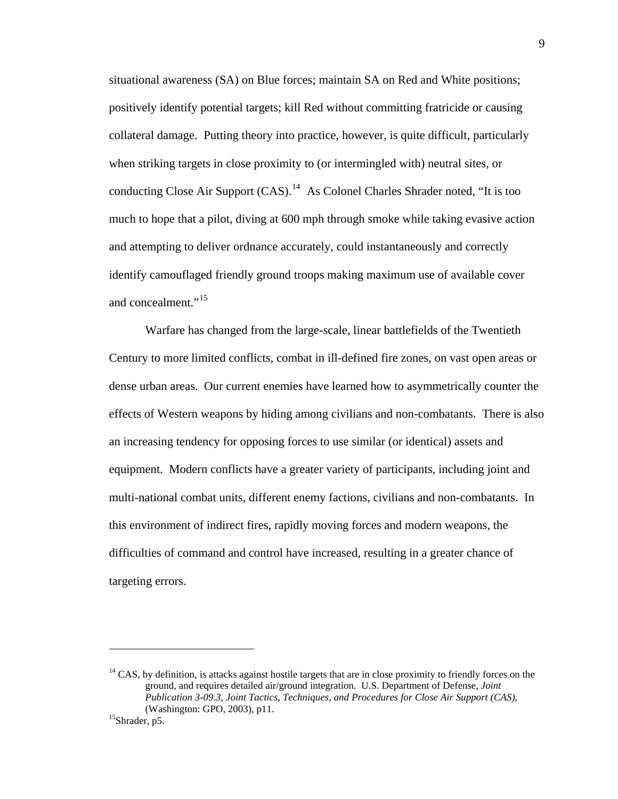situational awareness (SA) on Blue forces; maintain SA on Red and White positions; positively identify potential targets; kill Red without committing fratricide or causing collateral damage. Putting theory into practice, however, is quite difficult, particularly when striking targets in close proximity to (or intermingled with) neutral sites, or conducting Close Air Support  $(CAS)$ .<sup>[14](#page-14-0)</sup> As Colonel Charles Shrader noted, "It is too much to hope that a pilot, diving at 600 mph through smoke while taking evasive action and attempting to deliver ordnance accurately, could instantaneously and correctly identify camouflaged friendly ground troops making maximum use of available cover and concealment."<sup>[15](#page-14-1)</sup>

Warfare has changed from the large-scale, linear battlefields of the Twentieth Century to more limited conflicts, combat in ill-defined fire zones, on vast open areas or dense urban areas. Our current enemies have learned how to asymmetrically counter the effects of Western weapons by hiding among civilians and non-combatants. There is also an increasing tendency for opposing forces to use similar (or identical) assets and equipment. Modern conflicts have a greater variety of participants, including joint and multi-national combat units, different enemy factions, civilians and non-combatants. In this environment of indirect fires, rapidly moving forces and modern weapons, the difficulties of command and control have increased, resulting in a greater chance of targeting errors.

<span id="page-14-0"></span> $<sup>14</sup> CAS$ , by definition, is attacks against hostile targets that are in close proximity to friendly forces on the</sup> ground, and requires detailed air/ground integration. U.S. Department of Defense, *Joint Publication 3-09.3, Joint Tactics, Techniques, and Procedures for Close Air Support (CAS)*, (Washington: GPO, 2003), p11.<br><sup>15</sup>Shrader, p5.

<span id="page-14-1"></span>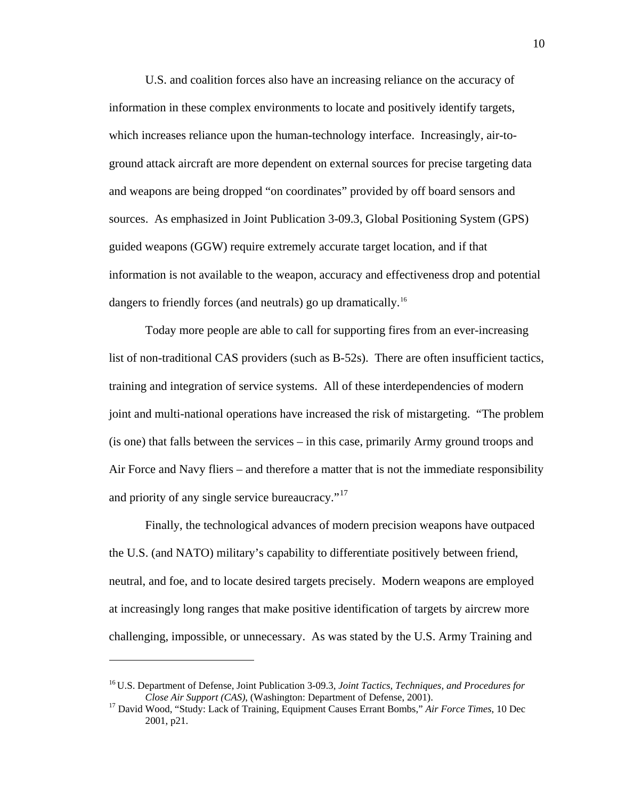U.S. and coalition forces also have an increasing reliance on the accuracy of information in these complex environments to locate and positively identify targets, which increases reliance upon the human-technology interface. Increasingly, air-toground attack aircraft are more dependent on external sources for precise targeting data and weapons are being dropped "on coordinates" provided by off board sensors and sources. As emphasized in Joint Publication 3-09.3, Global Positioning System (GPS) guided weapons (GGW) require extremely accurate target location, and if that information is not available to the weapon, accuracy and effectiveness drop and potential dangers to friendly forces (and neutrals) go up dramatically.<sup>[16](#page-15-0)</sup>

Today more people are able to call for supporting fires from an ever-increasing list of non-traditional CAS providers (such as B-52s). There are often insufficient tactics, training and integration of service systems. All of these interdependencies of modern joint and multi-national operations have increased the risk of mistargeting. "The problem (is one) that falls between the services – in this case, primarily Army ground troops and Air Force and Navy fliers – and therefore a matter that is not the immediate responsibility and priority of any single service bureaucracy."<sup>[17](#page-15-1)</sup>

Finally, the technological advances of modern precision weapons have outpaced the U.S. (and NATO) military's capability to differentiate positively between friend, neutral, and foe, and to locate desired targets precisely. Modern weapons are employed at increasingly long ranges that make positive identification of targets by aircrew more challenging, impossible, or unnecessary. As was stated by the U.S. Army Training and

1

<span id="page-15-0"></span><sup>16</sup> U.S. Department of Defense, Joint Publication 3-09.3, *Joint Tactics, Techniques, and Procedures for Close Air Support (CAS)*, (Washington: Department of Defense, 2001). 17 David Wood, "Study: Lack of Training, Equipment Causes Errant Bombs," *Air Force Times*, 10 Dec

<span id="page-15-1"></span><sup>2001,</sup> p21.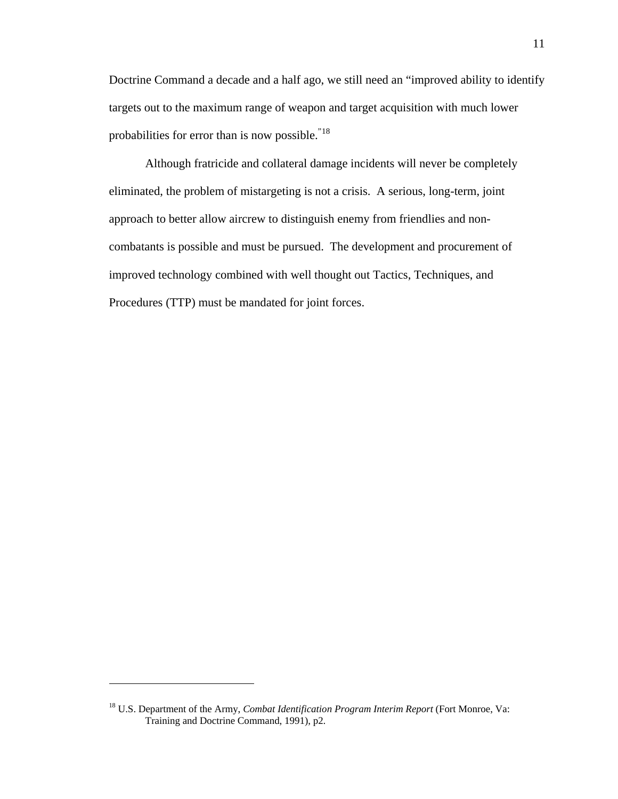Doctrine Command a decade and a half ago, we still need an "improved ability to identify targets out to the maximum range of weapon and target acquisition with much lower probabilities for error than is now possible."[18](#page-16-0)

Although fratricide and collateral damage incidents will never be completely eliminated, the problem of mistargeting is not a crisis. A serious, long-term, joint approach to better allow aircrew to distinguish enemy from friendlies and noncombatants is possible and must be pursued. The development and procurement of improved technology combined with well thought out Tactics, Techniques, and Procedures (TTP) must be mandated for joint forces.

<span id="page-16-0"></span><sup>18</sup> U.S. Department of the Army, *Combat Identification Program Interim Report* (Fort Monroe, Va: Training and Doctrine Command, 1991), p2.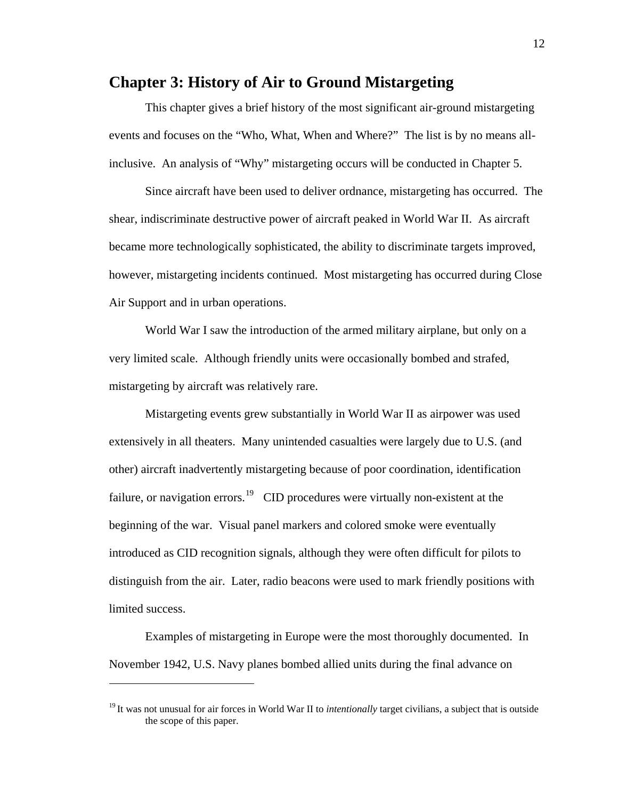### <span id="page-17-0"></span>**Chapter 3: History of Air to Ground Mistargeting**

 This chapter gives a brief history of the most significant air-ground mistargeting events and focuses on the "Who, What, When and Where?" The list is by no means allinclusive. An analysis of "Why" mistargeting occurs will be conducted in Chapter 5.

Since aircraft have been used to deliver ordnance, mistargeting has occurred. The shear, indiscriminate destructive power of aircraft peaked in World War II. As aircraft became more technologically sophisticated, the ability to discriminate targets improved, however, mistargeting incidents continued. Most mistargeting has occurred during Close Air Support and in urban operations.

World War I saw the introduction of the armed military airplane, but only on a very limited scale. Although friendly units were occasionally bombed and strafed, mistargeting by aircraft was relatively rare.

Mistargeting events grew substantially in World War II as airpower was used extensively in all theaters. Many unintended casualties were largely due to U.S. (and other) aircraft inadvertently mistargeting because of poor coordination, identification failure, or navigation errors.<sup>[19](#page-17-1)</sup> CID procedures were virtually non-existent at the beginning of the war. Visual panel markers and colored smoke were eventually introduced as CID recognition signals, although they were often difficult for pilots to distinguish from the air. Later, radio beacons were used to mark friendly positions with limited success.

 Examples of mistargeting in Europe were the most thoroughly documented. In November 1942, U.S. Navy planes bombed allied units during the final advance on

<span id="page-17-1"></span><sup>&</sup>lt;sup>19</sup> It was not unusual for air forces in World War II to *intentionally* target civilians, a subject that is outside the scope of this paper.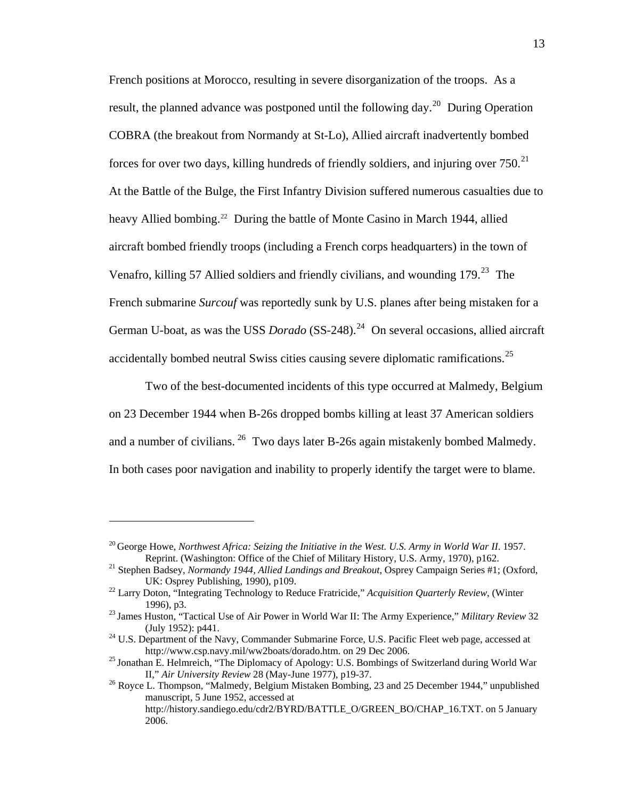French positions at Morocco, resulting in severe disorganization of the troops. As a result, the planned advance was postponed until the following day.<sup>[20](#page-18-0)</sup> During Operation COBRA (the breakout from Normandy at St-Lo), Allied aircraft inadvertently bombed forces for over two days, killing hundreds of friendly soldiers, and injuring over  $750$ <sup>[21](#page-18-1)</sup> At the Battle of the Bulge, the First Infantry Division suffered numerous casualties due to heavy Allied bombing.<sup>[22](#page-18-2)</sup> During the battle of Monte Casino in March 1944, allied aircraft bombed friendly troops (including a French corps headquarters) in the town of Venafro, killing 57 Allied soldiers and friendly civilians, and wounding  $179<sup>23</sup>$  $179<sup>23</sup>$  $179<sup>23</sup>$  The French submarine *Surcouf* was reportedly sunk by U.S. planes after being mistaken for a German U-boat, as was the USS *Dorado* (SS-[24](#page-18-4)8).<sup>24</sup> On several occasions, allied aircraft accidentally bombed neutral Swiss cities causing severe diplomatic ramifications.<sup>[25](#page-18-5)</sup>

 Two of the best-documented incidents of this type occurred at Malmedy, Belgium on 23 December 1944 when B-26s dropped bombs killing at least 37 American soldiers and a number of civilians. <sup>[26](#page-18-6)</sup> Two days later B-26s again mistakenly bombed Malmedy. In both cases poor navigation and inability to properly identify the target were to blame.

<span id="page-18-0"></span><sup>&</sup>lt;sup>20</sup> George Howe, *Northwest Africa: Seizing the Initiative in the West. U.S. Army in World War II.* 1957. Reprint. (Washington: Office of the Chief of Military History, U.S. Army, 1970), p162. 21 Stephen Badsey, *Normandy 1944, Allied Landings and Breakout*, Osprey Campaign Series #1; (Oxford,

<span id="page-18-1"></span>UK: Osprey Publishing, 1990), p109. 22 Larry Doton, "Integrating Technology to Reduce Fratricide," *Acquisition Quarterly Review*, (Winter

<span id="page-18-2"></span><sup>1996),</sup> p3. 23 James Huston, "Tactical Use of Air Power in World War II: The Army Experience," *Military Review*<sup>32</sup>

<span id="page-18-3"></span><sup>(</sup>July 1952): p441.<br><sup>24</sup> U.S. Department of the Navy, Commander Submarine Force, U.S. Pacific Fleet web page, accessed at

<span id="page-18-4"></span>http://www.csp.navy.mil/ww2boats/dorado.htm. on 29 Dec 2006.<br><sup>25</sup> Jonathan E. Helmreich, "The Diplomacy of Apology: U.S. Bombings of Switzerland during World War

<span id="page-18-5"></span>II," *Air University Review* 28 (May-June 1977), p19-37. 26 Royce L. Thompson, "Malmedy, Belgium Mistaken Bombing, 23 and 25 December 1944," unpublished

<span id="page-18-6"></span>manuscript, 5 June 1952, accessed at http://history.sandiego.edu/cdr2/BYRD/BATTLE\_O/GREEN\_BO/CHAP\_16.TXT. on 5 January 2006.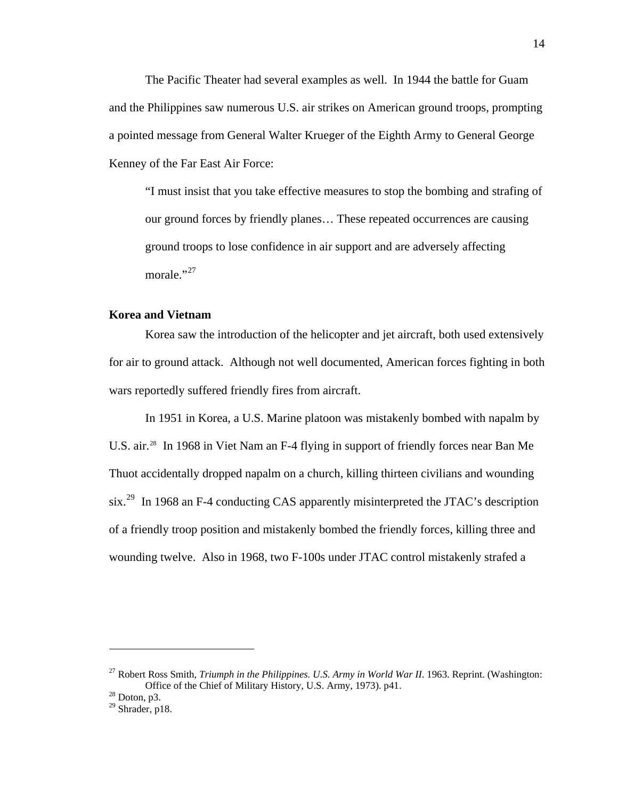<span id="page-19-0"></span>The Pacific Theater had several examples as well. In 1944 the battle for Guam and the Philippines saw numerous U.S. air strikes on American ground troops, prompting a pointed message from General Walter Krueger of the Eighth Army to General George Kenney of the Far East Air Force:

"I must insist that you take effective measures to stop the bombing and strafing of our ground forces by friendly planes… These repeated occurrences are causing ground troops to lose confidence in air support and are adversely affecting morale."<sup>[27](#page-19-1)</sup>

#### **Korea and Vietnam**

 Korea saw the introduction of the helicopter and jet aircraft, both used extensively for air to ground attack. Although not well documented, American forces fighting in both wars reportedly suffered friendly fires from aircraft.

In 1951 in Korea, a U.S. Marine platoon was mistakenly bombed with napalm by U.S. air.<sup>28</sup> In 1968 in Viet Nam an F-4 flying in support of friendly forces near Ban Me Thuot accidentally dropped napalm on a church, killing thirteen civilians and wounding six.<sup>[29](#page-19-3)</sup> In 1968 an F-4 conducting CAS apparently misinterpreted the JTAC's description of a friendly troop position and mistakenly bombed the friendly forces, killing three and wounding twelve. Also in 1968, two F-100s under JTAC control mistakenly strafed a

<span id="page-19-1"></span><sup>&</sup>lt;sup>27</sup> Robert Ross Smith, *Triumph in the Philippines. U.S. Army in World War II*. 1963. Reprint. (Washington: Office of the Chief of Military History, U.S. Army, 1973). p41. 28 Doton, p3.

<span id="page-19-3"></span><span id="page-19-2"></span><sup>&</sup>lt;sup>29</sup> Shrader, p18.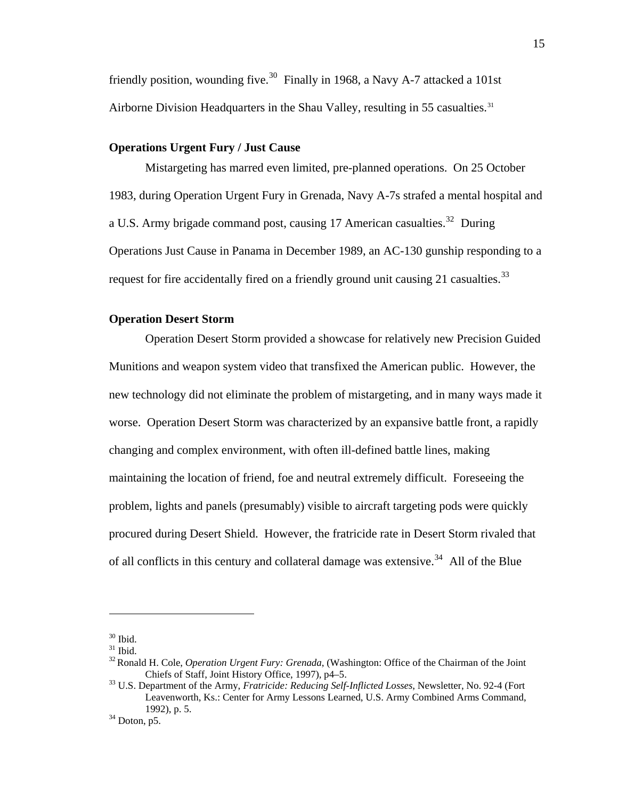<span id="page-20-0"></span>friendly position, wounding five.<sup>[30](#page-20-1)</sup> Finally in 1968, a Navy A-7 attacked a 101st Airborne Division Headquarters in the Shau Valley, resulting in 55 casualties.<sup>[31](#page-20-2)</sup>

#### **Operations Urgent Fury / Just Cause**

 Mistargeting has marred even limited, pre-planned operations. On 25 October 1983, during Operation Urgent Fury in Grenada, Navy A-7s strafed a mental hospital and a U.S. Army brigade command post, causing 17 American casualties.<sup>[32](#page-20-3)</sup> During Operations Just Cause in Panama in December 1989, an AC-130 gunship responding to a request for fire accidentally fired on a friendly ground unit causing 21 casualties.<sup>[33](#page-20-4)</sup>

#### **Operation Desert Storm**

 Operation Desert Storm provided a showcase for relatively new Precision Guided Munitions and weapon system video that transfixed the American public. However, the new technology did not eliminate the problem of mistargeting, and in many ways made it worse. Operation Desert Storm was characterized by an expansive battle front, a rapidly changing and complex environment, with often ill-defined battle lines, making maintaining the location of friend, foe and neutral extremely difficult. Foreseeing the problem, lights and panels (presumably) visible to aircraft targeting pods were quickly procured during Desert Shield. However, the fratricide rate in Desert Storm rivaled that of all conflicts in this century and collateral damage was extensive.<sup>[34](#page-20-5)</sup> All of the Blue

1

 $^{\rm 30}$  Ibid.

<span id="page-20-2"></span><span id="page-20-1"></span> $31$  Ibid.

<span id="page-20-3"></span><sup>32</sup> Ronald H. Cole, *Operation Urgent Fury: Grenada*, (Washington: Office of the Chairman of the Joint Chiefs of Staff, Joint History Office, 1997), p4–5. 33 U.S. Department of the Army, *Fratricide: Reducing Self-Inflicted Losses*, Newsletter, No. 92-4 (Fort

<span id="page-20-4"></span>Leavenworth, Ks.: Center for Army Lessons Learned, U.S. Army Combined Arms Command, 1992), p. 5.  $34$  Doton, p5.

<span id="page-20-5"></span>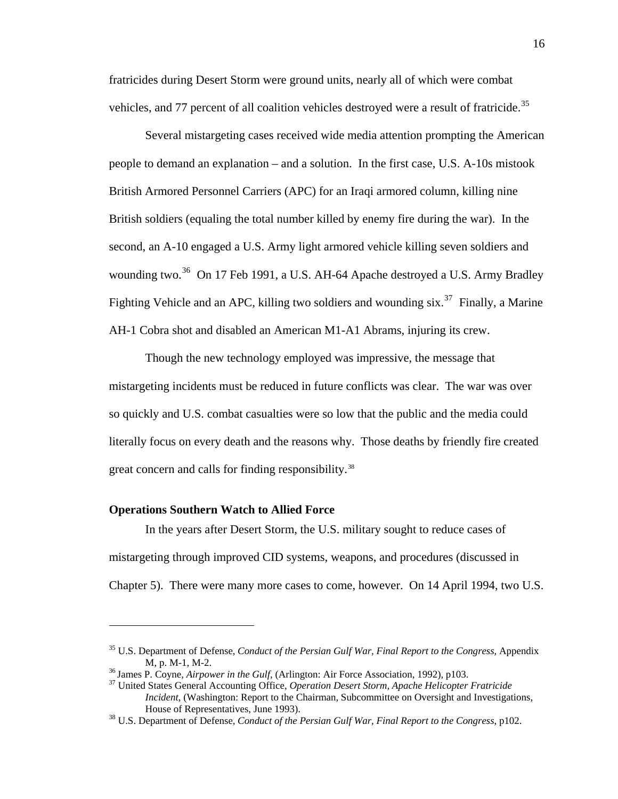<span id="page-21-0"></span>fratricides during Desert Storm were ground units, nearly all of which were combat vehicles, and 77 percent of all coalition vehicles destroyed were a result of fratricide.<sup>[35](#page-21-1)</sup>

Several mistargeting cases received wide media attention prompting the American people to demand an explanation – and a solution. In the first case, U.S. A-10s mistook British Armored Personnel Carriers (APC) for an Iraqi armored column, killing nine British soldiers (equaling the total number killed by enemy fire during the war). In the second, an A-10 engaged a U.S. Army light armored vehicle killing seven soldiers and wounding two.<sup>[36](#page-21-2)</sup> On 17 Feb 1991, a U.S. AH-64 Apache destroyed a U.S. Army Bradley Fighting Vehicle and an APC, killing two soldiers and wounding  $\sin^{37}$  $\sin^{37}$  $\sin^{37}$  Finally, a Marine AH-1 Cobra shot and disabled an American M1-A1 Abrams, injuring its crew.

Though the new technology employed was impressive, the message that mistargeting incidents must be reduced in future conflicts was clear. The war was over so quickly and U.S. combat casualties were so low that the public and the media could literally focus on every death and the reasons why. Those deaths by friendly fire created great concern and calls for finding responsibility.<sup>[38](#page-21-4)</sup>

#### **Operations Southern Watch to Allied Force**

1

In the years after Desert Storm, the U.S. military sought to reduce cases of mistargeting through improved CID systems, weapons, and procedures (discussed in Chapter 5). There were many more cases to come, however. On 14 April 1994, two U.S.

<span id="page-21-1"></span><sup>35</sup> U.S. Department of Defense, *Conduct of the Persian Gulf War, Final Report to the Congress,* Appendix M, p. M-1, M-2.<br><sup>36</sup> James P. Coyne, *Airpower in the Gulf*, (Arlington: Air Force Association, 1992), p103.<br><sup>37</sup> United States General Accounting Office, *Operation Desert Storm, Apache Helicopter Fratricide* 

<span id="page-21-2"></span>

<span id="page-21-3"></span>*Incident*, (Washington: Report to the Chairman, Subcommittee on Oversight and Investigations, House of Representatives, June 1993). 38 U.S. Department of Defense, *Conduct of the Persian Gulf War, Final Report to the Congress*, p102.

<span id="page-21-4"></span>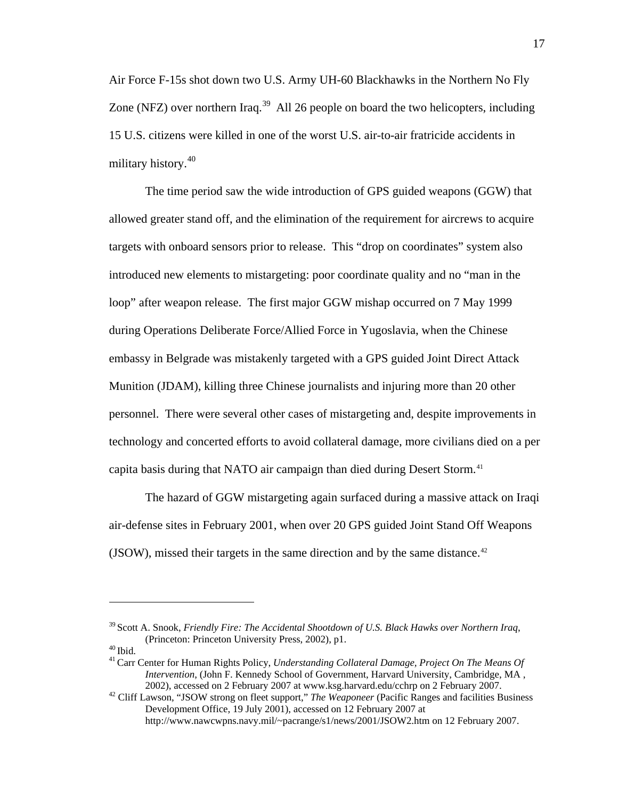Air Force F-15s shot down two U.S. Army UH-60 Blackhawks in the Northern No Fly Zone (NFZ) over northern Iraq.<sup>[39](#page-22-0)</sup> All 26 people on board the two helicopters, including 15 U.S. citizens were killed in one of the worst U.S. air-to-air fratricide accidents in military history.<sup>[40](#page-22-1)</sup>

The time period saw the wide introduction of GPS guided weapons (GGW) that allowed greater stand off, and the elimination of the requirement for aircrews to acquire targets with onboard sensors prior to release. This "drop on coordinates" system also introduced new elements to mistargeting: poor coordinate quality and no "man in the loop" after weapon release. The first major GGW mishap occurred on 7 May 1999 during Operations Deliberate Force/Allied Force in Yugoslavia, when the Chinese embassy in Belgrade was mistakenly targeted with a GPS guided Joint Direct Attack Munition (JDAM), killing three Chinese journalists and injuring more than 20 other personnel. There were several other cases of mistargeting and, despite improvements in technology and concerted efforts to avoid collateral damage, more civilians died on a per capita basis during that NATO air campaign than died during Desert Storm.<sup>[41](#page-22-2)</sup>

The hazard of GGW mistargeting again surfaced during a massive attack on Iraqi air-defense sites in February 2001, when over 20 GPS guided Joint Stand Off Weapons (JSOW), missed their targets in the same direction and by the same distance.<sup>[42](#page-22-3)</sup>

<span id="page-22-0"></span><sup>39</sup> Scott A. Snook, *Friendly Fire: The Accidental Shootdown of U.S. Black Hawks over Northern Iraq*, (Princeton: Princeton University Press, 2002), p1.<br><sup>40</sup> Ibid. <sup>41</sup> Carr Center for Human Rights Policy, *Understanding Collateral Damage, Project On The Means Of* 

<span id="page-22-1"></span>

<span id="page-22-2"></span>*Intervention*, (John F. Kennedy School of Government, Harvard University, Cambridge, MA , 2002), accessed on 2 February 2007 at www.ksg.harvard.edu/cchrp on 2 February 2007. 42 Cliff Lawson, "JSOW strong on fleet support," *The Weaponeer* (Pacific Ranges and facilities Business

<span id="page-22-3"></span>Development Office, 19 July 2001), accessed on 12 February 2007 at http://www.nawcwpns.navy.mil/~pacrange/s1/news/2001/JSOW2.htm on 12 February 2007.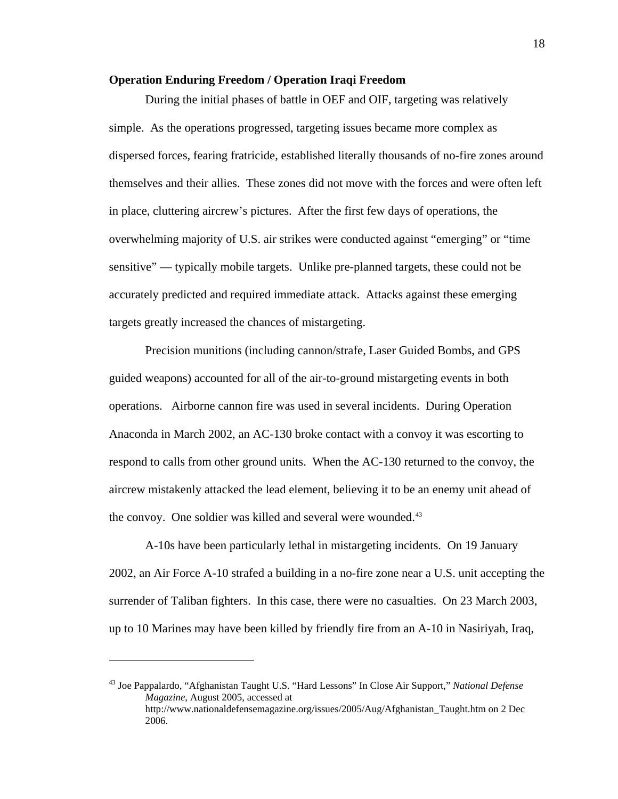#### <span id="page-23-0"></span>**Operation Enduring Freedom / Operation Iraqi Freedom**

During the initial phases of battle in OEF and OIF, targeting was relatively simple. As the operations progressed, targeting issues became more complex as dispersed forces, fearing fratricide, established literally thousands of no-fire zones around themselves and their allies. These zones did not move with the forces and were often left in place, cluttering aircrew's pictures. After the first few days of operations, the overwhelming majority of U.S. air strikes were conducted against "emerging" or "time sensitive" — typically mobile targets. Unlike pre-planned targets, these could not be accurately predicted and required immediate attack. Attacks against these emerging targets greatly increased the chances of mistargeting.

Precision munitions (including cannon/strafe, Laser Guided Bombs, and GPS guided weapons) accounted for all of the air-to-ground mistargeting events in both operations. Airborne cannon fire was used in several incidents. During Operation Anaconda in March 2002, an AC-130 broke contact with a convoy it was escorting to respond to calls from other ground units. When the AC-130 returned to the convoy, the aircrew mistakenly attacked the lead element, believing it to be an enemy unit ahead of the convoy. One soldier was killed and several were wounded.<sup>[43](#page-23-1)</sup>

A-10s have been particularly lethal in mistargeting incidents. On 19 January 2002, an Air Force A-10 strafed a building in a no-fire zone near a U.S. unit accepting the surrender of Taliban fighters. In this case, there were no casualties. On 23 March 2003, up to 10 Marines may have been killed by friendly fire from an A-10 in Nasiriyah, Iraq,

<span id="page-23-1"></span><sup>43</sup> Joe Pappalardo, "Afghanistan Taught U.S. "Hard Lessons" In Close Air Support," *National Defense Magazine*, August 2005, accessed at http://www.nationaldefensemagazine.org/issues/2005/Aug/Afghanistan\_Taught.htm on 2 Dec 2006.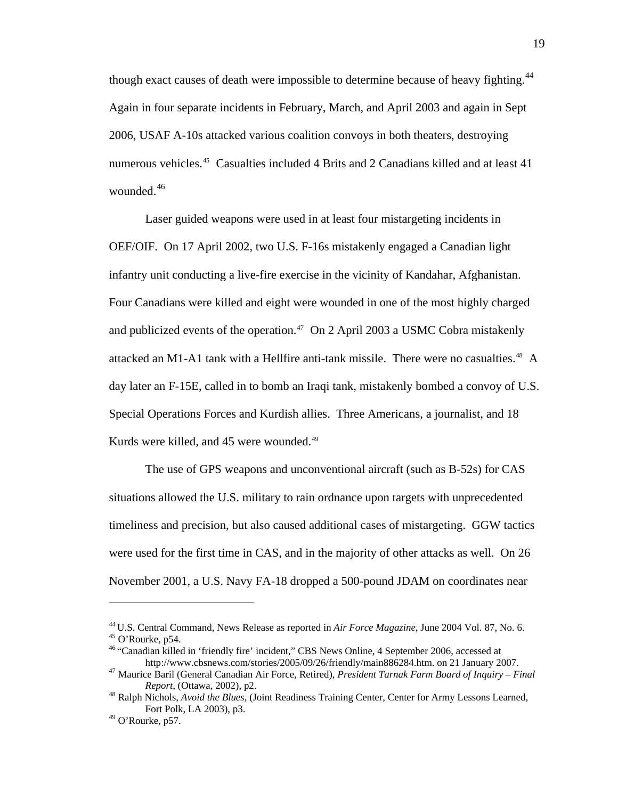though exact causes of death were impossible to determine because of heavy fighting.<sup>[44](#page-24-0)</sup> Again in four separate incidents in February, March, and April 2003 and again in Sept 2006, USAF A-10s attacked various coalition convoys in both theaters, destroying numerous vehicles.<sup>[45](#page-24-1)</sup> Casualties included 4 Brits and 2 Canadians killed and at least 41 wounded.<sup>[46](#page-24-2)</sup>

Laser guided weapons were used in at least four mistargeting incidents in OEF/OIF. On 17 April 2002, two U.S. F-16s mistakenly engaged a Canadian light infantry unit conducting a live-fire exercise in the vicinity of Kandahar, Afghanistan. Four Canadians were killed and eight were wounded in one of the most highly charged and publicized events of the operation.<sup>[47](#page-24-3)</sup> On 2 April 2003 a USMC Cobra mistakenly attacked an M1-A1 tank with a Hellfire anti-tank missile. There were no casualties.<sup>[48](#page-24-4)</sup> A day later an F-15E, called in to bomb an Iraqi tank, mistakenly bombed a convoy of U.S. Special Operations Forces and Kurdish allies. Three Americans, a journalist, and 18 Kurds were killed, and 45 were wounded.<sup>[49](#page-24-5)</sup>

The use of GPS weapons and unconventional aircraft (such as B-52s) for CAS situations allowed the U.S. military to rain ordnance upon targets with unprecedented timeliness and precision, but also caused additional cases of mistargeting. GGW tactics were used for the first time in CAS, and in the majority of other attacks as well. On 26 November 2001, a U.S. Navy FA-18 dropped a 500-pound JDAM on coordinates near

<span id="page-24-1"></span><span id="page-24-0"></span><sup>44</sup> U.S. Central Command, News Release as reported in *Air Force Magazine*, June 2004 Vol. 87, No. 6. 45 O'Rourke, p54.

<span id="page-24-2"></span><sup>&</sup>lt;sup>46</sup> "Canadian killed in 'friendly fire' incident," CBS News Online, 4 September 2006, accessed at

<span id="page-24-3"></span>http://www.cbsnews.com/stories/2005/09/26/friendly/main886284.htm. on 21 January 2007. 47 Maurice Baril (General Canadian Air Force, Retired), *President Tarnak Farm Board of Inquiry – Final Report*, (Ottawa, 2002), p2.<br><sup>48</sup> Ralph Nichols, *Avoid the Blues*, (Joint Readiness Training Center, Center for Army Lessons Learned,

<span id="page-24-4"></span>Fort Polk, LA 2003), p3.

<span id="page-24-5"></span> $49$  O'Rourke, p57.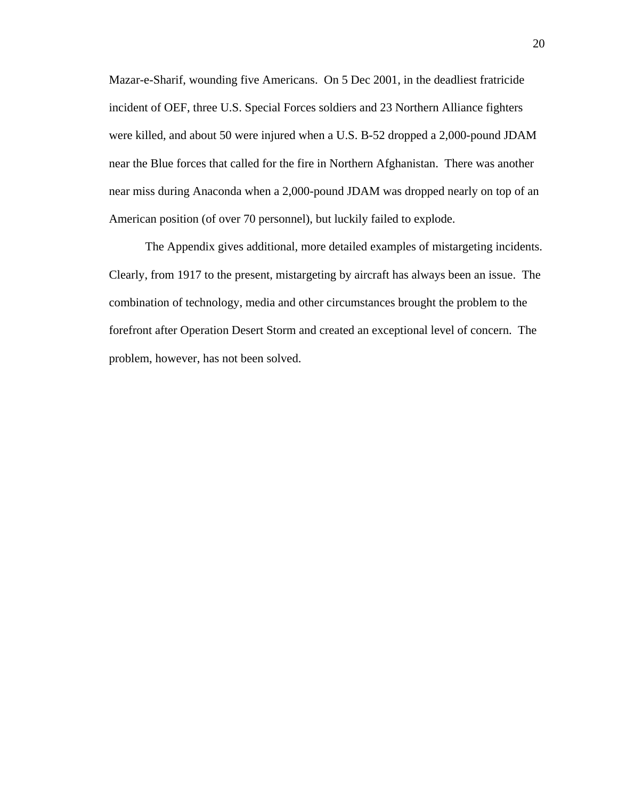Mazar-e-Sharif, wounding five Americans. On 5 Dec 2001, in the deadliest fratricide incident of OEF, three U.S. Special Forces soldiers and 23 Northern Alliance fighters were killed, and about 50 were injured when a U.S. B-52 dropped a 2,000-pound JDAM near the Blue forces that called for the fire in Northern Afghanistan. There was another near miss during Anaconda when a 2,000-pound JDAM was dropped nearly on top of an American position (of over 70 personnel), but luckily failed to explode.

The Appendix gives additional, more detailed examples of mistargeting incidents. Clearly, from 1917 to the present, mistargeting by aircraft has always been an issue. The combination of technology, media and other circumstances brought the problem to the forefront after Operation Desert Storm and created an exceptional level of concern. The problem, however, has not been solved.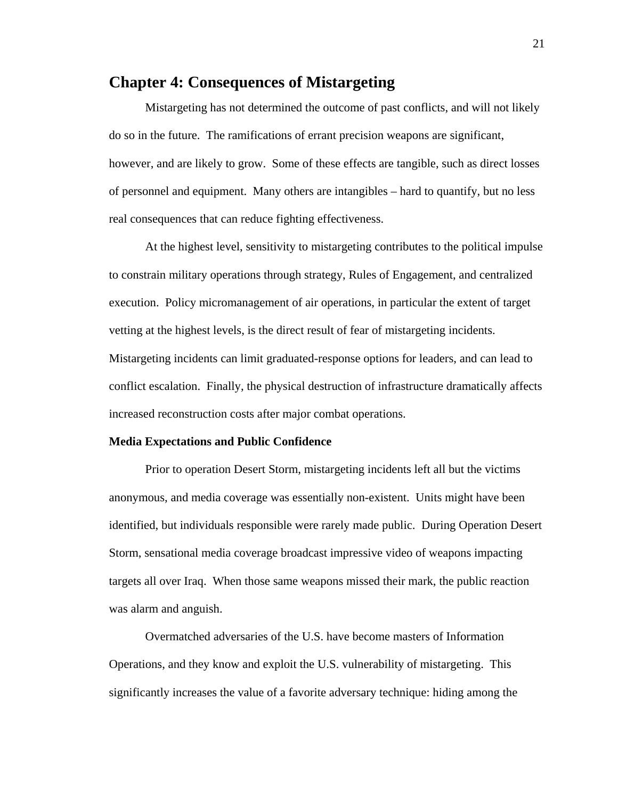## <span id="page-26-0"></span>**Chapter 4: Consequences of Mistargeting**

 Mistargeting has not determined the outcome of past conflicts, and will not likely do so in the future. The ramifications of errant precision weapons are significant, however, and are likely to grow. Some of these effects are tangible, such as direct losses of personnel and equipment. Many others are intangibles – hard to quantify, but no less real consequences that can reduce fighting effectiveness.

At the highest level, sensitivity to mistargeting contributes to the political impulse to constrain military operations through strategy, Rules of Engagement, and centralized execution. Policy micromanagement of air operations, in particular the extent of target vetting at the highest levels, is the direct result of fear of mistargeting incidents. Mistargeting incidents can limit graduated-response options for leaders, and can lead to conflict escalation. Finally, the physical destruction of infrastructure dramatically affects increased reconstruction costs after major combat operations.

#### **Media Expectations and Public Confidence**

Prior to operation Desert Storm, mistargeting incidents left all but the victims anonymous, and media coverage was essentially non-existent. Units might have been identified, but individuals responsible were rarely made public. During Operation Desert Storm, sensational media coverage broadcast impressive video of weapons impacting targets all over Iraq. When those same weapons missed their mark, the public reaction was alarm and anguish.

Overmatched adversaries of the U.S. have become masters of Information Operations, and they know and exploit the U.S. vulnerability of mistargeting. This significantly increases the value of a favorite adversary technique: hiding among the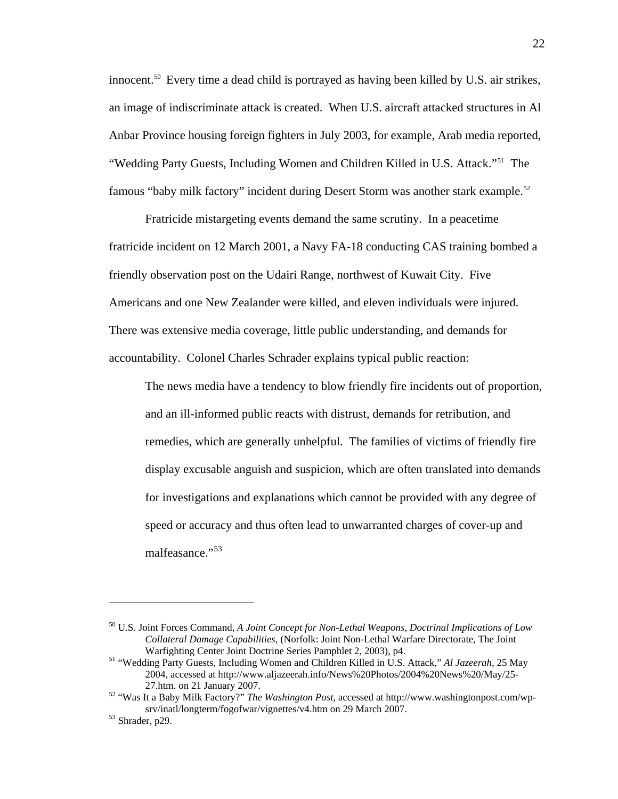innocent.<sup>[50](#page-27-0)</sup> Every time a dead child is portrayed as having been killed by U.S. air strikes, an image of indiscriminate attack is created. When U.S. aircraft attacked structures in Al Anbar Province housing foreign fighters in July 2003, for example, Arab media reported, "Wedding Party Guests, Including Women and Children Killed in U.S. Attack."[51](#page-27-1) The famous "baby milk factory" incident during Desert Storm was another stark example.[52](#page-27-2)

Fratricide mistargeting events demand the same scrutiny. In a peacetime fratricide incident on 12 March 2001, a Navy FA-18 conducting CAS training bombed a friendly observation post on the Udairi Range, northwest of Kuwait City. Five Americans and one New Zealander were killed, and eleven individuals were injured. There was extensive media coverage, little public understanding, and demands for accountability. Colonel Charles Schrader explains typical public reaction:

The news media have a tendency to blow friendly fire incidents out of proportion, and an ill-informed public reacts with distrust, demands for retribution, and remedies, which are generally unhelpful. The families of victims of friendly fire display excusable anguish and suspicion, which are often translated into demands for investigations and explanations which cannot be provided with any degree of speed or accuracy and thus often lead to unwarranted charges of cover-up and malfeasance."<sup>[53](#page-27-3)</sup>

<span id="page-27-0"></span><sup>50</sup> U.S. Joint Forces Command, *A Joint Concept for Non-Lethal Weapons, Doctrinal Implications of Low Collateral Damage Capabilities*, (Norfolk: Joint Non-Lethal Warfare Directorate, The Joint Warfighting Center Joint Doctrine Series Pamphlet 2, 2003), p4. 51 "Wedding Party Guests, Including Women and Children Killed in U.S. Attack," *Al Jazeerah*, 25 May

<span id="page-27-1"></span><sup>2004,</sup> accessed at http://www.aljazeerah.info/News%20Photos/2004%20News%20/May/25- 27.htm. on 21 January 2007. 52 "Was It a Baby Milk Factory?" *The Washington Post*, accessed at http://www.washingtonpost.com/wp-

<span id="page-27-2"></span>srv/inatl/longterm/fogofwar/vignettes/v4.htm on 29 March 2007.<br>
53 Shrader, p29.

<span id="page-27-3"></span>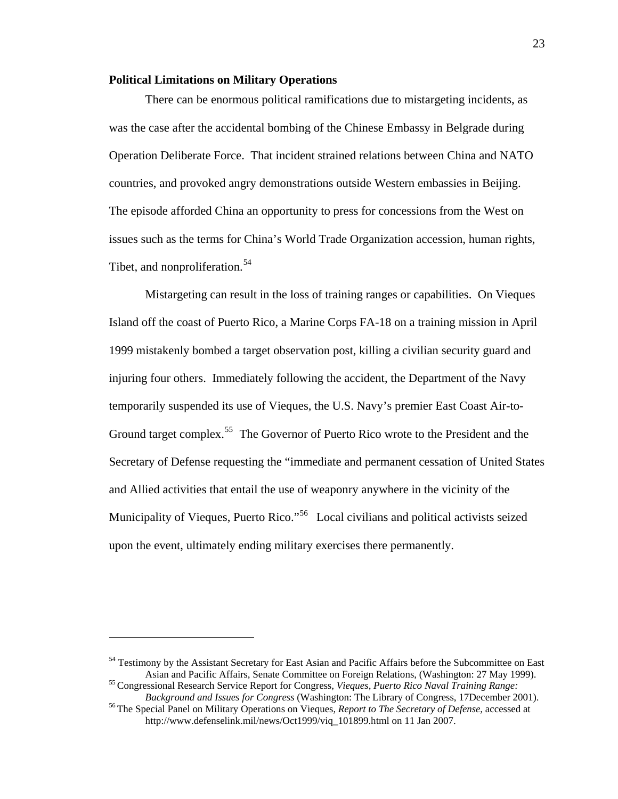#### <span id="page-28-0"></span>**Political Limitations on Military Operations**

 There can be enormous political ramifications due to mistargeting incidents, as was the case after the accidental bombing of the Chinese Embassy in Belgrade during Operation Deliberate Force. That incident strained relations between China and NATO countries, and provoked angry demonstrations outside Western embassies in Beijing. The episode afforded China an opportunity to press for concessions from the West on issues such as the terms for China's World Trade Organization accession, human rights, Tibet, and nonproliferation.<sup>[54](#page-28-1)</sup>

Mistargeting can result in the loss of training ranges or capabilities. On Vieques Island off the coast of Puerto Rico, a Marine Corps FA-18 on a training mission in April 1999 mistakenly bombed a target observation post, killing a civilian security guard and injuring four others. Immediately following the accident, the Department of the Navy temporarily suspended its use of Vieques, the U.S. Navy's premier East Coast Air-to-Ground target complex.<sup>[55](#page-28-2)</sup> The Governor of Puerto Rico wrote to the President and the Secretary of Defense requesting the "immediate and permanent cessation of United States and Allied activities that entail the use of weaponry anywhere in the vicinity of the Municipality of Vieques, Puerto Rico."<sup>[56](#page-28-3)</sup> Local civilians and political activists seized upon the event, ultimately ending military exercises there permanently.

<span id="page-28-1"></span><sup>&</sup>lt;sup>54</sup> Testimony by the Assistant Secretary for East Asian and Pacific Affairs before the Subcommittee on East Asian and Pacific Affairs, Senate Committee on Foreign Relations, (Washington: 27 May 1999). 55 Congressional Research Service Report for Congress, *Vieques, Puerto Rico Naval Training Range:* 

<span id="page-28-2"></span>*Background and Issues for Congress* (Washington: The Library of Congress, 17December 2001). 56 The Special Panel on Military Operations on Vieques, *Report to The Secretary of Defense*, accessed at

<span id="page-28-3"></span>http://www.defenselink.mil/news/Oct1999/viq\_101899.html on 11 Jan 2007.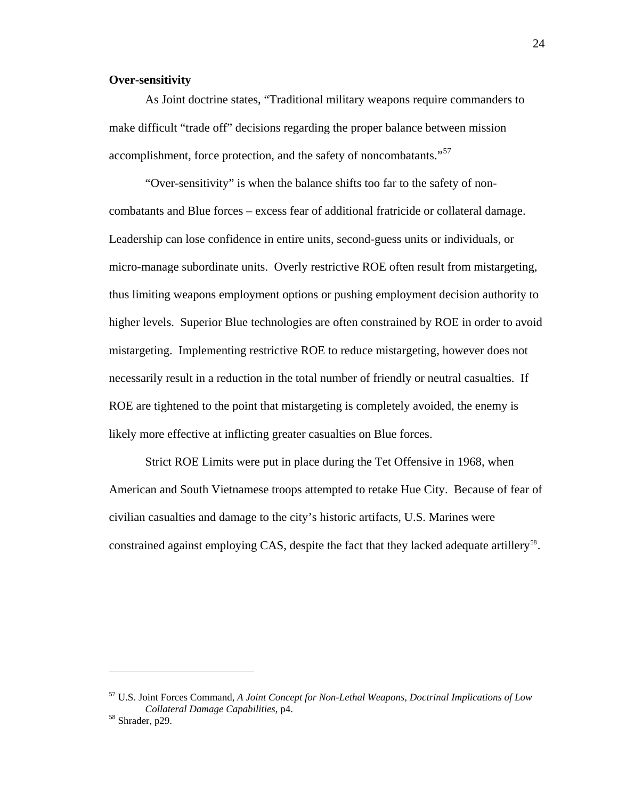#### <span id="page-29-0"></span>**Over-sensitivity**

As Joint doctrine states, "Traditional military weapons require commanders to make difficult "trade off" decisions regarding the proper balance between mission accomplishment, force protection, and the safety of noncombatants."<sup>[57](#page-29-1)</sup>

"Over-sensitivity" is when the balance shifts too far to the safety of noncombatants and Blue forces – excess fear of additional fratricide or collateral damage. Leadership can lose confidence in entire units, second-guess units or individuals, or micro-manage subordinate units. Overly restrictive ROE often result from mistargeting, thus limiting weapons employment options or pushing employment decision authority to higher levels. Superior Blue technologies are often constrained by ROE in order to avoid mistargeting. Implementing restrictive ROE to reduce mistargeting, however does not necessarily result in a reduction in the total number of friendly or neutral casualties. If ROE are tightened to the point that mistargeting is completely avoided, the enemy is likely more effective at inflicting greater casualties on Blue forces.

Strict ROE Limits were put in place during the Tet Offensive in 1968, when American and South Vietnamese troops attempted to retake Hue City. Because of fear of civilian casualties and damage to the city's historic artifacts, U.S. Marines were constrained against employing CAS, despite the fact that they lacked adequate artillery<sup>[58](#page-29-2)</sup>.

<u>.</u>

<span id="page-29-1"></span><sup>57</sup> U.S. Joint Forces Command, *A Joint Concept for Non-Lethal Weapons, Doctrinal Implications of Low Collateral Damage Capabilities*, p4. 58 Shrader, p29.

<span id="page-29-2"></span>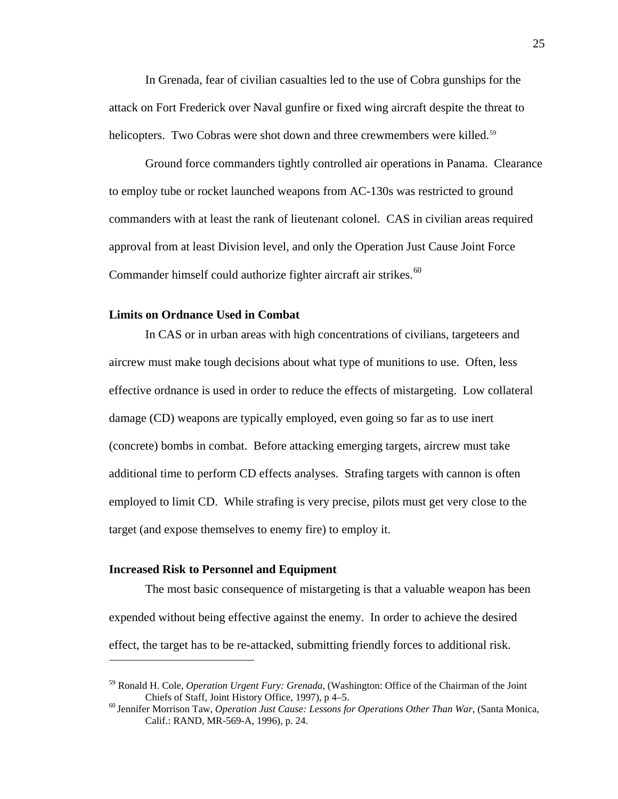<span id="page-30-0"></span>In Grenada, fear of civilian casualties led to the use of Cobra gunships for the attack on Fort Frederick over Naval gunfire or fixed wing aircraft despite the threat to helicopters. Two Cobras were shot down and three crewmembers were killed.<sup>[59](#page-30-1)</sup>

Ground force commanders tightly controlled air operations in Panama. Clearance to employ tube or rocket launched weapons from AC-130s was restricted to ground commanders with at least the rank of lieutenant colonel. CAS in civilian areas required approval from at least Division level, and only the Operation Just Cause Joint Force Commander himself could authorize fighter aircraft air strikes.<sup>[60](#page-30-2)</sup>

#### **Limits on Ordnance Used in Combat**

In CAS or in urban areas with high concentrations of civilians, targeteers and aircrew must make tough decisions about what type of munitions to use. Often, less effective ordnance is used in order to reduce the effects of mistargeting. Low collateral damage (CD) weapons are typically employed, even going so far as to use inert (concrete) bombs in combat. Before attacking emerging targets, aircrew must take additional time to perform CD effects analyses. Strafing targets with cannon is often employed to limit CD. While strafing is very precise, pilots must get very close to the target (and expose themselves to enemy fire) to employ it.

#### **Increased Risk to Personnel and Equipment**

 $\overline{a}$ 

The most basic consequence of mistargeting is that a valuable weapon has been expended without being effective against the enemy. In order to achieve the desired effect, the target has to be re-attacked, submitting friendly forces to additional risk.

<span id="page-30-1"></span><sup>59</sup> Ronald H. Cole, *Operation Urgent Fury: Grenada*, (Washington: Office of the Chairman of the Joint Chiefs of Staff, Joint History Office, 1997), p 4–5. 60 Jennifer Morrison Taw, *Operation Just Cause: Lessons for Operations Other Than War*, (Santa Monica,

<span id="page-30-2"></span>Calif.: RAND, MR-569-A, 1996), p. 24.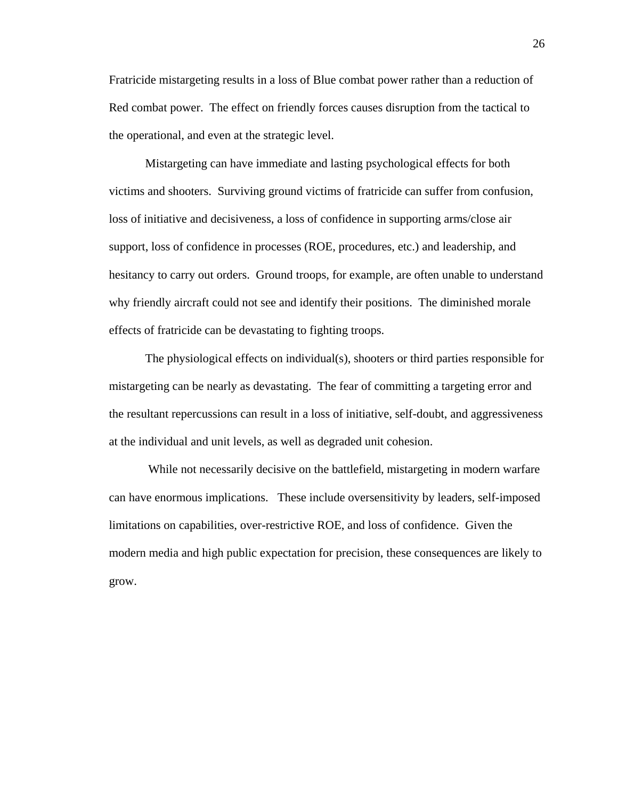Fratricide mistargeting results in a loss of Blue combat power rather than a reduction of Red combat power. The effect on friendly forces causes disruption from the tactical to the operational, and even at the strategic level.

Mistargeting can have immediate and lasting psychological effects for both victims and shooters. Surviving ground victims of fratricide can suffer from confusion, loss of initiative and decisiveness, a loss of confidence in supporting arms/close air support, loss of confidence in processes (ROE, procedures, etc.) and leadership, and hesitancy to carry out orders. Ground troops, for example, are often unable to understand why friendly aircraft could not see and identify their positions. The diminished morale effects of fratricide can be devastating to fighting troops.

The physiological effects on individual(s), shooters or third parties responsible for mistargeting can be nearly as devastating. The fear of committing a targeting error and the resultant repercussions can result in a loss of initiative, self-doubt, and aggressiveness at the individual and unit levels, as well as degraded unit cohesion.

 While not necessarily decisive on the battlefield, mistargeting in modern warfare can have enormous implications. These include oversensitivity by leaders, self-imposed limitations on capabilities, over-restrictive ROE, and loss of confidence. Given the modern media and high public expectation for precision, these consequences are likely to grow.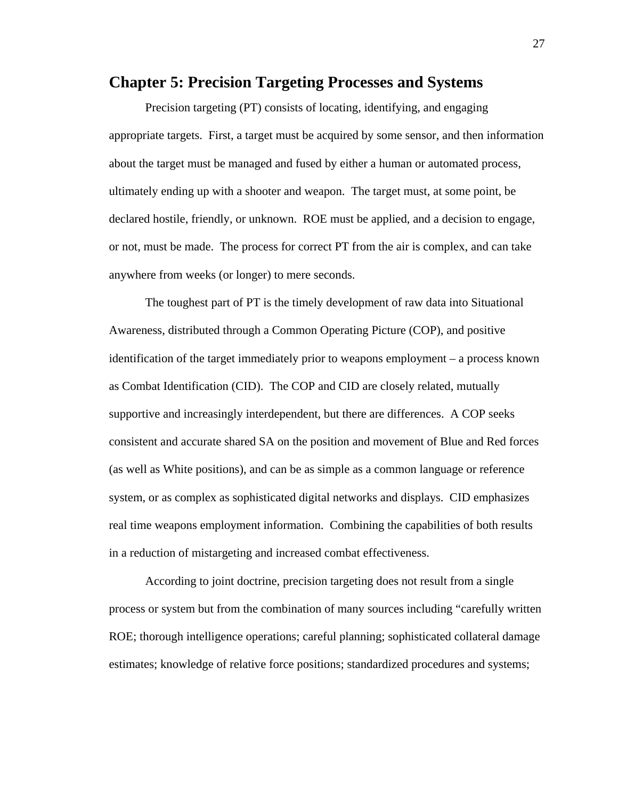### <span id="page-32-0"></span>**Chapter 5: Precision Targeting Processes and Systems**

 Precision targeting (PT) consists of locating, identifying, and engaging appropriate targets. First, a target must be acquired by some sensor, and then information about the target must be managed and fused by either a human or automated process, ultimately ending up with a shooter and weapon. The target must, at some point, be declared hostile, friendly, or unknown. ROE must be applied, and a decision to engage, or not, must be made. The process for correct PT from the air is complex, and can take anywhere from weeks (or longer) to mere seconds.

The toughest part of PT is the timely development of raw data into Situational Awareness, distributed through a Common Operating Picture (COP), and positive identification of the target immediately prior to weapons employment – a process known as Combat Identification (CID). The COP and CID are closely related, mutually supportive and increasingly interdependent, but there are differences. A COP seeks consistent and accurate shared SA on the position and movement of Blue and Red forces (as well as White positions), and can be as simple as a common language or reference system, or as complex as sophisticated digital networks and displays. CID emphasizes real time weapons employment information. Combining the capabilities of both results in a reduction of mistargeting and increased combat effectiveness.

According to joint doctrine, precision targeting does not result from a single process or system but from the combination of many sources including "carefully written ROE; thorough intelligence operations; careful planning; sophisticated collateral damage estimates; knowledge of relative force positions; standardized procedures and systems;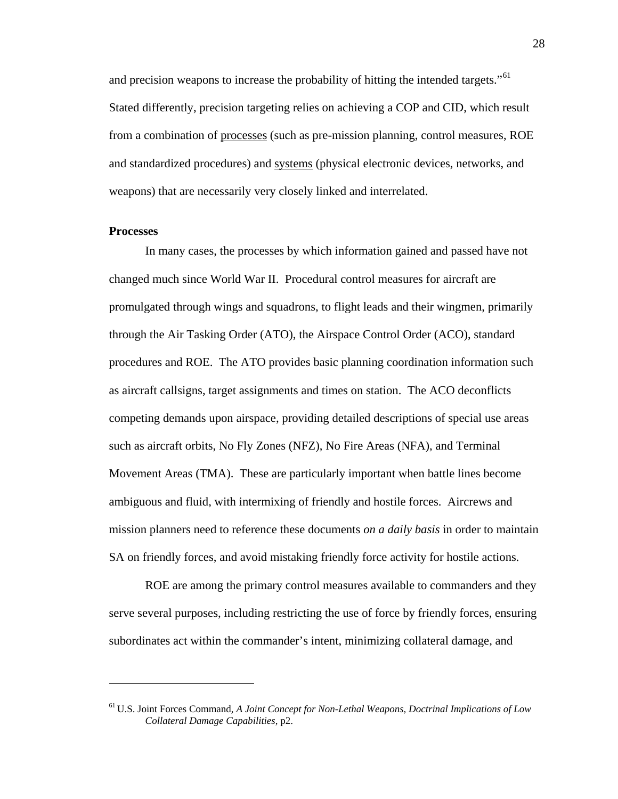<span id="page-33-0"></span>and precision weapons to increase the probability of hitting the intended targets."<sup>[61](#page-33-1)</sup> Stated differently, precision targeting relies on achieving a COP and CID, which result from a combination of processes (such as pre-mission planning, control measures, ROE and standardized procedures) and systems (physical electronic devices, networks, and weapons) that are necessarily very closely linked and interrelated.

#### **Processes**

 $\overline{a}$ 

In many cases, the processes by which information gained and passed have not changed much since World War II. Procedural control measures for aircraft are promulgated through wings and squadrons, to flight leads and their wingmen, primarily through the Air Tasking Order (ATO), the Airspace Control Order (ACO), standard procedures and ROE. The ATO provides basic planning coordination information such as aircraft callsigns, target assignments and times on station. The ACO deconflicts competing demands upon airspace, providing detailed descriptions of special use areas such as aircraft orbits, No Fly Zones (NFZ), No Fire Areas (NFA), and Terminal Movement Areas (TMA). These are particularly important when battle lines become ambiguous and fluid, with intermixing of friendly and hostile forces. Aircrews and mission planners need to reference these documents *on a daily basis* in order to maintain SA on friendly forces, and avoid mistaking friendly force activity for hostile actions.

ROE are among the primary control measures available to commanders and they serve several purposes, including restricting the use of force by friendly forces, ensuring subordinates act within the commander's intent, minimizing collateral damage, and

<span id="page-33-1"></span><sup>61</sup> U.S. Joint Forces Command, *A Joint Concept for Non-Lethal Weapons, Doctrinal Implications of Low Collateral Damage Capabilities*, p2.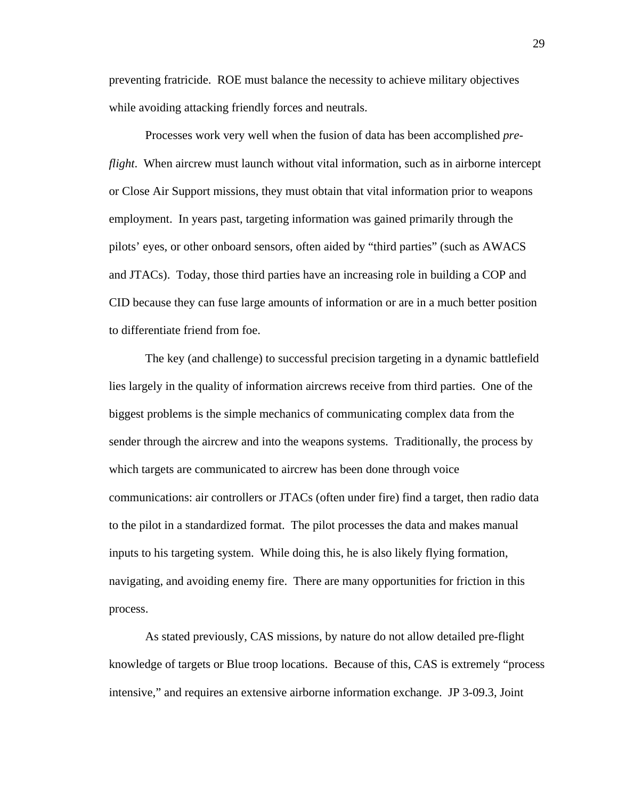preventing fratricide. ROE must balance the necessity to achieve military objectives while avoiding attacking friendly forces and neutrals.

Processes work very well when the fusion of data has been accomplished *preflight*. When aircrew must launch without vital information, such as in airborne intercept or Close Air Support missions, they must obtain that vital information prior to weapons employment. In years past, targeting information was gained primarily through the pilots' eyes, or other onboard sensors, often aided by "third parties" (such as AWACS and JTACs). Today, those third parties have an increasing role in building a COP and CID because they can fuse large amounts of information or are in a much better position to differentiate friend from foe.

The key (and challenge) to successful precision targeting in a dynamic battlefield lies largely in the quality of information aircrews receive from third parties. One of the biggest problems is the simple mechanics of communicating complex data from the sender through the aircrew and into the weapons systems. Traditionally, the process by which targets are communicated to aircrew has been done through voice communications: air controllers or JTACs (often under fire) find a target, then radio data to the pilot in a standardized format. The pilot processes the data and makes manual inputs to his targeting system. While doing this, he is also likely flying formation, navigating, and avoiding enemy fire. There are many opportunities for friction in this process.

As stated previously, CAS missions, by nature do not allow detailed pre-flight knowledge of targets or Blue troop locations. Because of this, CAS is extremely "process intensive," and requires an extensive airborne information exchange. JP 3-09.3, Joint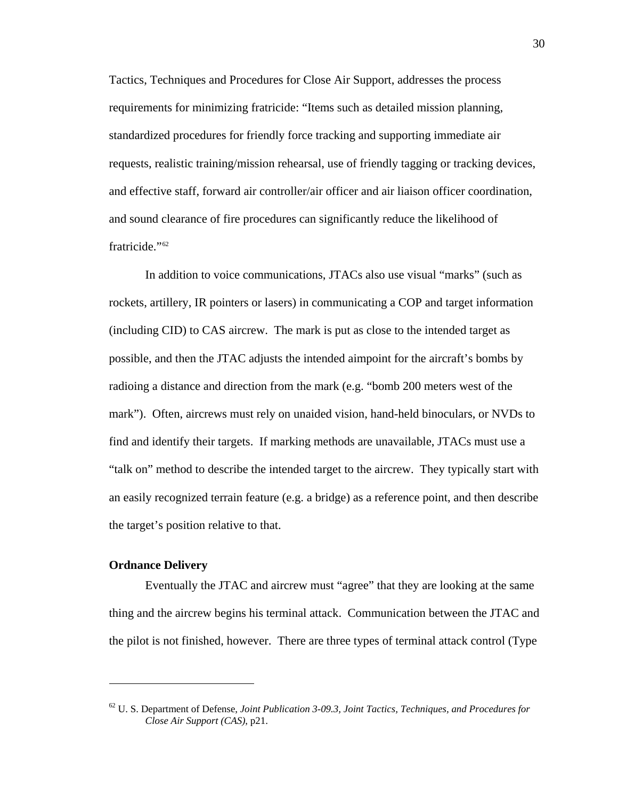<span id="page-35-0"></span>Tactics, Techniques and Procedures for Close Air Support, addresses the process requirements for minimizing fratricide: "Items such as detailed mission planning, standardized procedures for friendly force tracking and supporting immediate air requests, realistic training/mission rehearsal, use of friendly tagging or tracking devices, and effective staff, forward air controller/air officer and air liaison officer coordination, and sound clearance of fire procedures can significantly reduce the likelihood of fratricide."[62](#page-35-1)

In addition to voice communications, JTACs also use visual "marks" (such as rockets, artillery, IR pointers or lasers) in communicating a COP and target information (including CID) to CAS aircrew. The mark is put as close to the intended target as possible, and then the JTAC adjusts the intended aimpoint for the aircraft's bombs by radioing a distance and direction from the mark (e.g. "bomb 200 meters west of the mark"). Often, aircrews must rely on unaided vision, hand-held binoculars, or NVDs to find and identify their targets. If marking methods are unavailable, JTACs must use a "talk on" method to describe the intended target to the aircrew. They typically start with an easily recognized terrain feature (e.g. a bridge) as a reference point, and then describe the target's position relative to that.

#### **Ordnance Delivery**

 $\overline{a}$ 

Eventually the JTAC and aircrew must "agree" that they are looking at the same thing and the aircrew begins his terminal attack. Communication between the JTAC and the pilot is not finished, however. There are three types of terminal attack control (Type

<span id="page-35-1"></span><sup>62</sup> U. S. Department of Defense, *Joint Publication 3-09.3, Joint Tactics, Techniques, and Procedures for Close Air Support (CAS)*, p21.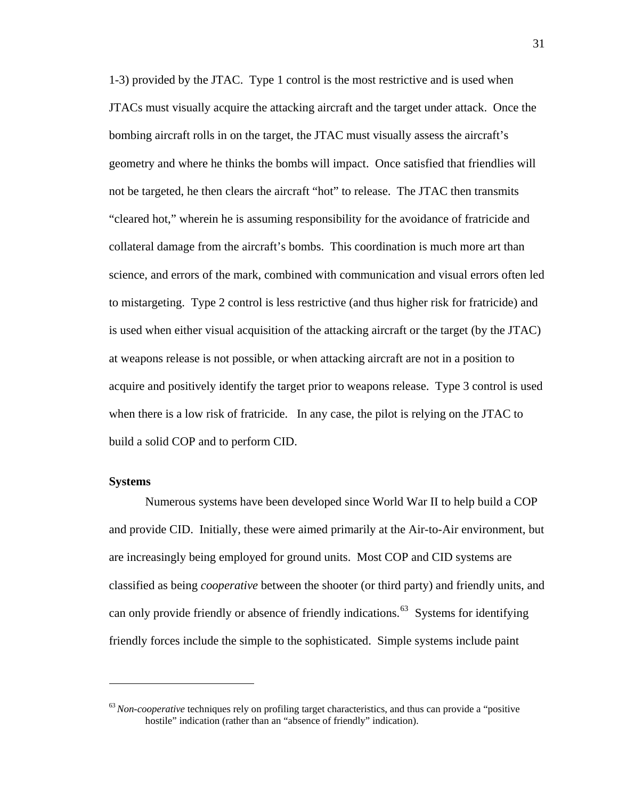1-3) provided by the JTAC. Type 1 control is the most restrictive and is used when JTACs must visually acquire the attacking aircraft and the target under attack. Once the bombing aircraft rolls in on the target, the JTAC must visually assess the aircraft's geometry and where he thinks the bombs will impact. Once satisfied that friendlies will not be targeted, he then clears the aircraft "hot" to release. The JTAC then transmits "cleared hot," wherein he is assuming responsibility for the avoidance of fratricide and collateral damage from the aircraft's bombs. This coordination is much more art than science, and errors of the mark, combined with communication and visual errors often led to mistargeting. Type 2 control is less restrictive (and thus higher risk for fratricide) and is used when either visual acquisition of the attacking aircraft or the target (by the JTAC) at weapons release is not possible, or when attacking aircraft are not in a position to acquire and positively identify the target prior to weapons release. Type 3 control is used when there is a low risk of fratricide. In any case, the pilot is relying on the JTAC to build a solid COP and to perform CID.

### **Systems**

 $\overline{a}$ 

Numerous systems have been developed since World War II to help build a COP and provide CID. Initially, these were aimed primarily at the Air-to-Air environment, but are increasingly being employed for ground units. Most COP and CID systems are classified as being *cooperative* between the shooter (or third party) and friendly units, and can only provide friendly or absence of friendly indications.<sup>[63](#page-36-0)</sup> Systems for identifying friendly forces include the simple to the sophisticated. Simple systems include paint

<span id="page-36-0"></span><sup>&</sup>lt;sup>63</sup> Non-cooperative techniques rely on profiling target characteristics, and thus can provide a "positive" hostile" indication (rather than an "absence of friendly" indication).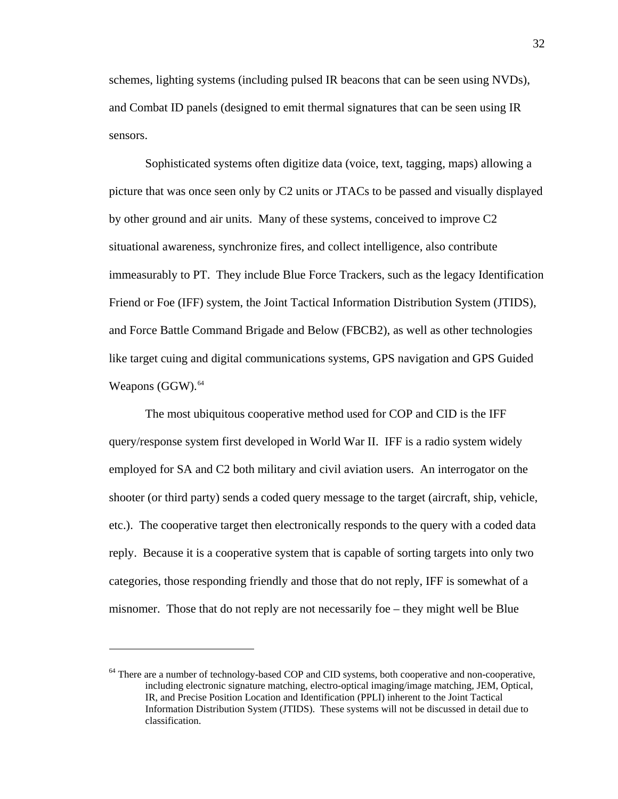schemes, lighting systems (including pulsed IR beacons that can be seen using NVDs), and Combat ID panels (designed to emit thermal signatures that can be seen using IR sensors.

Sophisticated systems often digitize data (voice, text, tagging, maps) allowing a picture that was once seen only by C2 units or JTACs to be passed and visually displayed by other ground and air units. Many of these systems, conceived to improve C2 situational awareness, synchronize fires, and collect intelligence, also contribute immeasurably to PT. They include Blue Force Trackers, such as the legacy Identification Friend or Foe (IFF) system, the Joint Tactical Information Distribution System (JTIDS), and Force Battle Command Brigade and Below (FBCB2), as well as other technologies like target cuing and digital communications systems, GPS navigation and GPS Guided Weapons  $(GGW)$ .<sup>[64](#page-37-0)</sup>

The most ubiquitous cooperative method used for COP and CID is the IFF query/response system first developed in World War II. IFF is a radio system widely employed for SA and C2 both military and civil aviation users. An interrogator on the shooter (or third party) sends a coded query message to the target (aircraft, ship, vehicle, etc.). The cooperative target then electronically responds to the query with a coded data reply. Because it is a cooperative system that is capable of sorting targets into only two categories, those responding friendly and those that do not reply, IFF is somewhat of a misnomer. Those that do not reply are not necessarily foe – they might well be Blue

<span id="page-37-0"></span><sup>&</sup>lt;sup>64</sup> There are a number of technology-based COP and CID systems, both cooperative and non-cooperative, including electronic signature matching, electro-optical imaging/image matching, JEM, Optical, IR, and Precise Position Location and Identification (PPLI) inherent to the Joint Tactical Information Distribution System (JTIDS). These systems will not be discussed in detail due to classification.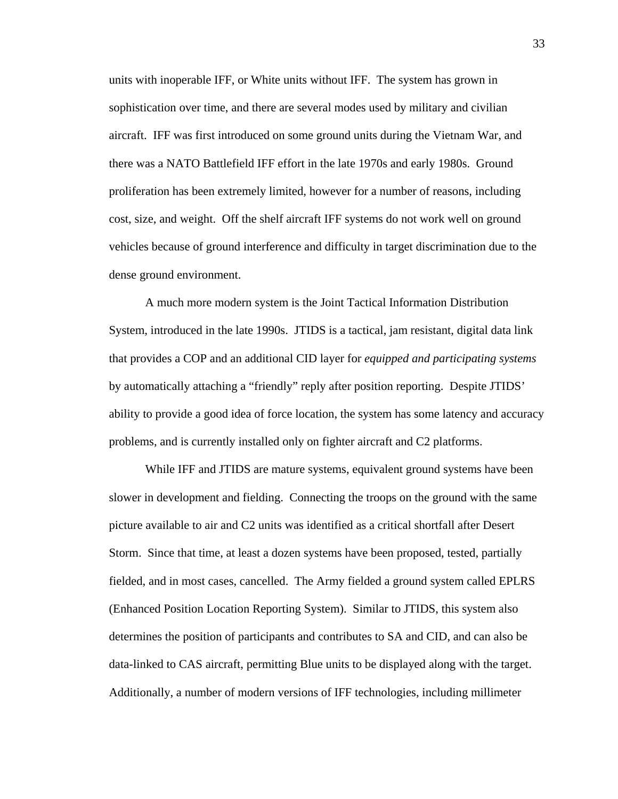units with inoperable IFF, or White units without IFF. The system has grown in sophistication over time, and there are several modes used by military and civilian aircraft. IFF was first introduced on some ground units during the Vietnam War, and there was a NATO Battlefield IFF effort in the late 1970s and early 1980s. Ground proliferation has been extremely limited, however for a number of reasons, including cost, size, and weight. Off the shelf aircraft IFF systems do not work well on ground vehicles because of ground interference and difficulty in target discrimination due to the dense ground environment.

A much more modern system is the Joint Tactical Information Distribution System, introduced in the late 1990s. JTIDS is a tactical, jam resistant, digital data link that provides a COP and an additional CID layer for *equipped and participating systems* by automatically attaching a "friendly" reply after position reporting. Despite JTIDS' ability to provide a good idea of force location, the system has some latency and accuracy problems, and is currently installed only on fighter aircraft and C2 platforms.

While IFF and JTIDS are mature systems, equivalent ground systems have been slower in development and fielding. Connecting the troops on the ground with the same picture available to air and C2 units was identified as a critical shortfall after Desert Storm. Since that time, at least a dozen systems have been proposed, tested, partially fielded, and in most cases, cancelled. The Army fielded a ground system called EPLRS (Enhanced Position Location Reporting System). Similar to JTIDS, this system also determines the position of participants and contributes to SA and CID, and can also be data-linked to CAS aircraft, permitting Blue units to be displayed along with the target. Additionally, a number of modern versions of IFF technologies, including millimeter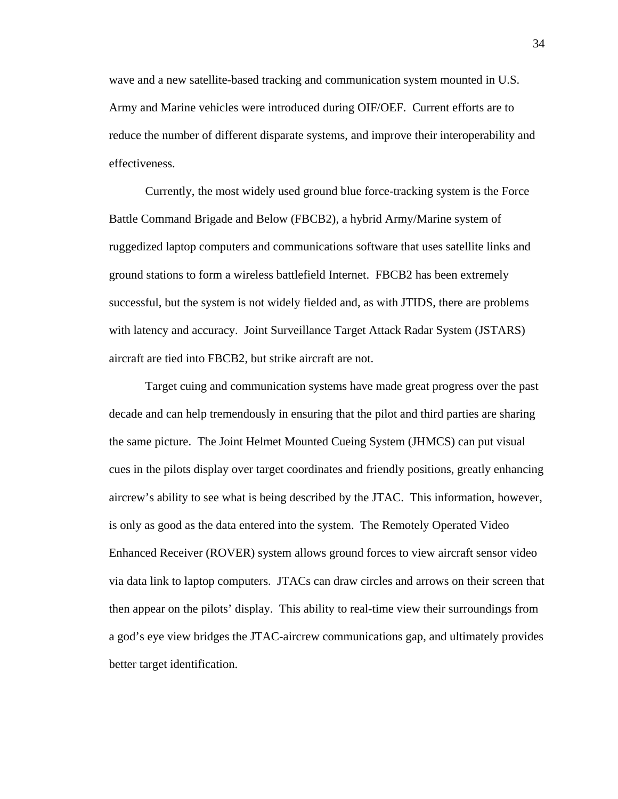wave and a new satellite-based tracking and communication system mounted in U.S. Army and Marine vehicles were introduced during OIF/OEF. Current efforts are to reduce the number of different disparate systems, and improve their interoperability and effectiveness.

Currently, the most widely used ground blue force-tracking system is the Force Battle Command Brigade and Below (FBCB2), a hybrid Army/Marine system of ruggedized laptop computers and communications software that uses satellite links and ground stations to form a wireless battlefield Internet. FBCB2 has been extremely successful, but the system is not widely fielded and, as with JTIDS, there are problems with latency and accuracy. Joint Surveillance Target Attack Radar System (JSTARS) aircraft are tied into FBCB2, but strike aircraft are not.

Target cuing and communication systems have made great progress over the past decade and can help tremendously in ensuring that the pilot and third parties are sharing the same picture. The Joint Helmet Mounted Cueing System (JHMCS) can put visual cues in the pilots display over target coordinates and friendly positions, greatly enhancing aircrew's ability to see what is being described by the JTAC. This information, however, is only as good as the data entered into the system. The Remotely Operated Video Enhanced Receiver (ROVER) system allows ground forces to view aircraft sensor video via data link to laptop computers. JTACs can draw circles and arrows on their screen that then appear on the pilots' display. This ability to real-time view their surroundings from a god's eye view bridges the JTAC-aircrew communications gap, and ultimately provides better target identification.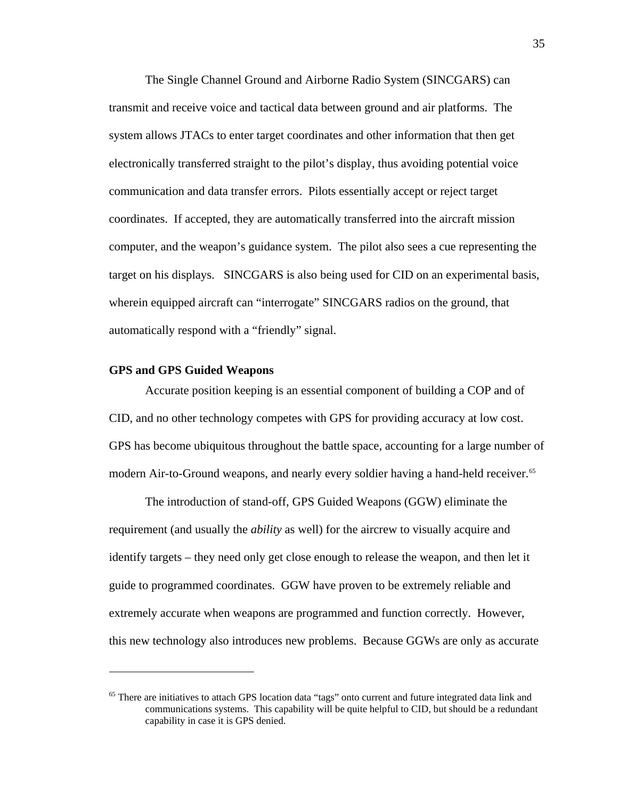The Single Channel Ground and Airborne Radio System (SINCGARS) can transmit and receive voice and tactical data between ground and air platforms. The system allows JTACs to enter target coordinates and other information that then get electronically transferred straight to the pilot's display, thus avoiding potential voice communication and data transfer errors. Pilots essentially accept or reject target coordinates. If accepted, they are automatically transferred into the aircraft mission computer, and the weapon's guidance system. The pilot also sees a cue representing the target on his displays. SINCGARS is also being used for CID on an experimental basis, wherein equipped aircraft can "interrogate" SINCGARS radios on the ground, that automatically respond with a "friendly" signal.

#### **GPS and GPS Guided Weapons**

<u>.</u>

Accurate position keeping is an essential component of building a COP and of CID, and no other technology competes with GPS for providing accuracy at low cost. GPS has become ubiquitous throughout the battle space, accounting for a large number of modern Air-to-Ground weapons, and nearly every soldier having a hand-held receiver.<sup>[65](#page-40-0)</sup>

The introduction of stand-off, GPS Guided Weapons (GGW) eliminate the requirement (and usually the *ability* as well) for the aircrew to visually acquire and identify targets – they need only get close enough to release the weapon, and then let it guide to programmed coordinates. GGW have proven to be extremely reliable and extremely accurate when weapons are programmed and function correctly. However, this new technology also introduces new problems. Because GGWs are only as accurate

<span id="page-40-0"></span><sup>&</sup>lt;sup>65</sup> There are initiatives to attach GPS location data "tags" onto current and future integrated data link and communications systems. This capability will be quite helpful to CID, but should be a redundant capability in case it is GPS denied.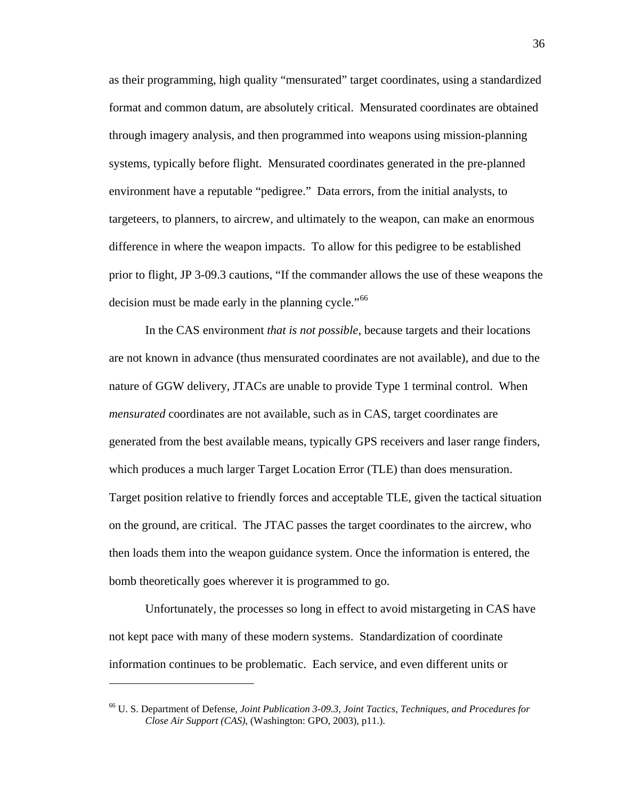as their programming, high quality "mensurated" target coordinates, using a standardized format and common datum, are absolutely critical. Mensurated coordinates are obtained through imagery analysis, and then programmed into weapons using mission-planning systems, typically before flight. Mensurated coordinates generated in the pre-planned environment have a reputable "pedigree." Data errors, from the initial analysts, to targeteers, to planners, to aircrew, and ultimately to the weapon, can make an enormous difference in where the weapon impacts. To allow for this pedigree to be established prior to flight, JP 3-09.3 cautions, "If the commander allows the use of these weapons the decision must be made early in the planning cycle."<sup>[66](#page-41-0)</sup>

In the CAS environment *that is not possible*, because targets and their locations are not known in advance (thus mensurated coordinates are not available), and due to the nature of GGW delivery, JTACs are unable to provide Type 1 terminal control. When *mensurated* coordinates are not available, such as in CAS, target coordinates are generated from the best available means, typically GPS receivers and laser range finders, which produces a much larger Target Location Error (TLE) than does mensuration. Target position relative to friendly forces and acceptable TLE, given the tactical situation on the ground, are critical. The JTAC passes the target coordinates to the aircrew, who then loads them into the weapon guidance system. Once the information is entered, the bomb theoretically goes wherever it is programmed to go.

Unfortunately, the processes so long in effect to avoid mistargeting in CAS have not kept pace with many of these modern systems. Standardization of coordinate information continues to be problematic. Each service, and even different units or

<span id="page-41-0"></span><sup>66</sup> U. S. Department of Defense, *Joint Publication 3-09.3, Joint Tactics, Techniques, and Procedures for Close Air Support (CAS)*, (Washington: GPO, 2003), p11.).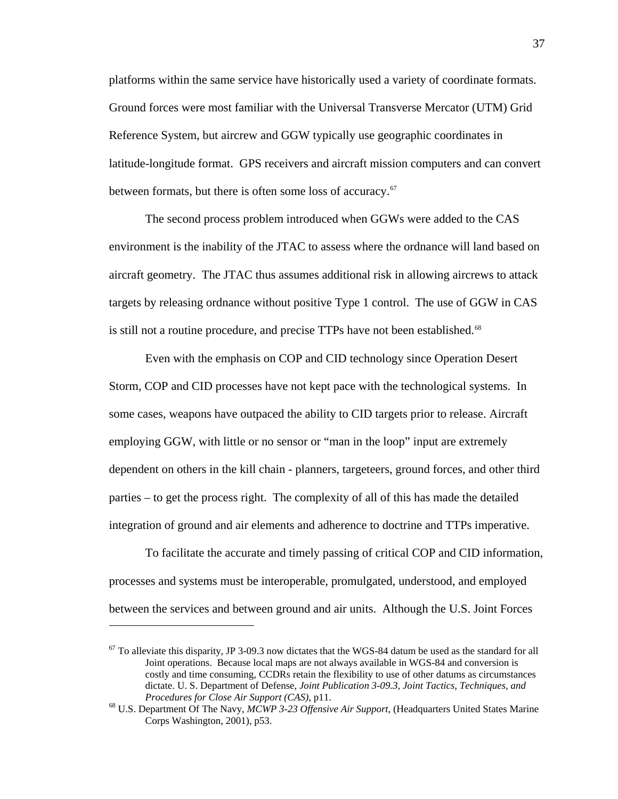platforms within the same service have historically used a variety of coordinate formats. Ground forces were most familiar with the Universal Transverse Mercator (UTM) Grid Reference System, but aircrew and GGW typically use geographic coordinates in latitude-longitude format. GPS receivers and aircraft mission computers and can convert between formats, but there is often some loss of accuracy.<sup>[67](#page-42-0)</sup>

The second process problem introduced when GGWs were added to the CAS environment is the inability of the JTAC to assess where the ordnance will land based on aircraft geometry. The JTAC thus assumes additional risk in allowing aircrews to attack targets by releasing ordnance without positive Type 1 control. The use of GGW in CAS is still not a routine procedure, and precise TTPs have not been established.<sup>[68](#page-42-1)</sup>

Even with the emphasis on COP and CID technology since Operation Desert Storm, COP and CID processes have not kept pace with the technological systems. In some cases, weapons have outpaced the ability to CID targets prior to release. Aircraft employing GGW, with little or no sensor or "man in the loop" input are extremely dependent on others in the kill chain - planners, targeteers, ground forces, and other third parties – to get the process right. The complexity of all of this has made the detailed integration of ground and air elements and adherence to doctrine and TTPs imperative.

To facilitate the accurate and timely passing of critical COP and CID information, processes and systems must be interoperable, promulgated, understood, and employed between the services and between ground and air units. Although the U.S. Joint Forces

<span id="page-42-0"></span> $67$  To alleviate this disparity, JP 3-09.3 now dictates that the WGS-84 datum be used as the standard for all Joint operations. Because local maps are not always available in WGS-84 and conversion is costly and time consuming, CCDRs retain the flexibility to use of other datums as circumstances dictate. U. S. Department of Defense, *Joint Publication 3-09.3, Joint Tactics, Techniques, and Procedures for Close Air Support (CAS)*, p11.<br><sup>68</sup> U.S. Department Of The Navy, *MCWP 3-23 Offensive Air Support*, (Headquarters United States Marine

<span id="page-42-1"></span>Corps Washington, 2001), p53.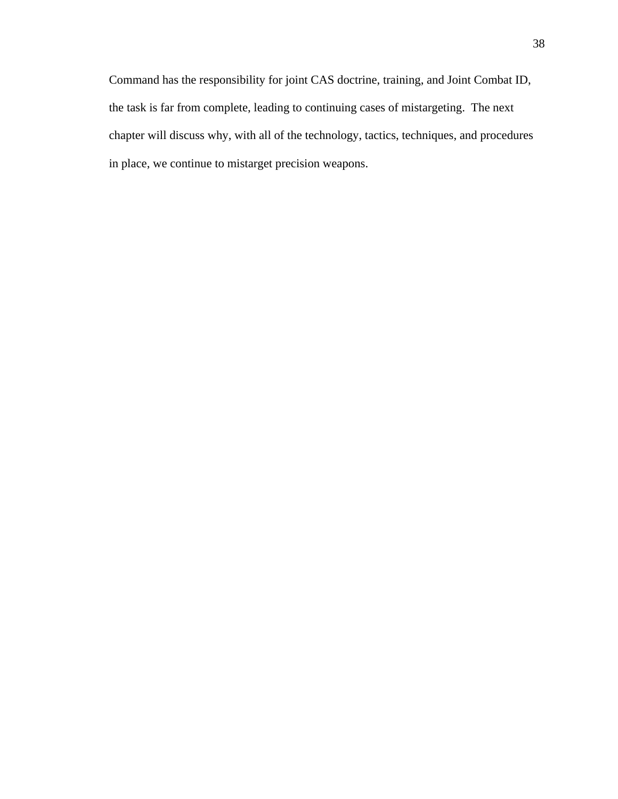Command has the responsibility for joint CAS doctrine, training, and Joint Combat ID, the task is far from complete, leading to continuing cases of mistargeting. The next chapter will discuss why, with all of the technology, tactics, techniques, and procedures in place, we continue to mistarget precision weapons.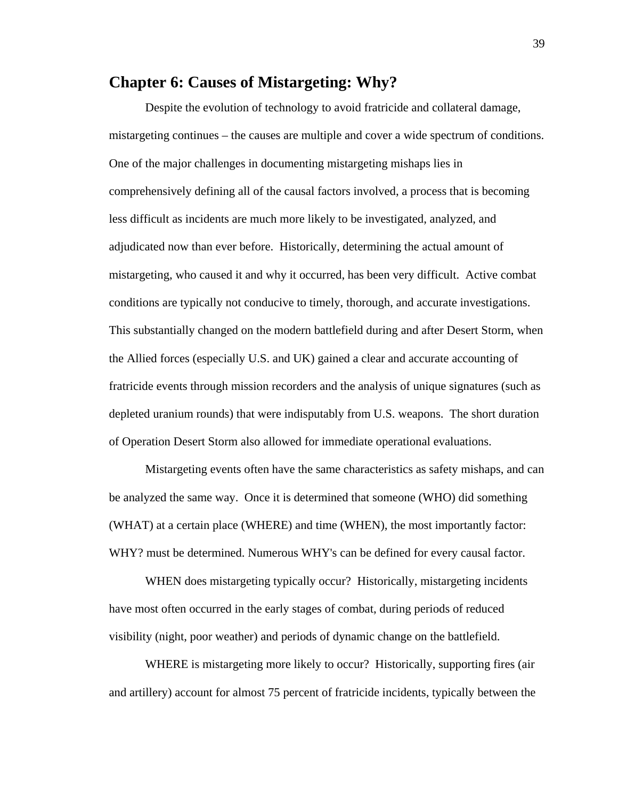## **Chapter 6: Causes of Mistargeting: Why?**

 Despite the evolution of technology to avoid fratricide and collateral damage, mistargeting continues – the causes are multiple and cover a wide spectrum of conditions. One of the major challenges in documenting mistargeting mishaps lies in comprehensively defining all of the causal factors involved, a process that is becoming less difficult as incidents are much more likely to be investigated, analyzed, and adjudicated now than ever before. Historically, determining the actual amount of mistargeting, who caused it and why it occurred, has been very difficult. Active combat conditions are typically not conducive to timely, thorough, and accurate investigations. This substantially changed on the modern battlefield during and after Desert Storm, when the Allied forces (especially U.S. and UK) gained a clear and accurate accounting of fratricide events through mission recorders and the analysis of unique signatures (such as depleted uranium rounds) that were indisputably from U.S. weapons. The short duration of Operation Desert Storm also allowed for immediate operational evaluations.

 Mistargeting events often have the same characteristics as safety mishaps, and can be analyzed the same way. Once it is determined that someone (WHO) did something (WHAT) at a certain place (WHERE) and time (WHEN), the most importantly factor: WHY? must be determined. Numerous WHY's can be defined for every causal factor.

WHEN does mistargeting typically occur? Historically, mistargeting incidents have most often occurred in the early stages of combat, during periods of reduced visibility (night, poor weather) and periods of dynamic change on the battlefield.

 WHERE is mistargeting more likely to occur? Historically, supporting fires (air and artillery) account for almost 75 percent of fratricide incidents, typically between the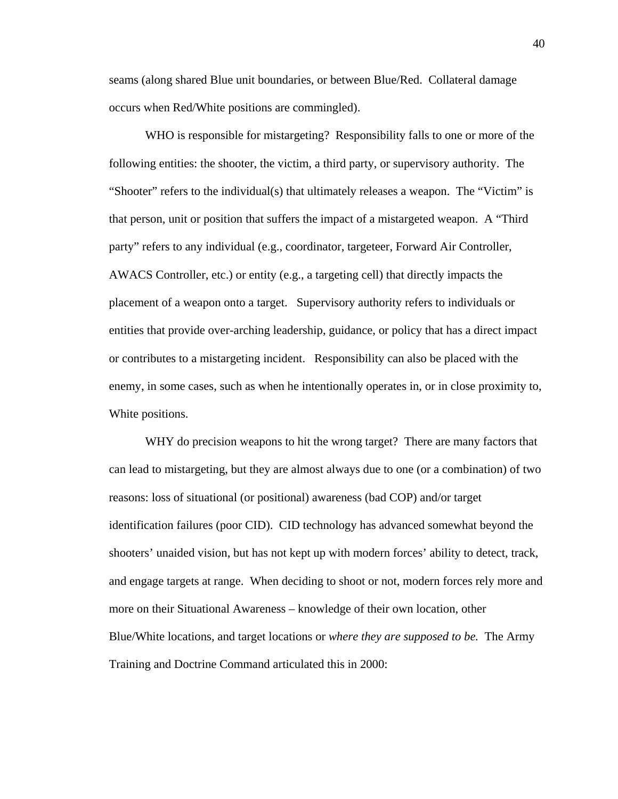seams (along shared Blue unit boundaries, or between Blue/Red. Collateral damage occurs when Red/White positions are commingled).

 WHO is responsible for mistargeting? Responsibility falls to one or more of the following entities: the shooter, the victim, a third party, or supervisory authority. The "Shooter" refers to the individual(s) that ultimately releases a weapon. The "Victim" is that person, unit or position that suffers the impact of a mistargeted weapon. A "Third party" refers to any individual (e.g., coordinator, targeteer, Forward Air Controller, AWACS Controller, etc.) or entity (e.g., a targeting cell) that directly impacts the placement of a weapon onto a target. Supervisory authority refers to individuals or entities that provide over-arching leadership, guidance, or policy that has a direct impact or contributes to a mistargeting incident. Responsibility can also be placed with the enemy, in some cases, such as when he intentionally operates in, or in close proximity to, White positions.

WHY do precision weapons to hit the wrong target? There are many factors that can lead to mistargeting, but they are almost always due to one (or a combination) of two reasons: loss of situational (or positional) awareness (bad COP) and/or target identification failures (poor CID). CID technology has advanced somewhat beyond the shooters' unaided vision, but has not kept up with modern forces' ability to detect, track, and engage targets at range. When deciding to shoot or not, modern forces rely more and more on their Situational Awareness – knowledge of their own location, other Blue/White locations, and target locations or *where they are supposed to be.* The Army Training and Doctrine Command articulated this in 2000: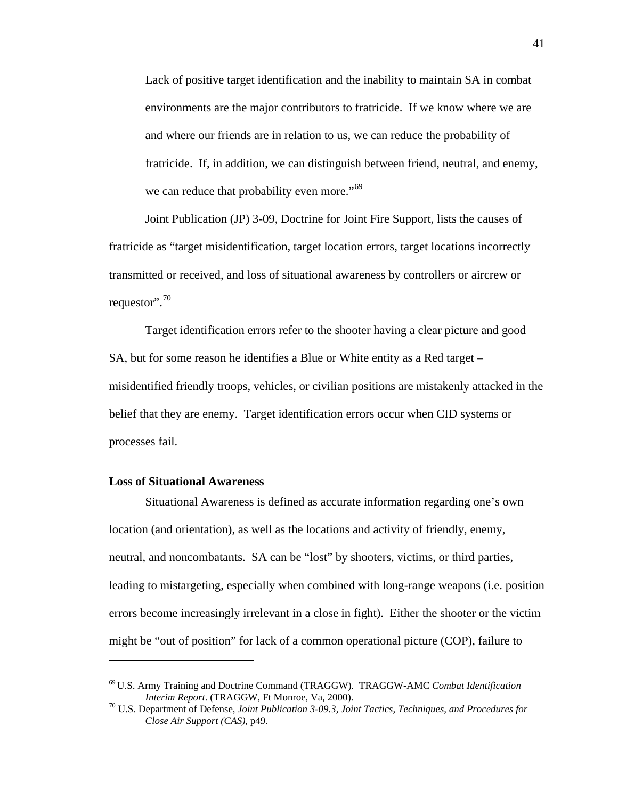Lack of positive target identification and the inability to maintain SA in combat environments are the major contributors to fratricide. If we know where we are and where our friends are in relation to us, we can reduce the probability of fratricide. If, in addition, we can distinguish between friend, neutral, and enemy, we can reduce that probability even more."<sup>[69](#page-46-0)</sup>

Joint Publication (JP) 3-09, Doctrine for Joint Fire Support, lists the causes of fratricide as "target misidentification, target location errors, target locations incorrectly transmitted or received, and loss of situational awareness by controllers or aircrew or requestor".<sup>[70](#page-46-1)</sup>

 Target identification errors refer to the shooter having a clear picture and good SA, but for some reason he identifies a Blue or White entity as a Red target – misidentified friendly troops, vehicles, or civilian positions are mistakenly attacked in the belief that they are enemy. Target identification errors occur when CID systems or processes fail.

#### **Loss of Situational Awareness**

1

 Situational Awareness is defined as accurate information regarding one's own location (and orientation), as well as the locations and activity of friendly, enemy, neutral, and noncombatants. SA can be "lost" by shooters, victims, or third parties, leading to mistargeting, especially when combined with long-range weapons (i.e. position errors become increasingly irrelevant in a close in fight). Either the shooter or the victim might be "out of position" for lack of a common operational picture (COP), failure to

<span id="page-46-0"></span><sup>69</sup> U.S. Army Training and Doctrine Command (TRAGGW). TRAGGW-AMC *Combat Identification Interim Report.* (TRAGGW, Ft Monroe, Va, 2000).<br><sup>70</sup> U.S. Department of Defense, *Joint Publication 3-09.3, Joint Tactics, Techniques, and Procedures for* 

<span id="page-46-1"></span>*Close Air Support (CAS)*, p49.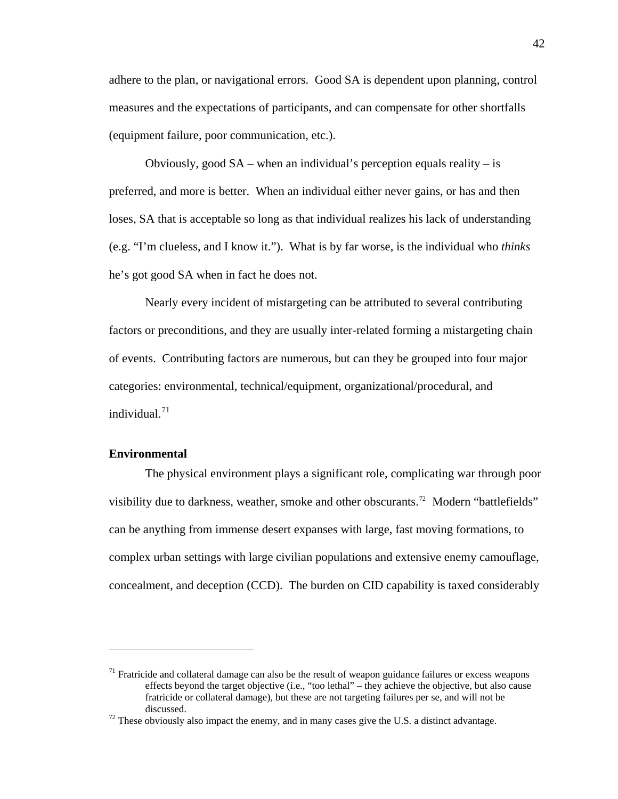adhere to the plan, or navigational errors. Good SA is dependent upon planning, control measures and the expectations of participants, and can compensate for other shortfalls (equipment failure, poor communication, etc.).

Obviously, good  $SA$  – when an individual's perception equals reality – is preferred, and more is better. When an individual either never gains, or has and then loses, SA that is acceptable so long as that individual realizes his lack of understanding (e.g. "I'm clueless, and I know it."). What is by far worse, is the individual who *thinks* he's got good SA when in fact he does not.

 Nearly every incident of mistargeting can be attributed to several contributing factors or preconditions, and they are usually inter-related forming a mistargeting chain of events. Contributing factors are numerous, but can they be grouped into four major categories: environmental, technical/equipment, organizational/procedural, and individual.[71](#page-47-0)

### **Environmental**

 $\overline{a}$ 

The physical environment plays a significant role, complicating war through poor visibility due to darkness, weather, smoke and other obscurants.<sup>72</sup> Modern "battlefields" can be anything from immense desert expanses with large, fast moving formations, to complex urban settings with large civilian populations and extensive enemy camouflage, concealment, and deception (CCD). The burden on CID capability is taxed considerably

<span id="page-47-0"></span> $71$  Fratricide and collateral damage can also be the result of weapon guidance failures or excess weapons effects beyond the target objective (i.e., "too lethal" – they achieve the objective, but also cause fratricide or collateral damage), but these are not targeting failures per se, and will not be discussed.<br><sup>72</sup> These obviously also impact the enemy, and in many cases give the U.S. a distinct advantage.

<span id="page-47-1"></span>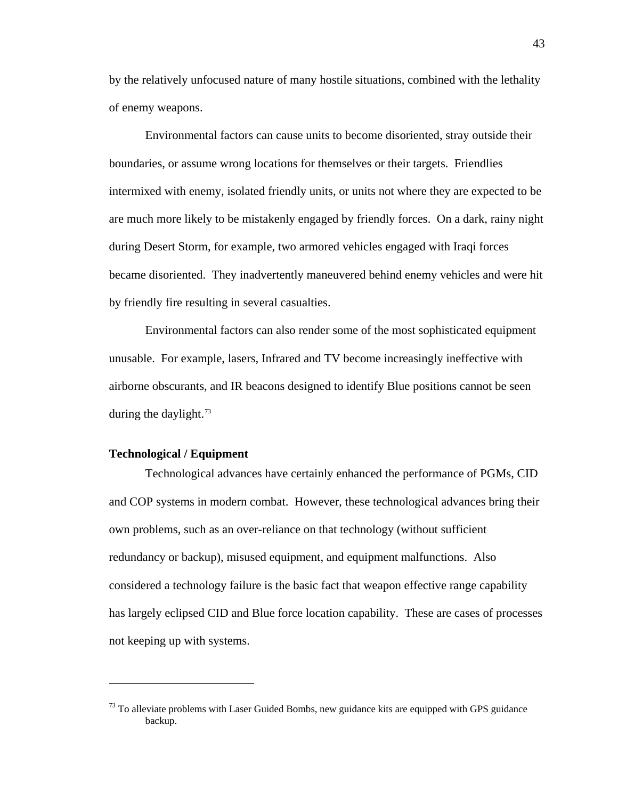by the relatively unfocused nature of many hostile situations, combined with the lethality of enemy weapons.

Environmental factors can cause units to become disoriented, stray outside their boundaries, or assume wrong locations for themselves or their targets. Friendlies intermixed with enemy, isolated friendly units, or units not where they are expected to be are much more likely to be mistakenly engaged by friendly forces. On a dark, rainy night during Desert Storm, for example, two armored vehicles engaged with Iraqi forces became disoriented. They inadvertently maneuvered behind enemy vehicles and were hit by friendly fire resulting in several casualties.

Environmental factors can also render some of the most sophisticated equipment unusable. For example, lasers, Infrared and TV become increasingly ineffective with airborne obscurants, and IR beacons designed to identify Blue positions cannot be seen during the daylight. $73$ 

### **Technological / Equipment**

 $\overline{a}$ 

 Technological advances have certainly enhanced the performance of PGMs, CID and COP systems in modern combat. However, these technological advances bring their own problems, such as an over-reliance on that technology (without sufficient redundancy or backup), misused equipment, and equipment malfunctions. Also considered a technology failure is the basic fact that weapon effective range capability has largely eclipsed CID and Blue force location capability. These are cases of processes not keeping up with systems.

<span id="page-48-0"></span> $73$  To alleviate problems with Laser Guided Bombs, new guidance kits are equipped with GPS guidance backup.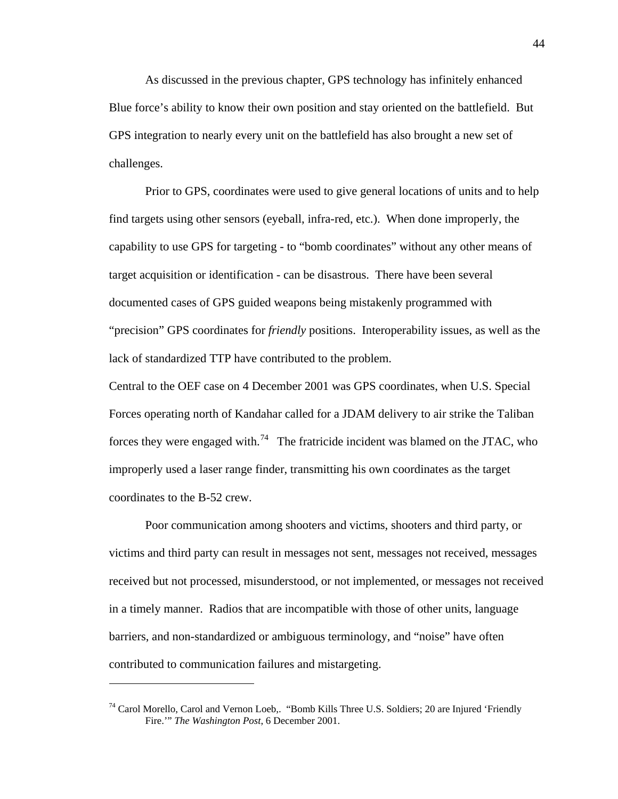As discussed in the previous chapter, GPS technology has infinitely enhanced Blue force's ability to know their own position and stay oriented on the battlefield. But GPS integration to nearly every unit on the battlefield has also brought a new set of challenges.

Prior to GPS, coordinates were used to give general locations of units and to help find targets using other sensors (eyeball, infra-red, etc.). When done improperly, the capability to use GPS for targeting - to "bomb coordinates" without any other means of target acquisition or identification - can be disastrous. There have been several documented cases of GPS guided weapons being mistakenly programmed with "precision" GPS coordinates for *friendly* positions. Interoperability issues, as well as the lack of standardized TTP have contributed to the problem.

Central to the OEF case on 4 December 2001 was GPS coordinates, when U.S. Special Forces operating north of Kandahar called for a JDAM delivery to air strike the Taliban forces they were engaged with.<sup>[74](#page-49-0)</sup> The fratricide incident was blamed on the JTAC, who improperly used a laser range finder, transmitting his own coordinates as the target coordinates to the B-52 crew.

Poor communication among shooters and victims, shooters and third party, or victims and third party can result in messages not sent, messages not received, messages received but not processed, misunderstood, or not implemented, or messages not received in a timely manner. Radios that are incompatible with those of other units, language barriers, and non-standardized or ambiguous terminology, and "noise" have often contributed to communication failures and mistargeting.

<span id="page-49-0"></span><sup>&</sup>lt;sup>74</sup> Carol Morello, Carol and Vernon Loeb,. "Bomb Kills Three U.S. Soldiers; 20 are Injured 'Friendly Fire.'" *The Washington Post*, 6 December 2001.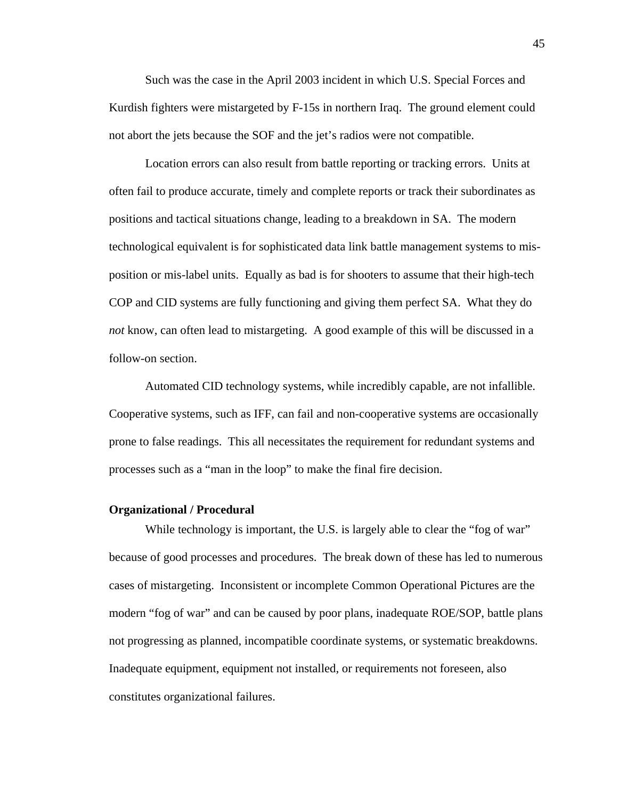Such was the case in the April 2003 incident in which U.S. Special Forces and Kurdish fighters were mistargeted by F-15s in northern Iraq. The ground element could not abort the jets because the SOF and the jet's radios were not compatible.

Location errors can also result from battle reporting or tracking errors. Units at often fail to produce accurate, timely and complete reports or track their subordinates as positions and tactical situations change, leading to a breakdown in SA. The modern technological equivalent is for sophisticated data link battle management systems to misposition or mis-label units. Equally as bad is for shooters to assume that their high-tech COP and CID systems are fully functioning and giving them perfect SA. What they do *not* know, can often lead to mistargeting. A good example of this will be discussed in a follow-on section.

Automated CID technology systems, while incredibly capable, are not infallible. Cooperative systems, such as IFF, can fail and non-cooperative systems are occasionally prone to false readings. This all necessitates the requirement for redundant systems and processes such as a "man in the loop" to make the final fire decision.

### **Organizational / Procedural**

While technology is important, the U.S. is largely able to clear the "fog of war" because of good processes and procedures. The break down of these has led to numerous cases of mistargeting. Inconsistent or incomplete Common Operational Pictures are the modern "fog of war" and can be caused by poor plans, inadequate ROE/SOP, battle plans not progressing as planned, incompatible coordinate systems, or systematic breakdowns. Inadequate equipment, equipment not installed, or requirements not foreseen, also constitutes organizational failures.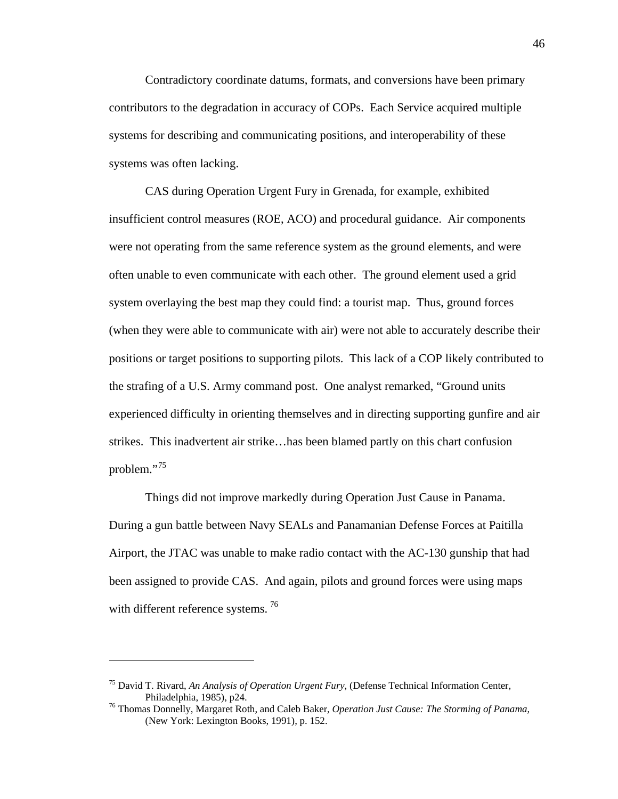Contradictory coordinate datums, formats, and conversions have been primary contributors to the degradation in accuracy of COPs. Each Service acquired multiple systems for describing and communicating positions, and interoperability of these systems was often lacking.

CAS during Operation Urgent Fury in Grenada, for example, exhibited insufficient control measures (ROE, ACO) and procedural guidance. Air components were not operating from the same reference system as the ground elements, and were often unable to even communicate with each other. The ground element used a grid system overlaying the best map they could find: a tourist map. Thus, ground forces (when they were able to communicate with air) were not able to accurately describe their positions or target positions to supporting pilots. This lack of a COP likely contributed to the strafing of a U.S. Army command post. One analyst remarked, "Ground units experienced difficulty in orienting themselves and in directing supporting gunfire and air strikes. This inadvertent air strike…has been blamed partly on this chart confusion problem."<sup>[75](#page-51-0)</sup>

Things did not improve markedly during Operation Just Cause in Panama. During a gun battle between Navy SEALs and Panamanian Defense Forces at Paitilla Airport, the JTAC was unable to make radio contact with the AC-130 gunship that had been assigned to provide CAS. And again, pilots and ground forces were using maps with different reference systems.<sup>[76](#page-51-1)</sup>

1

<span id="page-51-0"></span><sup>75</sup> David T. Rivard, *An Analysis of Operation Urgent Fury*, (Defense Technical Information Center, Philadelphia, 1985), p24. 76 Thomas Donnelly, Margaret Roth, and Caleb Baker, *Operation Just Cause: The Storming of Panama*,

<span id="page-51-1"></span><sup>(</sup>New York: Lexington Books, 1991), p. 152.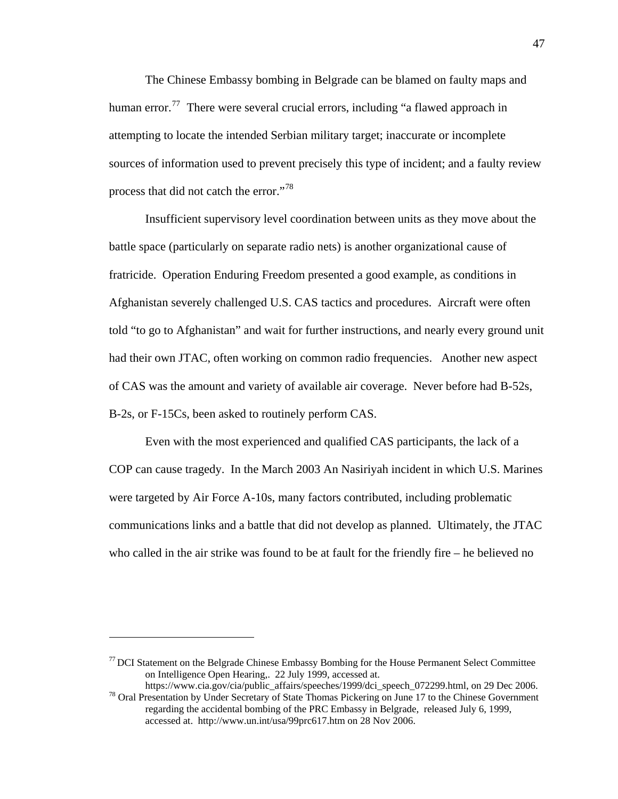The Chinese Embassy bombing in Belgrade can be blamed on faulty maps and human error.<sup>[77](#page-52-0)</sup> There were several crucial errors, including "a flawed approach in attempting to locate the intended Serbian military target; inaccurate or incomplete sources of information used to prevent precisely this type of incident; and a faulty review process that did not catch the error."<sup>[78](#page-52-1)</sup>

Insufficient supervisory level coordination between units as they move about the battle space (particularly on separate radio nets) is another organizational cause of fratricide. Operation Enduring Freedom presented a good example, as conditions in Afghanistan severely challenged U.S. CAS tactics and procedures. Aircraft were often told "to go to Afghanistan" and wait for further instructions, and nearly every ground unit had their own JTAC, often working on common radio frequencies. Another new aspect of CAS was the amount and variety of available air coverage. Never before had B-52s, B-2s, or F-15Cs, been asked to routinely perform CAS.

Even with the most experienced and qualified CAS participants, the lack of a COP can cause tragedy. In the March 2003 An Nasiriyah incident in which U.S. Marines were targeted by Air Force A-10s, many factors contributed, including problematic communications links and a battle that did not develop as planned. Ultimately, the JTAC who called in the air strike was found to be at fault for the friendly fire – he believed no

<span id="page-52-0"></span> $77$  DCI Statement on the Belgrade Chinese Embassy Bombing for the House Permanent Select Committee on Intelligence Open Hearing,. 22 July 1999, accessed at.

<span id="page-52-1"></span>https://www.cia.gov/cia/public\_affairs/speeches/1999/dci\_speech\_072299.html, on 29 Dec 2006.<br><sup>78</sup> Oral Presentation by Under Secretary of State Thomas Pickering on June 17 to the Chinese Government

regarding the accidental bombing of the PRC Embassy in Belgrade, released July 6, 1999, accessed at. http://www.un.int/usa/99prc617.htm on 28 Nov 2006.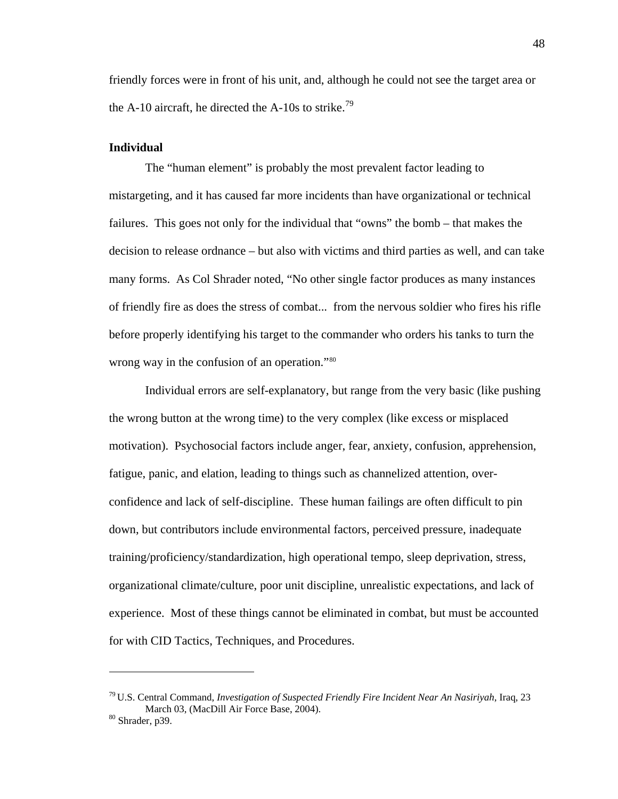friendly forces were in front of his unit, and, although he could not see the target area or the A-10 aircraft, he directed the A-10s to strike.<sup>[79](#page-53-0)</sup>

### **Individual**

 The "human element" is probably the most prevalent factor leading to mistargeting, and it has caused far more incidents than have organizational or technical failures. This goes not only for the individual that "owns" the bomb – that makes the decision to release ordnance – but also with victims and third parties as well, and can take many forms. As Col Shrader noted, "No other single factor produces as many instances of friendly fire as does the stress of combat... from the nervous soldier who fires his rifle before properly identifying his target to the commander who orders his tanks to turn the wrong way in the confusion of an operation."<sup>[80](#page-53-1)</sup>

 Individual errors are self-explanatory, but range from the very basic (like pushing the wrong button at the wrong time) to the very complex (like excess or misplaced motivation). Psychosocial factors include anger, fear, anxiety, confusion, apprehension, fatigue, panic, and elation, leading to things such as channelized attention, overconfidence and lack of self-discipline. These human failings are often difficult to pin down, but contributors include environmental factors, perceived pressure, inadequate training/proficiency/standardization, high operational tempo, sleep deprivation, stress, organizational climate/culture, poor unit discipline, unrealistic expectations, and lack of experience. Most of these things cannot be eliminated in combat, but must be accounted for with CID Tactics, Techniques, and Procedures.

<span id="page-53-0"></span><sup>79</sup> U.S. Central Command, *Investigation of Suspected Friendly Fire Incident Near An Nasiriyah*, Iraq, 23 March 03, (MacDill Air Force Base, 2004). 80 Shrader, p39.

<span id="page-53-1"></span>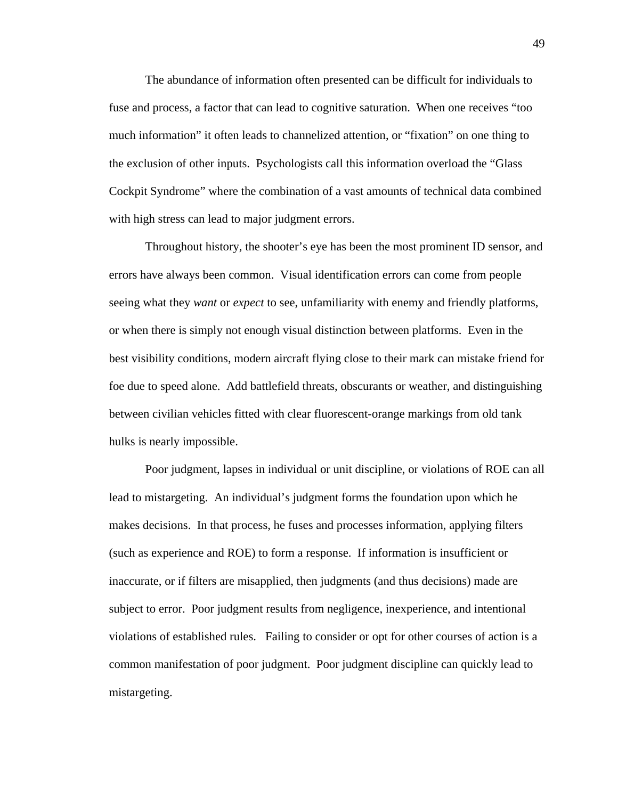The abundance of information often presented can be difficult for individuals to fuse and process, a factor that can lead to cognitive saturation. When one receives "too much information" it often leads to channelized attention, or "fixation" on one thing to the exclusion of other inputs. Psychologists call this information overload the "Glass Cockpit Syndrome" where the combination of a vast amounts of technical data combined with high stress can lead to major judgment errors.

Throughout history, the shooter's eye has been the most prominent ID sensor, and errors have always been common. Visual identification errors can come from people seeing what they *want* or *expect* to see, unfamiliarity with enemy and friendly platforms, or when there is simply not enough visual distinction between platforms. Even in the best visibility conditions, modern aircraft flying close to their mark can mistake friend for foe due to speed alone. Add battlefield threats, obscurants or weather, and distinguishing between civilian vehicles fitted with clear fluorescent-orange markings from old tank hulks is nearly impossible.

Poor judgment, lapses in individual or unit discipline, or violations of ROE can all lead to mistargeting. An individual's judgment forms the foundation upon which he makes decisions. In that process, he fuses and processes information, applying filters (such as experience and ROE) to form a response. If information is insufficient or inaccurate, or if filters are misapplied, then judgments (and thus decisions) made are subject to error. Poor judgment results from negligence, inexperience, and intentional violations of established rules. Failing to consider or opt for other courses of action is a common manifestation of poor judgment. Poor judgment discipline can quickly lead to mistargeting.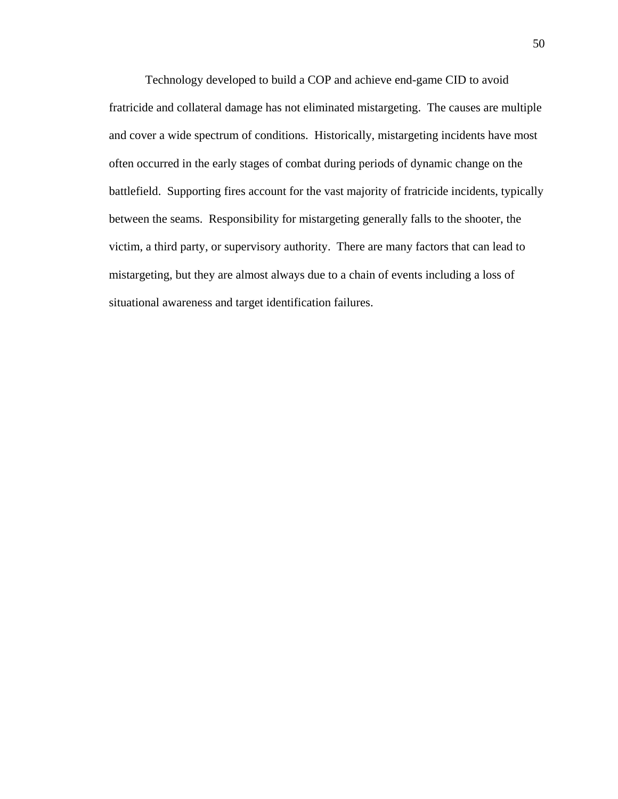Technology developed to build a COP and achieve end-game CID to avoid fratricide and collateral damage has not eliminated mistargeting. The causes are multiple and cover a wide spectrum of conditions. Historically, mistargeting incidents have most often occurred in the early stages of combat during periods of dynamic change on the battlefield. Supporting fires account for the vast majority of fratricide incidents, typically between the seams. Responsibility for mistargeting generally falls to the shooter, the victim, a third party, or supervisory authority. There are many factors that can lead to mistargeting, but they are almost always due to a chain of events including a loss of situational awareness and target identification failures.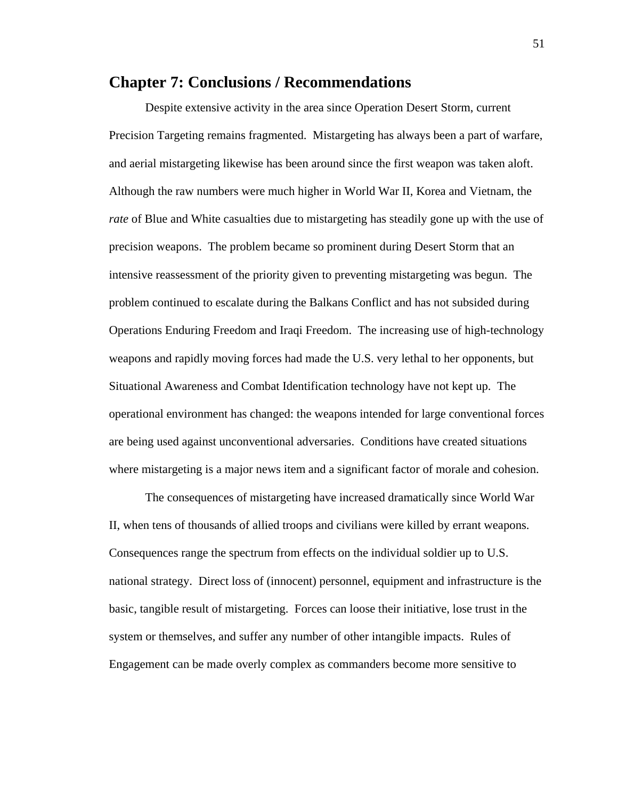## **Chapter 7: Conclusions / Recommendations**

Despite extensive activity in the area since Operation Desert Storm, current Precision Targeting remains fragmented. Mistargeting has always been a part of warfare, and aerial mistargeting likewise has been around since the first weapon was taken aloft. Although the raw numbers were much higher in World War II, Korea and Vietnam, the *rate* of Blue and White casualties due to mistargeting has steadily gone up with the use of precision weapons. The problem became so prominent during Desert Storm that an intensive reassessment of the priority given to preventing mistargeting was begun. The problem continued to escalate during the Balkans Conflict and has not subsided during Operations Enduring Freedom and Iraqi Freedom. The increasing use of high-technology weapons and rapidly moving forces had made the U.S. very lethal to her opponents, but Situational Awareness and Combat Identification technology have not kept up. The operational environment has changed: the weapons intended for large conventional forces are being used against unconventional adversaries. Conditions have created situations where mistargeting is a major news item and a significant factor of morale and cohesion.

 The consequences of mistargeting have increased dramatically since World War II, when tens of thousands of allied troops and civilians were killed by errant weapons. Consequences range the spectrum from effects on the individual soldier up to U.S. national strategy. Direct loss of (innocent) personnel, equipment and infrastructure is the basic, tangible result of mistargeting. Forces can loose their initiative, lose trust in the system or themselves, and suffer any number of other intangible impacts. Rules of Engagement can be made overly complex as commanders become more sensitive to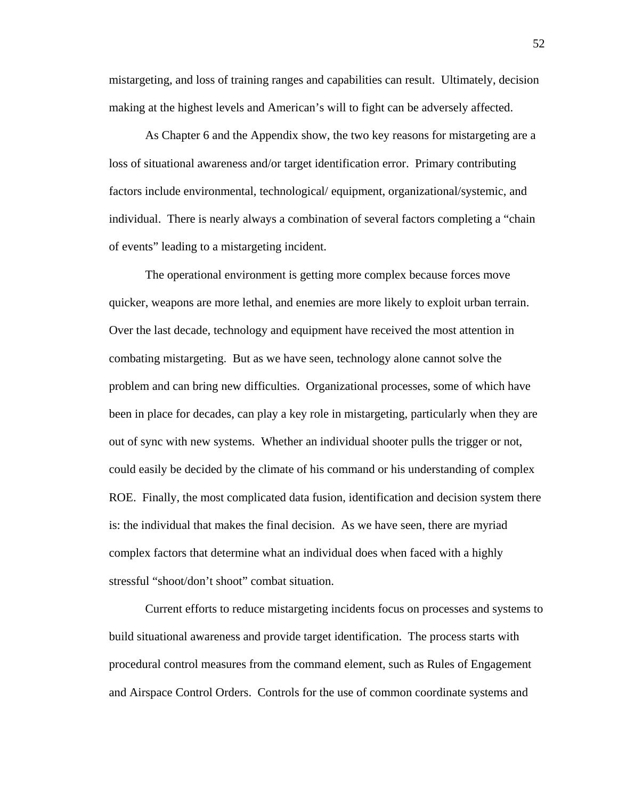mistargeting, and loss of training ranges and capabilities can result. Ultimately, decision making at the highest levels and American's will to fight can be adversely affected.

As Chapter 6 and the Appendix show, the two key reasons for mistargeting are a loss of situational awareness and/or target identification error. Primary contributing factors include environmental, technological/ equipment, organizational/systemic, and individual. There is nearly always a combination of several factors completing a "chain of events" leading to a mistargeting incident.

The operational environment is getting more complex because forces move quicker, weapons are more lethal, and enemies are more likely to exploit urban terrain. Over the last decade, technology and equipment have received the most attention in combating mistargeting. But as we have seen, technology alone cannot solve the problem and can bring new difficulties. Organizational processes, some of which have been in place for decades, can play a key role in mistargeting, particularly when they are out of sync with new systems. Whether an individual shooter pulls the trigger or not, could easily be decided by the climate of his command or his understanding of complex ROE. Finally, the most complicated data fusion, identification and decision system there is: the individual that makes the final decision. As we have seen, there are myriad complex factors that determine what an individual does when faced with a highly stressful "shoot/don't shoot" combat situation.

Current efforts to reduce mistargeting incidents focus on processes and systems to build situational awareness and provide target identification. The process starts with procedural control measures from the command element, such as Rules of Engagement and Airspace Control Orders. Controls for the use of common coordinate systems and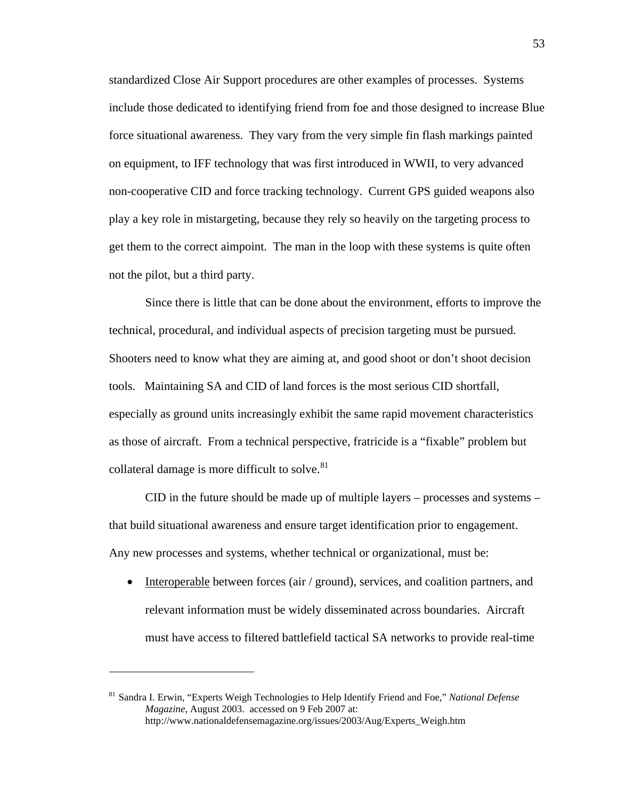standardized Close Air Support procedures are other examples of processes. Systems include those dedicated to identifying friend from foe and those designed to increase Blue force situational awareness. They vary from the very simple fin flash markings painted on equipment, to IFF technology that was first introduced in WWII, to very advanced non-cooperative CID and force tracking technology. Current GPS guided weapons also play a key role in mistargeting, because they rely so heavily on the targeting process to get them to the correct aimpoint. The man in the loop with these systems is quite often not the pilot, but a third party.

Since there is little that can be done about the environment, efforts to improve the technical, procedural, and individual aspects of precision targeting must be pursued. Shooters need to know what they are aiming at, and good shoot or don't shoot decision tools. Maintaining SA and CID of land forces is the most serious CID shortfall, especially as ground units increasingly exhibit the same rapid movement characteristics as those of aircraft. From a technical perspective, fratricide is a "fixable" problem but collateral damage is more difficult to solve.<sup>[81](#page-58-0)</sup>

CID in the future should be made up of multiple layers – processes and systems – that build situational awareness and ensure target identification prior to engagement. Any new processes and systems, whether technical or organizational, must be:

• Interoperable between forces (air / ground), services, and coalition partners, and relevant information must be widely disseminated across boundaries. Aircraft must have access to filtered battlefield tactical SA networks to provide real-time

<span id="page-58-0"></span><sup>81</sup> Sandra I. Erwin, "Experts Weigh Technologies to Help Identify Friend and Foe," *National Defense Magazine*, August 2003. accessed on 9 Feb 2007 at: http://www.nationaldefensemagazine.org/issues/2003/Aug/Experts\_Weigh.htm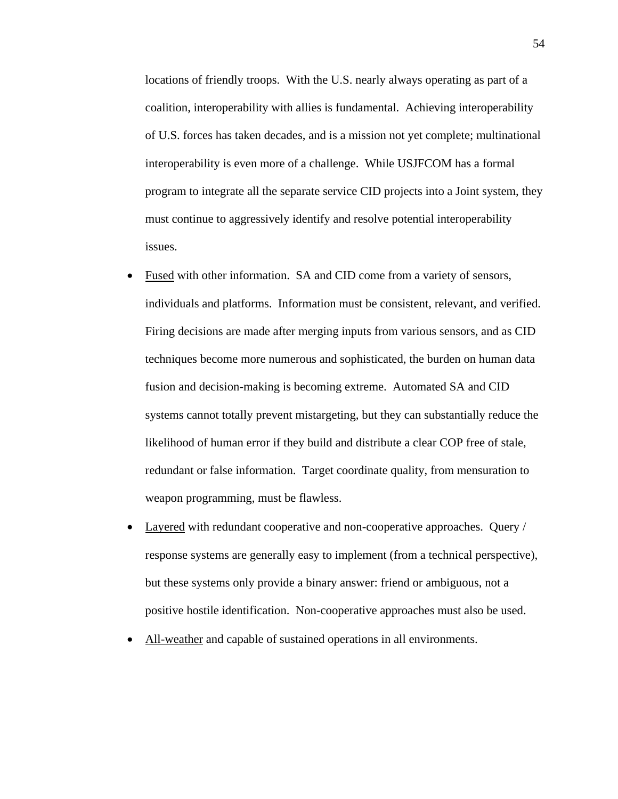locations of friendly troops. With the U.S. nearly always operating as part of a coalition, interoperability with allies is fundamental. Achieving interoperability of U.S. forces has taken decades, and is a mission not yet complete; multinational interoperability is even more of a challenge. While USJFCOM has a formal program to integrate all the separate service CID projects into a Joint system, they must continue to aggressively identify and resolve potential interoperability issues.

- Fused with other information. SA and CID come from a variety of sensors, individuals and platforms. Information must be consistent, relevant, and verified. Firing decisions are made after merging inputs from various sensors, and as CID techniques become more numerous and sophisticated, the burden on human data fusion and decision-making is becoming extreme. Automated SA and CID systems cannot totally prevent mistargeting, but they can substantially reduce the likelihood of human error if they build and distribute a clear COP free of stale, redundant or false information. Target coordinate quality, from mensuration to weapon programming, must be flawless.
- Layered with redundant cooperative and non-cooperative approaches. Query / response systems are generally easy to implement (from a technical perspective), but these systems only provide a binary answer: friend or ambiguous, not a positive hostile identification. Non-cooperative approaches must also be used.
- All-weather and capable of sustained operations in all environments.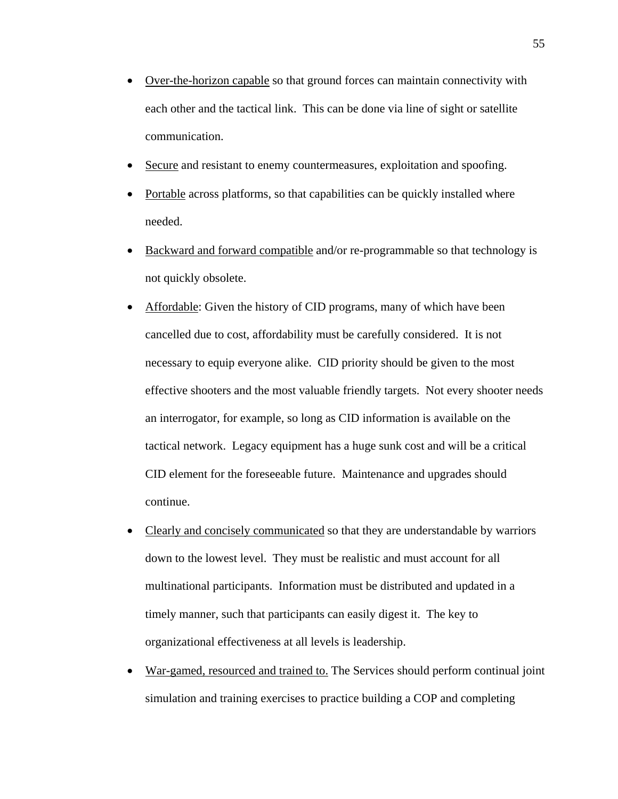- Over-the-horizon capable so that ground forces can maintain connectivity with each other and the tactical link. This can be done via line of sight or satellite communication.
- Secure and resistant to enemy countermeasures, exploitation and spoofing.
- Portable across platforms, so that capabilities can be quickly installed where needed.
- Backward and forward compatible and/or re-programmable so that technology is not quickly obsolete.
- Affordable: Given the history of CID programs, many of which have been cancelled due to cost, affordability must be carefully considered. It is not necessary to equip everyone alike. CID priority should be given to the most effective shooters and the most valuable friendly targets. Not every shooter needs an interrogator, for example, so long as CID information is available on the tactical network. Legacy equipment has a huge sunk cost and will be a critical CID element for the foreseeable future. Maintenance and upgrades should continue.
- Clearly and concisely communicated so that they are understandable by warriors down to the lowest level. They must be realistic and must account for all multinational participants. Information must be distributed and updated in a timely manner, such that participants can easily digest it. The key to organizational effectiveness at all levels is leadership.
- War-gamed, resourced and trained to. The Services should perform continual joint simulation and training exercises to practice building a COP and completing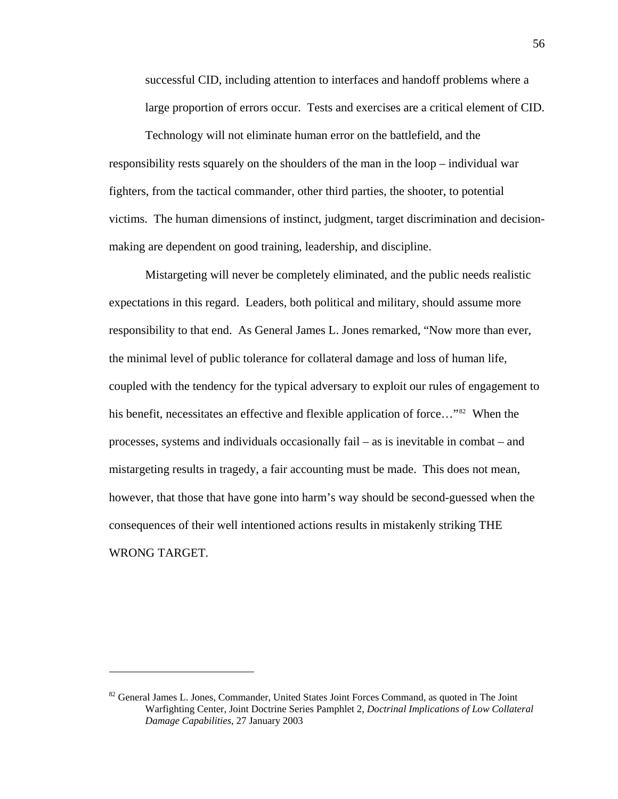successful CID, including attention to interfaces and handoff problems where a large proportion of errors occur. Tests and exercises are a critical element of CID.

Technology will not eliminate human error on the battlefield, and the responsibility rests squarely on the shoulders of the man in the loop – individual war fighters, from the tactical commander, other third parties, the shooter, to potential victims. The human dimensions of instinct, judgment, target discrimination and decisionmaking are dependent on good training, leadership, and discipline.

Mistargeting will never be completely eliminated, and the public needs realistic expectations in this regard. Leaders, both political and military, should assume more responsibility to that end. As General James L. Jones remarked, "Now more than ever, the minimal level of public tolerance for collateral damage and loss of human life, coupled with the tendency for the typical adversary to exploit our rules of engagement to his benefit, necessitates an effective and flexible application of force..."<sup>[82](#page-61-0)</sup> When the processes, systems and individuals occasionally fail – as is inevitable in combat – and mistargeting results in tragedy, a fair accounting must be made. This does not mean, however, that those that have gone into harm's way should be second-guessed when the consequences of their well intentioned actions results in mistakenly striking THE WRONG TARGET.

<span id="page-61-0"></span><sup>&</sup>lt;sup>82</sup> General James L. Jones, Commander, United States Joint Forces Command, as quoted in The Joint Warfighting Center, Joint Doctrine Series Pamphlet 2, *Doctrinal Implications of Low Collateral Damage Capabilities*, 27 January 2003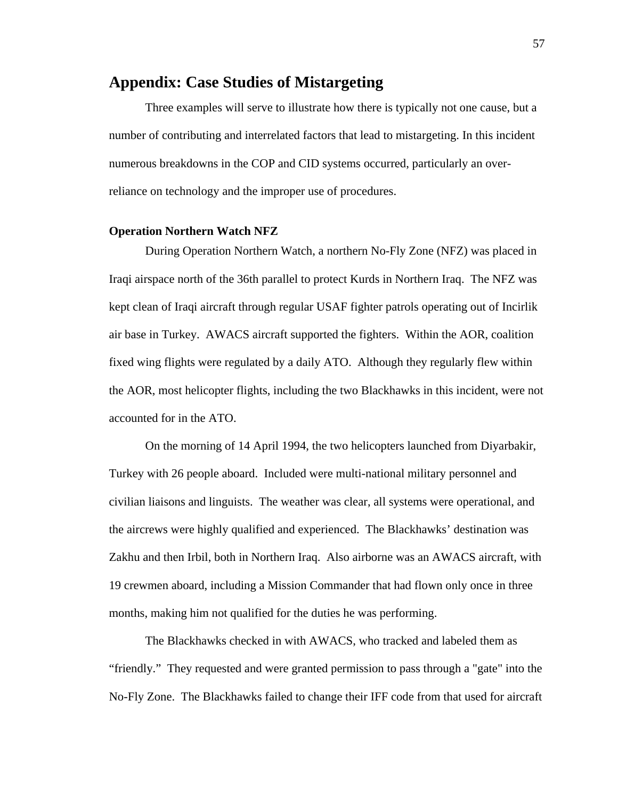## **Appendix: Case Studies of Mistargeting**

Three examples will serve to illustrate how there is typically not one cause, but a number of contributing and interrelated factors that lead to mistargeting. In this incident numerous breakdowns in the COP and CID systems occurred, particularly an overreliance on technology and the improper use of procedures.

#### **Operation Northern Watch NFZ**

 During Operation Northern Watch, a northern No-Fly Zone (NFZ) was placed in Iraqi airspace north of the 36th parallel to protect Kurds in Northern Iraq. The NFZ was kept clean of Iraqi aircraft through regular USAF fighter patrols operating out of Incirlik air base in Turkey. AWACS aircraft supported the fighters. Within the AOR, coalition fixed wing flights were regulated by a daily ATO. Although they regularly flew within the AOR, most helicopter flights, including the two Blackhawks in this incident, were not accounted for in the ATO.

 On the morning of 14 April 1994, the two helicopters launched from Diyarbakir, Turkey with 26 people aboard. Included were multi-national military personnel and civilian liaisons and linguists. The weather was clear, all systems were operational, and the aircrews were highly qualified and experienced. The Blackhawks' destination was Zakhu and then Irbil, both in Northern Iraq. Also airborne was an AWACS aircraft, with 19 crewmen aboard, including a Mission Commander that had flown only once in three months, making him not qualified for the duties he was performing.

 The Blackhawks checked in with AWACS, who tracked and labeled them as "friendly." They requested and were granted permission to pass through a "gate" into the No-Fly Zone. The Blackhawks failed to change their IFF code from that used for aircraft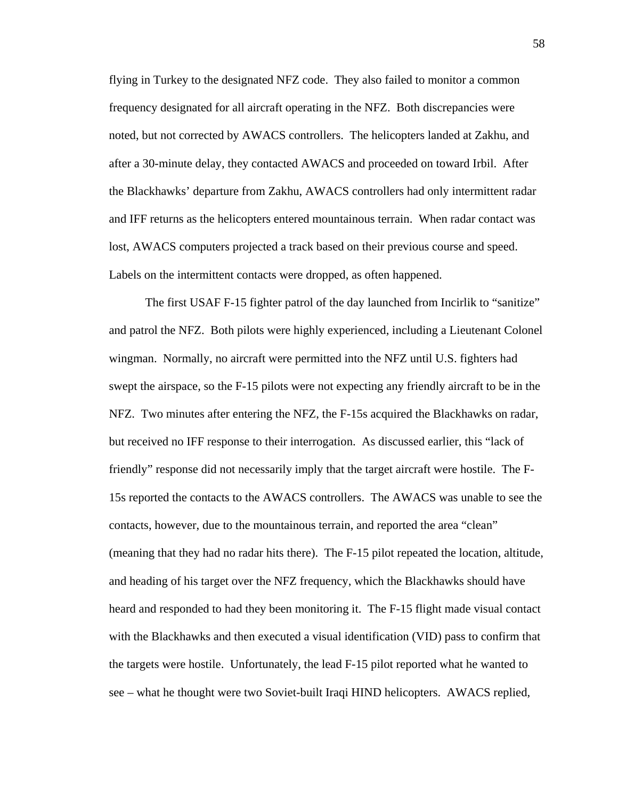flying in Turkey to the designated NFZ code. They also failed to monitor a common frequency designated for all aircraft operating in the NFZ. Both discrepancies were noted, but not corrected by AWACS controllers. The helicopters landed at Zakhu, and after a 30-minute delay, they contacted AWACS and proceeded on toward Irbil. After the Blackhawks' departure from Zakhu, AWACS controllers had only intermittent radar and IFF returns as the helicopters entered mountainous terrain. When radar contact was lost, AWACS computers projected a track based on their previous course and speed. Labels on the intermittent contacts were dropped, as often happened.

 The first USAF F-15 fighter patrol of the day launched from Incirlik to "sanitize" and patrol the NFZ. Both pilots were highly experienced, including a Lieutenant Colonel wingman. Normally, no aircraft were permitted into the NFZ until U.S. fighters had swept the airspace, so the F-15 pilots were not expecting any friendly aircraft to be in the NFZ. Two minutes after entering the NFZ, the F-15s acquired the Blackhawks on radar, but received no IFF response to their interrogation. As discussed earlier, this "lack of friendly" response did not necessarily imply that the target aircraft were hostile. The F-15s reported the contacts to the AWACS controllers. The AWACS was unable to see the contacts, however, due to the mountainous terrain, and reported the area "clean" (meaning that they had no radar hits there). The F-15 pilot repeated the location, altitude, and heading of his target over the NFZ frequency, which the Blackhawks should have heard and responded to had they been monitoring it. The F-15 flight made visual contact with the Blackhawks and then executed a visual identification (VID) pass to confirm that the targets were hostile. Unfortunately, the lead F-15 pilot reported what he wanted to see – what he thought were two Soviet-built Iraqi HIND helicopters. AWACS replied,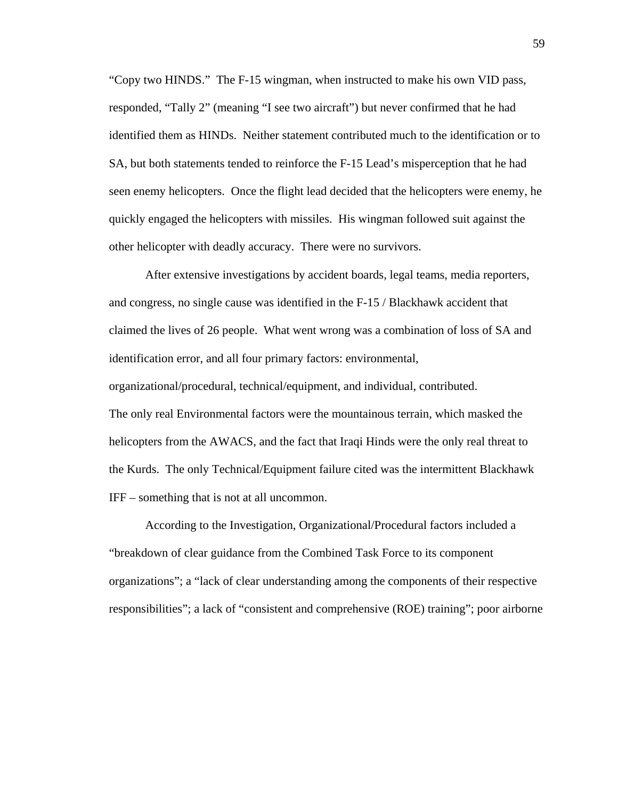"Copy two HINDS." The F-15 wingman, when instructed to make his own VID pass, responded, "Tally 2" (meaning "I see two aircraft") but never confirmed that he had identified them as HINDs. Neither statement contributed much to the identification or to SA, but both statements tended to reinforce the F-15 Lead's misperception that he had seen enemy helicopters. Once the flight lead decided that the helicopters were enemy, he quickly engaged the helicopters with missiles. His wingman followed suit against the other helicopter with deadly accuracy. There were no survivors.

 After extensive investigations by accident boards, legal teams, media reporters, and congress, no single cause was identified in the F-15 / Blackhawk accident that claimed the lives of 26 people. What went wrong was a combination of loss of SA and identification error, and all four primary factors: environmental, organizational/procedural, technical/equipment, and individual, contributed. The only real Environmental factors were the mountainous terrain, which masked the helicopters from the AWACS, and the fact that Iraqi Hinds were the only real threat to the Kurds. The only Technical/Equipment failure cited was the intermittent Blackhawk IFF – something that is not at all uncommon.

 According to the Investigation, Organizational/Procedural factors included a "breakdown of clear guidance from the Combined Task Force to its component organizations"; a "lack of clear understanding among the components of their respective responsibilities"; a lack of "consistent and comprehensive (ROE) training"; poor airborne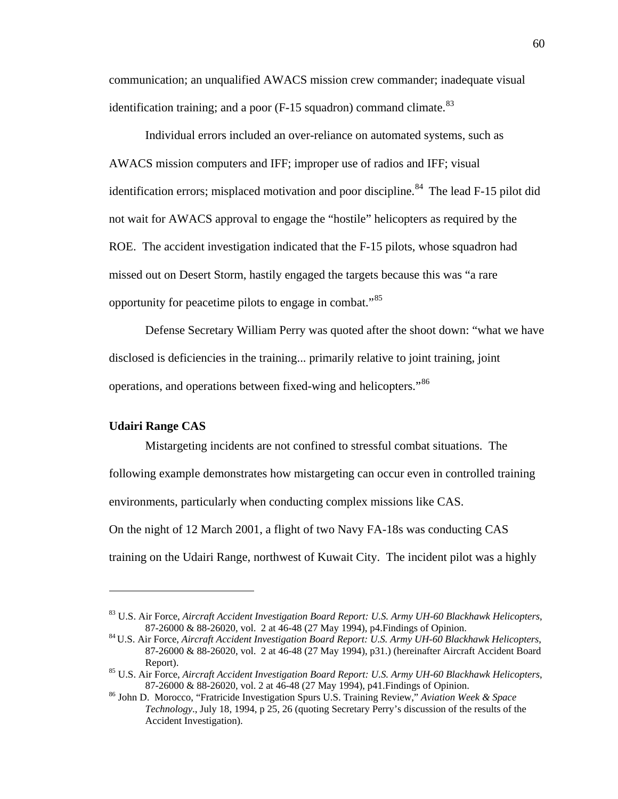communication; an unqualified AWACS mission crew commander; inadequate visual identification training; and a poor  $(F-15)$  squadron) command climate.<sup>[83](#page-65-0)</sup>

Individual errors included an over-reliance on automated systems, such as AWACS mission computers and IFF; improper use of radios and IFF; visual identification errors; misplaced motivation and poor discipline.<sup>[84](#page-65-1)</sup> The lead F-15 pilot did not wait for AWACS approval to engage the "hostile" helicopters as required by the ROE. The accident investigation indicated that the F-15 pilots, whose squadron had missed out on Desert Storm, hastily engaged the targets because this was "a rare opportunity for peacetime pilots to engage in combat."[85](#page-65-2)

 Defense Secretary William Perry was quoted after the shoot down: "what we have disclosed is deficiencies in the training... primarily relative to joint training, joint operations, and operations between fixed-wing and helicopters."<sup>[86](#page-65-3)</sup>

#### **Udairi Range CAS**

 $\overline{a}$ 

 Mistargeting incidents are not confined to stressful combat situations. The following example demonstrates how mistargeting can occur even in controlled training environments, particularly when conducting complex missions like CAS. On the night of 12 March 2001, a flight of two Navy FA-18s was conducting CAS training on the Udairi Range, northwest of Kuwait City. The incident pilot was a highly

<span id="page-65-0"></span><sup>83</sup> U.S. Air Force, *Aircraft Accident Investigation Board Report: U.S. Army UH-60 Blackhawk Helicopters*, 87-26000 & 88-26020, vol. 2 at 46-48 (27 May 1994), p4.Findings of Opinion.

<span id="page-65-1"></span><sup>84</sup> U.S. Air Force, *Aircraft Accident Investigation Board Report: U.S. Army UH-60 Blackhawk Helicopters*, 87-26000 & 88-26020, vol. 2 at 46-48 (27 May 1994), p31.) (hereinafter Aircraft Accident Board Report). 85 U.S. Air Force, *Aircraft Accident Investigation Board Report: U.S. Army UH-60 Blackhawk Helicopters*,

<span id="page-65-2"></span><sup>87-26000 &</sup>amp; 88-26020, vol. 2 at 46-48 (27 May 1994), p41.Findings of Opinion. 86 John D. Morocco, "Fratricide Investigation Spurs U.S. Training Review," *Aviation Week & Space* 

<span id="page-65-3"></span>*Technology*., July 18, 1994, p 25, 26 (quoting Secretary Perry's discussion of the results of the Accident Investigation).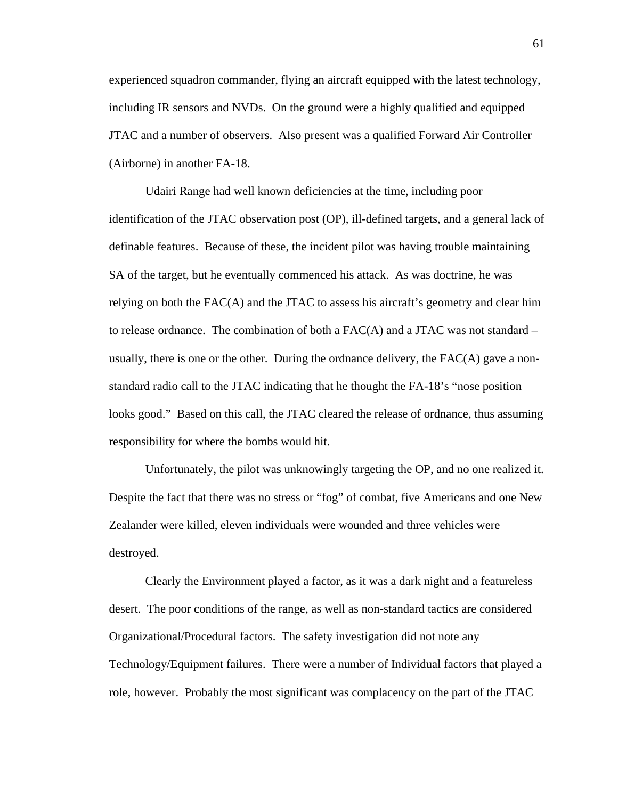experienced squadron commander, flying an aircraft equipped with the latest technology, including IR sensors and NVDs. On the ground were a highly qualified and equipped JTAC and a number of observers. Also present was a qualified Forward Air Controller (Airborne) in another FA-18.

Udairi Range had well known deficiencies at the time, including poor identification of the JTAC observation post (OP), ill-defined targets, and a general lack of definable features. Because of these, the incident pilot was having trouble maintaining SA of the target, but he eventually commenced his attack. As was doctrine, he was relying on both the FAC(A) and the JTAC to assess his aircraft's geometry and clear him to release ordnance. The combination of both a  $FAC(A)$  and a JTAC was not standard – usually, there is one or the other. During the ordnance delivery, the  $FAC(A)$  gave a nonstandard radio call to the JTAC indicating that he thought the FA-18's "nose position looks good." Based on this call, the JTAC cleared the release of ordnance, thus assuming responsibility for where the bombs would hit.

Unfortunately, the pilot was unknowingly targeting the OP, and no one realized it. Despite the fact that there was no stress or "fog" of combat, five Americans and one New Zealander were killed, eleven individuals were wounded and three vehicles were destroyed.

Clearly the Environment played a factor, as it was a dark night and a featureless desert. The poor conditions of the range, as well as non-standard tactics are considered Organizational/Procedural factors. The safety investigation did not note any Technology/Equipment failures. There were a number of Individual factors that played a role, however. Probably the most significant was complacency on the part of the JTAC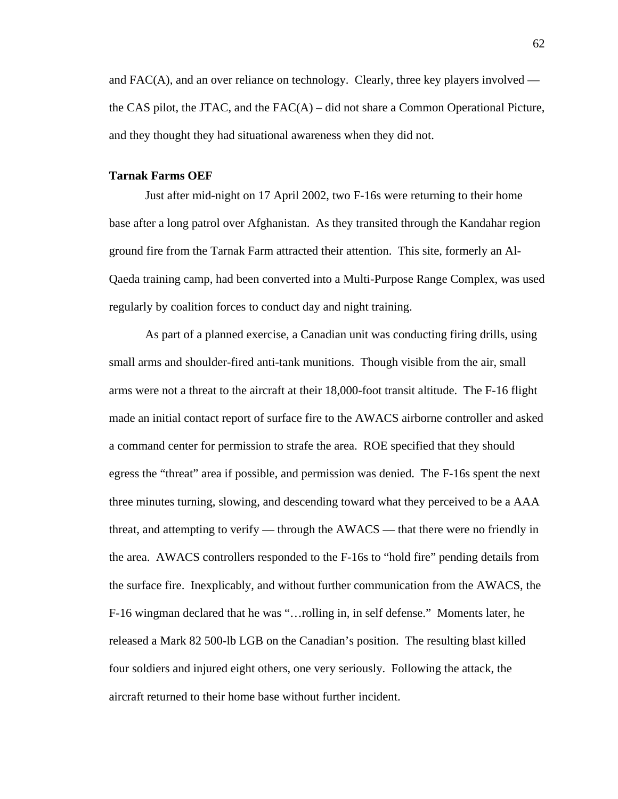and  $FAC(A)$ , and an over reliance on technology. Clearly, three key players involved the CAS pilot, the JTAC, and the  $FAC(A)$  – did not share a Common Operational Picture, and they thought they had situational awareness when they did not.

## **Tarnak Farms OEF**

Just after mid-night on 17 April 2002, two F-16s were returning to their home base after a long patrol over Afghanistan. As they transited through the Kandahar region ground fire from the Tarnak Farm attracted their attention. This site, formerly an Al-Qaeda training camp, had been converted into a Multi-Purpose Range Complex, was used regularly by coalition forces to conduct day and night training.

As part of a planned exercise, a Canadian unit was conducting firing drills, using small arms and shoulder-fired anti-tank munitions. Though visible from the air, small arms were not a threat to the aircraft at their 18,000-foot transit altitude. The F-16 flight made an initial contact report of surface fire to the AWACS airborne controller and asked a command center for permission to strafe the area. ROE specified that they should egress the "threat" area if possible, and permission was denied. The F-16s spent the next three minutes turning, slowing, and descending toward what they perceived to be a AAA threat, and attempting to verify — through the AWACS — that there were no friendly in the area. AWACS controllers responded to the F-16s to "hold fire" pending details from the surface fire. Inexplicably, and without further communication from the AWACS, the F-16 wingman declared that he was "…rolling in, in self defense." Moments later, he released a Mark 82 500-lb LGB on the Canadian's position. The resulting blast killed four soldiers and injured eight others, one very seriously. Following the attack, the aircraft returned to their home base without further incident.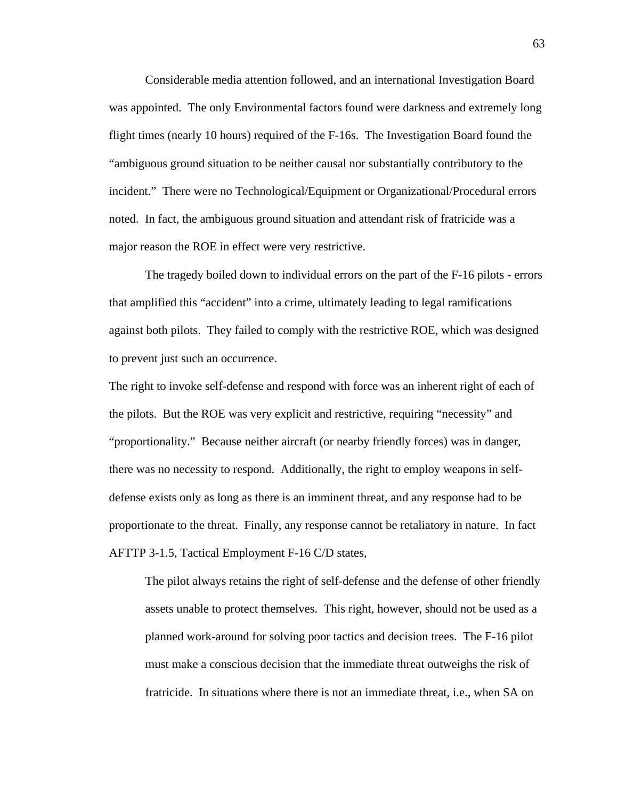Considerable media attention followed, and an international Investigation Board was appointed. The only Environmental factors found were darkness and extremely long flight times (nearly 10 hours) required of the F-16s. The Investigation Board found the "ambiguous ground situation to be neither causal nor substantially contributory to the incident." There were no Technological/Equipment or Organizational/Procedural errors noted. In fact, the ambiguous ground situation and attendant risk of fratricide was a major reason the ROE in effect were very restrictive.

 The tragedy boiled down to individual errors on the part of the F-16 pilots - errors that amplified this "accident" into a crime, ultimately leading to legal ramifications against both pilots. They failed to comply with the restrictive ROE, which was designed to prevent just such an occurrence.

The right to invoke self-defense and respond with force was an inherent right of each of the pilots. But the ROE was very explicit and restrictive, requiring "necessity" and "proportionality." Because neither aircraft (or nearby friendly forces) was in danger, there was no necessity to respond. Additionally, the right to employ weapons in selfdefense exists only as long as there is an imminent threat, and any response had to be proportionate to the threat. Finally, any response cannot be retaliatory in nature. In fact AFTTP 3-1.5, Tactical Employment F-16 C/D states,

The pilot always retains the right of self-defense and the defense of other friendly assets unable to protect themselves. This right, however, should not be used as a planned work-around for solving poor tactics and decision trees. The F-16 pilot must make a conscious decision that the immediate threat outweighs the risk of fratricide. In situations where there is not an immediate threat, i.e., when SA on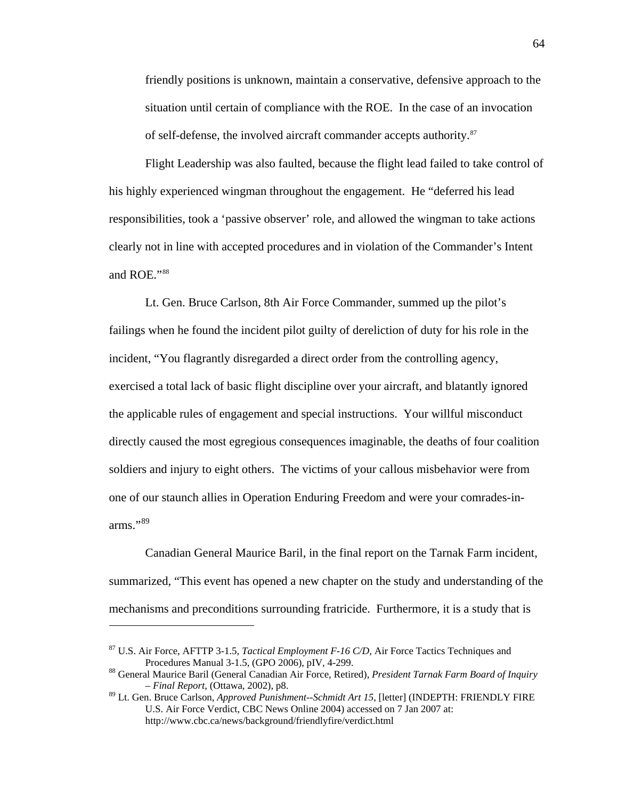friendly positions is unknown, maintain a conservative, defensive approach to the situation until certain of compliance with the ROE. In the case of an invocation of self-defense, the involved aircraft commander accepts authority.<sup>[87](#page-69-0)</sup>

 Flight Leadership was also faulted, because the flight lead failed to take control of his highly experienced wingman throughout the engagement. He "deferred his lead responsibilities, took a 'passive observer' role, and allowed the wingman to take actions clearly not in line with accepted procedures and in violation of the Commander's Intent and ROE."[88](#page-69-1)

Lt. Gen. Bruce Carlson, 8th Air Force Commander, summed up the pilot's failings when he found the incident pilot guilty of dereliction of duty for his role in the incident, "You flagrantly disregarded a direct order from the controlling agency, exercised a total lack of basic flight discipline over your aircraft, and blatantly ignored the applicable rules of engagement and special instructions. Your willful misconduct directly caused the most egregious consequences imaginable, the deaths of four coalition soldiers and injury to eight others. The victims of your callous misbehavior were from one of our staunch allies in Operation Enduring Freedom and were your comrades-inarms."[89](#page-69-2)

Canadian General Maurice Baril, in the final report on the Tarnak Farm incident, summarized, "This event has opened a new chapter on the study and understanding of the mechanisms and preconditions surrounding fratricide. Furthermore, it is a study that is

1

<span id="page-69-0"></span><sup>87</sup> U.S. Air Force, AFTTP 3-1.5, *Tactical Employment F-16 C/D*, Air Force Tactics Techniques and Procedures Manual 3-1.5, (GPO 2006), pIV, 4-299.<br><sup>88</sup> General Maurice Baril (General Canadian Air Force, Retired), *President Tarnak Farm Board of Inquiry* 

<span id="page-69-1"></span>*<sup>–</sup> Final Report*, (Ottawa, 2002), p8.

<span id="page-69-2"></span><sup>89</sup> Lt. Gen. Bruce Carlson, *Approved Punishment--Schmidt Art 15*, [letter] (INDEPTH: FRIENDLY FIRE U.S. Air Force Verdict, CBC News Online 2004) accessed on 7 Jan 2007 at: http://www.cbc.ca/news/background/friendlyfire/verdict.html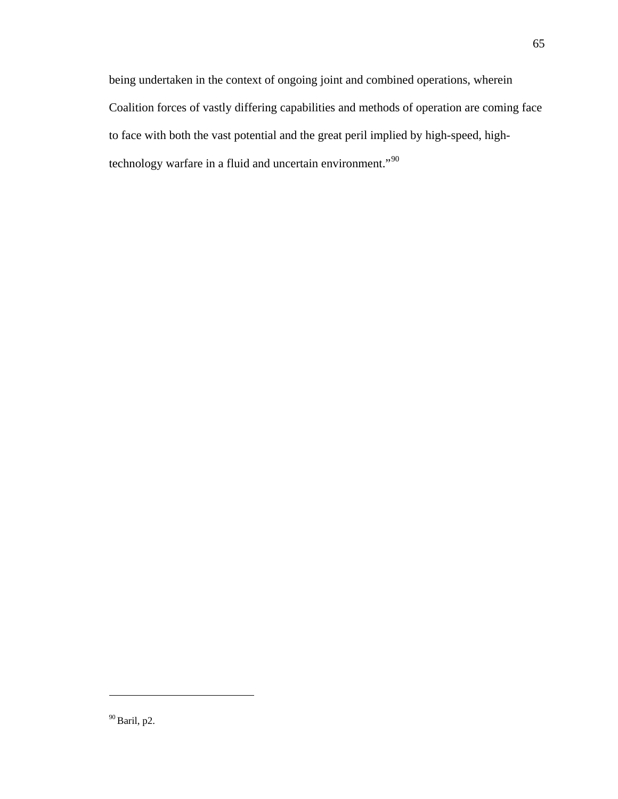being undertaken in the context of ongoing joint and combined operations, wherein Coalition forces of vastly differing capabilities and methods of operation are coming face to face with both the vast potential and the great peril implied by high-speed, high-technology warfare in a fluid and uncertain environment."<sup>[90](#page-70-0)</sup>

<span id="page-70-0"></span> $^{90}\mbox{Baril, p2.}$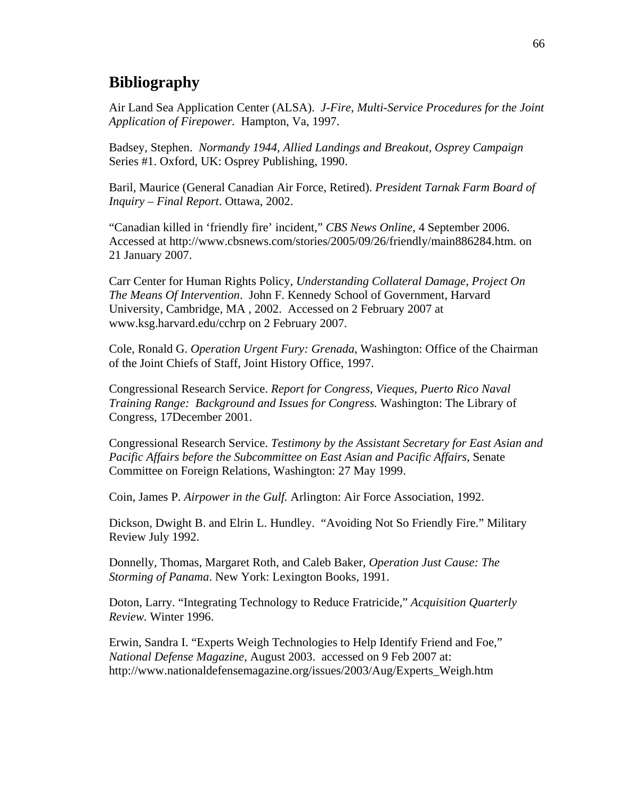# **Bibliography**

Air Land Sea Application Center (ALSA). *J-Fire, Multi-Service Procedures for the Joint Application of Firepower.* Hampton, Va, 1997.

Badsey, Stephen. *Normandy 1944, Allied Landings and Breakout, Osprey Campaign* Series #1. Oxford, UK: Osprey Publishing, 1990.

Baril, Maurice (General Canadian Air Force, Retired). *President Tarnak Farm Board of Inquiry – Final Report*. Ottawa, 2002.

"Canadian killed in 'friendly fire' incident," *CBS News Online*, 4 September 2006. Accessed at http://www.cbsnews.com/stories/2005/09/26/friendly/main886284.htm. on 21 January 2007.

Carr Center for Human Rights Policy, *Understanding Collateral Damage, Project On The Means Of Intervention*. John F. Kennedy School of Government, Harvard University, Cambridge, MA , 2002. Accessed on 2 February 2007 at www.ksg.harvard.edu/cchrp on 2 February 2007.

Cole, Ronald G. *Operation Urgent Fury: Grenada*, Washington: Office of the Chairman of the Joint Chiefs of Staff, Joint History Office, 1997.

Congressional Research Service. *Report for Congress, Vieques, Puerto Rico Naval Training Range: Background and Issues for Congress.* Washington: The Library of Congress, 17December 2001.

Congressional Research Service. *Testimony by the Assistant Secretary for East Asian and Pacific Affairs before the Subcommittee on East Asian and Pacific Affairs*, Senate Committee on Foreign Relations, Washington: 27 May 1999.

Coin, James P. *Airpower in the Gulf.* Arlington: Air Force Association, 1992.

Dickson, Dwight B. and Elrin L. Hundley. "Avoiding Not So Friendly Fire." Military Review July 1992.

Donnelly, Thomas, Margaret Roth, and Caleb Baker, *Operation Just Cause: The Storming of Panama*. New York: Lexington Books, 1991.

Doton, Larry. "Integrating Technology to Reduce Fratricide," *Acquisition Quarterly Review.* Winter 1996.

Erwin, Sandra I. "Experts Weigh Technologies to Help Identify Friend and Foe," *National Defense Magazine*, August 2003. accessed on 9 Feb 2007 at: http://www.nationaldefensemagazine.org/issues/2003/Aug/Experts\_Weigh.htm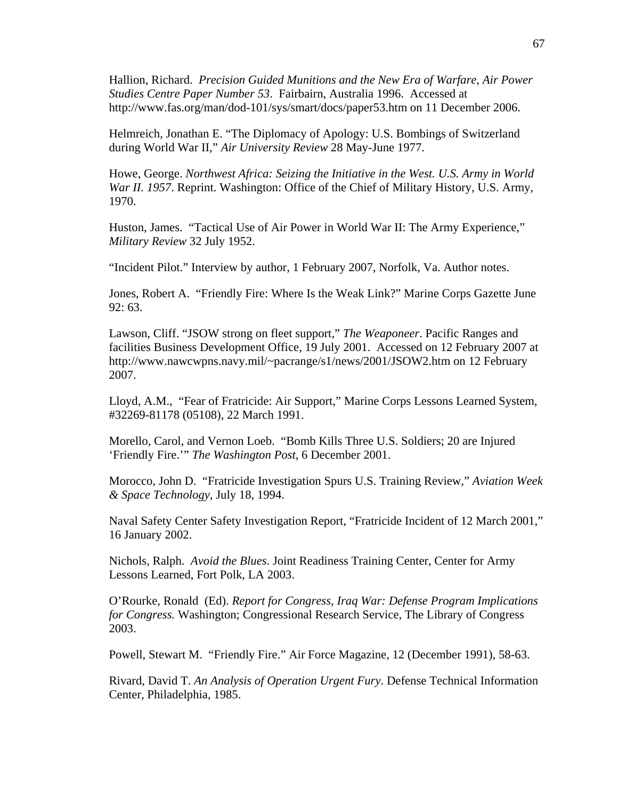Hallion, Richard. *Precision Guided Munitions and the New Era of Warfare, Air Power Studies Centre Paper Number 53*. Fairbairn, Australia 1996. Accessed at http://www.fas.org/man/dod-101/sys/smart/docs/paper53.htm on 11 December 2006.

Helmreich, Jonathan E. "The Diplomacy of Apology: U.S. Bombings of Switzerland during World War II," *Air University Review* 28 May-June 1977.

Howe, George. *Northwest Africa: Seizing the Initiative in the West. U.S. Army in World War II. 1957*. Reprint. Washington: Office of the Chief of Military History, U.S. Army, 1970.

Huston, James. "Tactical Use of Air Power in World War II: The Army Experience," *Military Review* 32 July 1952.

"Incident Pilot." Interview by author, 1 February 2007, Norfolk, Va. Author notes.

Jones, Robert A. "Friendly Fire: Where Is the Weak Link?" Marine Corps Gazette June 92: 63.

Lawson, Cliff. "JSOW strong on fleet support," *The Weaponeer*. Pacific Ranges and facilities Business Development Office, 19 July 2001. Accessed on 12 February 2007 at http://www.nawcwpns.navy.mil/~pacrange/s1/news/2001/JSOW2.htm on 12 February 2007.

Lloyd, A.M., "Fear of Fratricide: Air Support," Marine Corps Lessons Learned System, #32269-81178 (05108), 22 March 1991.

Morello, Carol, and Vernon Loeb. "Bomb Kills Three U.S. Soldiers; 20 are Injured 'Friendly Fire.'" *The Washington Post*, 6 December 2001.

Morocco, John D. "Fratricide Investigation Spurs U.S. Training Review," *Aviation Week & Space Technology*, July 18, 1994.

Naval Safety Center Safety Investigation Report, "Fratricide Incident of 12 March 2001," 16 January 2002.

Nichols, Ralph. *Avoid the Blues*. Joint Readiness Training Center, Center for Army Lessons Learned, Fort Polk, LA 2003.

O'Rourke, Ronald (Ed). *Report for Congress, Iraq War: Defense Program Implications for Congress.* Washington; Congressional Research Service, The Library of Congress 2003.

Powell, Stewart M. "Friendly Fire." Air Force Magazine, 12 (December 1991), 58-63.

Rivard, David T. *An Analysis of Operation Urgent Fury*. Defense Technical Information Center, Philadelphia, 1985.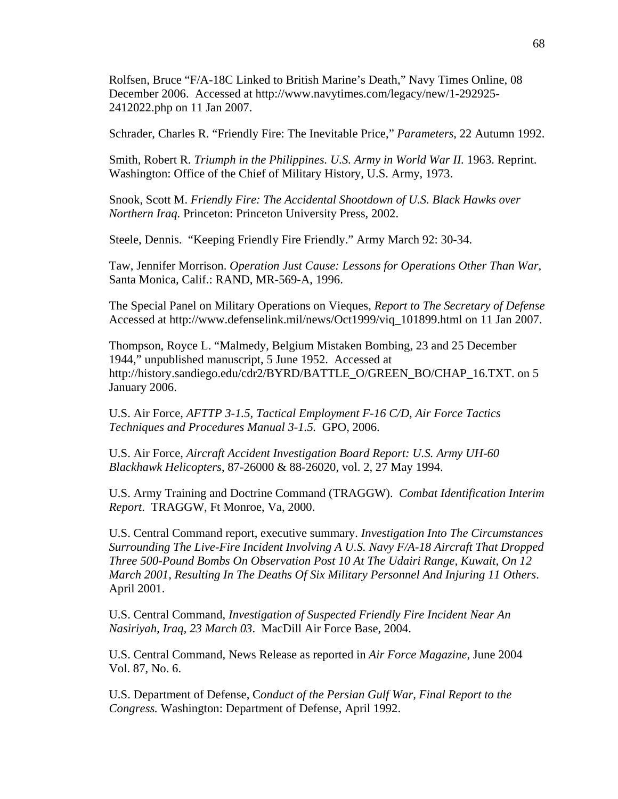Rolfsen, Bruce "F/A-18C Linked to British Marine's Death," Navy Times Online, 08 December 2006. Accessed at http://www.navytimes.com/legacy/new/1-292925- 2412022.php on 11 Jan 2007.

Schrader, Charles R. "Friendly Fire: The Inevitable Price," *Parameters*, 22 Autumn 1992.

Smith, Robert R. *Triumph in the Philippines. U.S. Army in World War II.* 1963. Reprint. Washington: Office of the Chief of Military History, U.S. Army, 1973.

Snook, Scott M. *Friendly Fire: The Accidental Shootdown of U.S. Black Hawks over Northern Iraq*. Princeton: Princeton University Press, 2002.

Steele, Dennis. "Keeping Friendly Fire Friendly." Army March 92: 30-34.

Taw, Jennifer Morrison. *Operation Just Cause: Lessons for Operations Other Than War*, Santa Monica, Calif.: RAND, MR-569-A, 1996.

The Special Panel on Military Operations on Vieques, *Report to The Secretary of Defense* Accessed at http://www.defenselink.mil/news/Oct1999/viq\_101899.html on 11 Jan 2007.

Thompson, Royce L. "Malmedy, Belgium Mistaken Bombing, 23 and 25 December 1944," unpublished manuscript, 5 June 1952. Accessed at http://history.sandiego.edu/cdr2/BYRD/BATTLE\_O/GREEN\_BO/CHAP\_16.TXT. on 5 January 2006.

U.S. Air Force, *AFTTP 3-1.5, Tactical Employment F-16 C/D, Air Force Tactics Techniques and Procedures Manual 3-1.5.* GPO, 2006.

U.S. Air Force, *Aircraft Accident Investigation Board Report: U.S. Army UH-60 Blackhawk Helicopters*, 87-26000 & 88-26020, vol. 2, 27 May 1994.

U.S. Army Training and Doctrine Command (TRAGGW). *Combat Identification Interim Report*. TRAGGW, Ft Monroe, Va, 2000.

U.S. Central Command report, executive summary. *Investigation Into The Circumstances Surrounding The Live-Fire Incident Involving A U.S. Navy F/A-18 Aircraft That Dropped Three 500-Pound Bombs On Observation Post 10 At The Udairi Range, Kuwait, On 12 March 2001, Resulting In The Deaths Of Six Military Personnel And Injuring 11 Others*. April 2001.

U.S. Central Command, *Investigation of Suspected Friendly Fire Incident Near An Nasiriyah, Iraq, 23 March 03*. MacDill Air Force Base, 2004.

U.S. Central Command, News Release as reported in *Air Force Magazine*, June 2004 Vol. 87, No. 6.

U.S. Department of Defense, C*onduct of the Persian Gulf War, Final Report to the Congress.* Washington: Department of Defense, April 1992.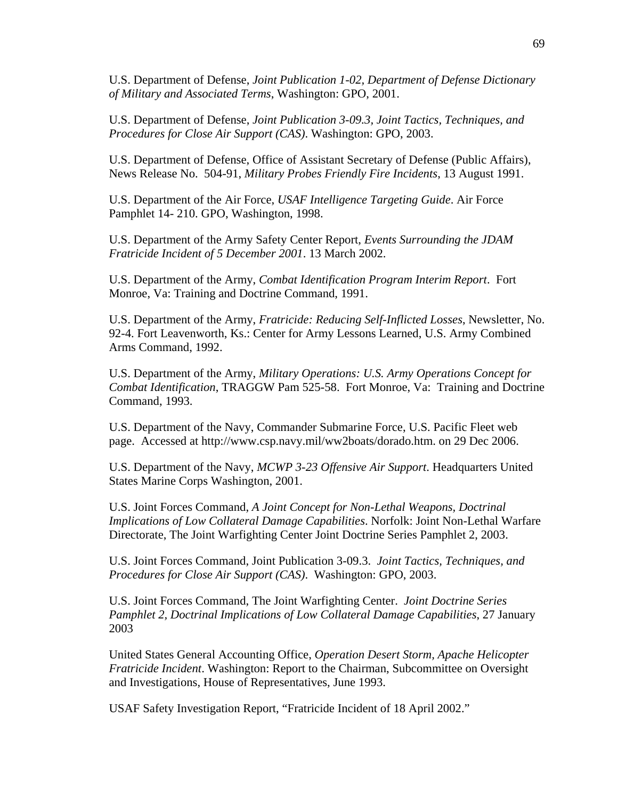U.S. Department of Defense, *Joint Publication 1-02, Department of Defense Dictionary of Military and Associated Terms*, Washington: GPO, 2001.

U.S. Department of Defense, *Joint Publication 3-09.3, Joint Tactics, Techniques, and Procedures for Close Air Support (CAS)*. Washington: GPO, 2003.

U.S. Department of Defense, Office of Assistant Secretary of Defense (Public Affairs), News Release No. 504-91, *Military Probes Friendly Fire Incidents*, 13 August 1991.

U.S. Department of the Air Force, *USAF Intelligence Targeting Guide*. Air Force Pamphlet 14- 210. GPO, Washington, 1998.

U.S. Department of the Army Safety Center Report, *Events Surrounding the JDAM Fratricide Incident of 5 December 2001*. 13 March 2002.

U.S. Department of the Army, *Combat Identification Program Interim Report*. Fort Monroe, Va: Training and Doctrine Command, 1991.

U.S. Department of the Army, *Fratricide: Reducing Self-Inflicted Losses*, Newsletter, No. 92-4. Fort Leavenworth, Ks.: Center for Army Lessons Learned, U.S. Army Combined Arms Command, 1992.

U.S. Department of the Army, *Military Operations: U.S. Army Operations Concept for Combat Identification*, TRAGGW Pam 525-58. Fort Monroe, Va: Training and Doctrine Command, 1993.

U.S. Department of the Navy, Commander Submarine Force, U.S. Pacific Fleet web page. Accessed at http://www.csp.navy.mil/ww2boats/dorado.htm. on 29 Dec 2006.

U.S. Department of the Navy, *MCWP 3-23 Offensive Air Support*. Headquarters United States Marine Corps Washington, 2001.

U.S. Joint Forces Command, *A Joint Concept for Non-Lethal Weapons, Doctrinal Implications of Low Collateral Damage Capabilities*. Norfolk: Joint Non-Lethal Warfare Directorate, The Joint Warfighting Center Joint Doctrine Series Pamphlet 2, 2003.

U.S. Joint Forces Command, Joint Publication 3-09.3. *Joint Tactics, Techniques, and Procedures for Close Air Support (CAS)*. Washington: GPO, 2003.

U.S. Joint Forces Command, The Joint Warfighting Center. *Joint Doctrine Series Pamphlet 2, Doctrinal Implications of Low Collateral Damage Capabilities*, 27 January 2003

United States General Accounting Office, *Operation Desert Storm, Apache Helicopter Fratricide Incident*. Washington: Report to the Chairman, Subcommittee on Oversight and Investigations, House of Representatives, June 1993.

USAF Safety Investigation Report, "Fratricide Incident of 18 April 2002."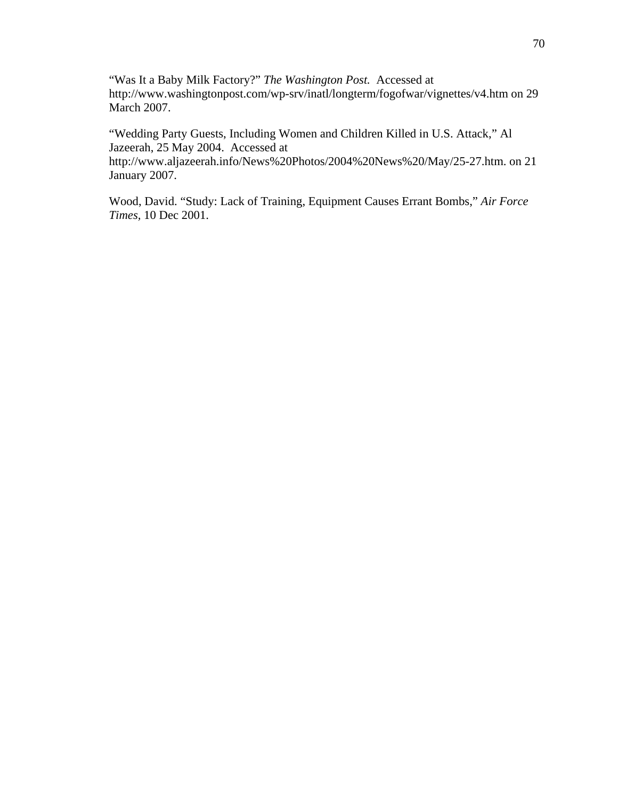"Was It a Baby Milk Factory?" *The Washington Post.* Accessed at http://www.washingtonpost.com/wp-srv/inatl/longterm/fogofwar/vignettes/v4.htm on 29 March 2007.

"Wedding Party Guests, Including Women and Children Killed in U.S. Attack," Al Jazeerah, 25 May 2004. Accessed at http://www.aljazeerah.info/News%20Photos/2004%20News%20/May/25-27.htm. on 21 January 2007.

Wood, David. "Study: Lack of Training, Equipment Causes Errant Bombs," *Air Force Times,* 10 Dec 2001.